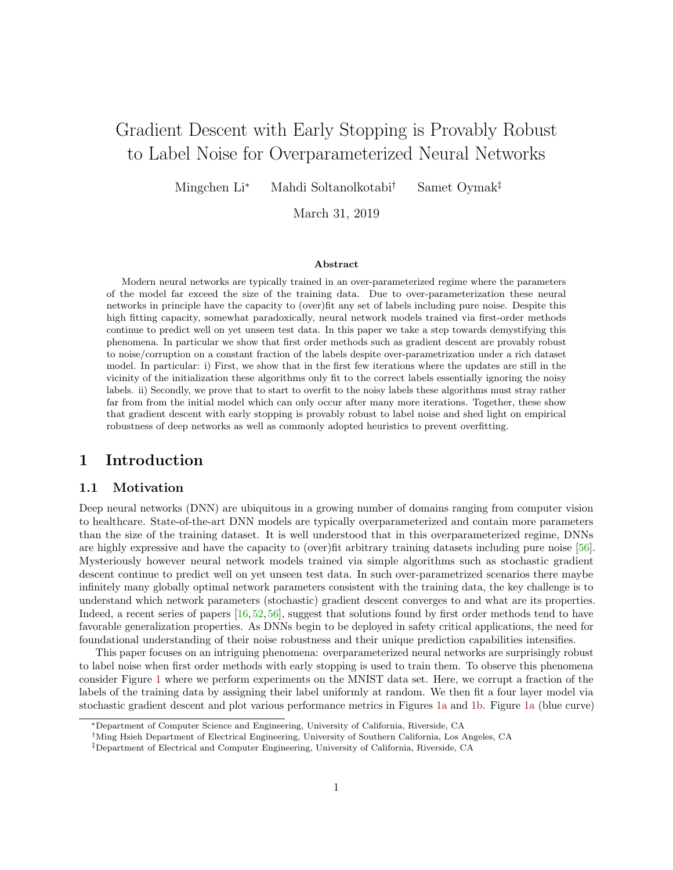# Gradient Descent with Early Stopping is Provably Robust to Label Noise for Overparameterized Neural Networks

Mingchen Li<sup>∗</sup> Mahdi Soltanolkotabi† Samet Oymak‡

March 31, 2019

#### Abstract

Modern neural networks are typically trained in an over-parameterized regime where the parameters of the model far exceed the size of the training data. Due to over-parameterization these neural networks in principle have the capacity to (over)fit any set of labels including pure noise. Despite this high fitting capacity, somewhat paradoxically, neural network models trained via first-order methods continue to predict well on yet unseen test data. In this paper we take a step towards demystifying this phenomena. In particular we show that first order methods such as gradient descent are provably robust to noise/corruption on a constant fraction of the labels despite over-parametrization under a rich dataset model. In particular: i) First, we show that in the first few iterations where the updates are still in the vicinity of the initialization these algorithms only fit to the correct labels essentially ignoring the noisy labels. ii) Secondly, we prove that to start to overfit to the noisy labels these algorithms must stray rather far from from the initial model which can only occur after many more iterations. Together, these show that gradient descent with early stopping is provably robust to label noise and shed light on empirical robustness of deep networks as well as commonly adopted heuristics to prevent overfitting.

### 1 Introduction

### 1.1 Motivation

Deep neural networks (DNN) are ubiquitous in a growing number of domains ranging from computer vision to healthcare. State-of-the-art DNN models are typically overparameterized and contain more parameters than the size of the training dataset. It is well understood that in this overparameterized regime, DNNs are highly expressive and have the capacity to (over)fit arbitrary training datasets including pure noise [\[56\]](#page-34-0). Mysteriously however neural network models trained via simple algorithms such as stochastic gradient descent continue to predict well on yet unseen test data. In such over-parametrized scenarios there maybe infinitely many globally optimal network parameters consistent with the training data, the key challenge is to understand which network parameters (stochastic) gradient descent converges to and what are its properties. Indeed, a recent series of papers  $\left[16, 52, 56\right]$  $\left[16, 52, 56\right]$  $\left[16, 52, 56\right]$ , suggest that solutions found by first order methods tend to have favorable generalization properties. As DNNs begin to be deployed in safety critical applications, the need for foundational understanding of their noise robustness and their unique prediction capabilities intensifies.

This paper focuses on an intriguing phenomena: overparameterized neural networks are surprisingly robust to label noise when first order methods with early stopping is used to train them. To observe this phenomena consider Figure [1](#page-1-0) where we perform experiments on the MNIST data set. Here, we corrupt a fraction of the labels of the training data by assigning their label uniformly at random. We then fit a four layer model via stochastic gradient descent and plot various performance metrics in Figures [1a](#page-1-0) and [1b.](#page-1-0) Figure [1a](#page-1-0) (blue curve)

<sup>∗</sup>Department of Computer Science and Engineering, University of California, Riverside, CA

<sup>†</sup>Ming Hsieh Department of Electrical Engineering, University of Southern California, Los Angeles, CA

<sup>‡</sup>Department of Electrical and Computer Engineering, University of California, Riverside, CA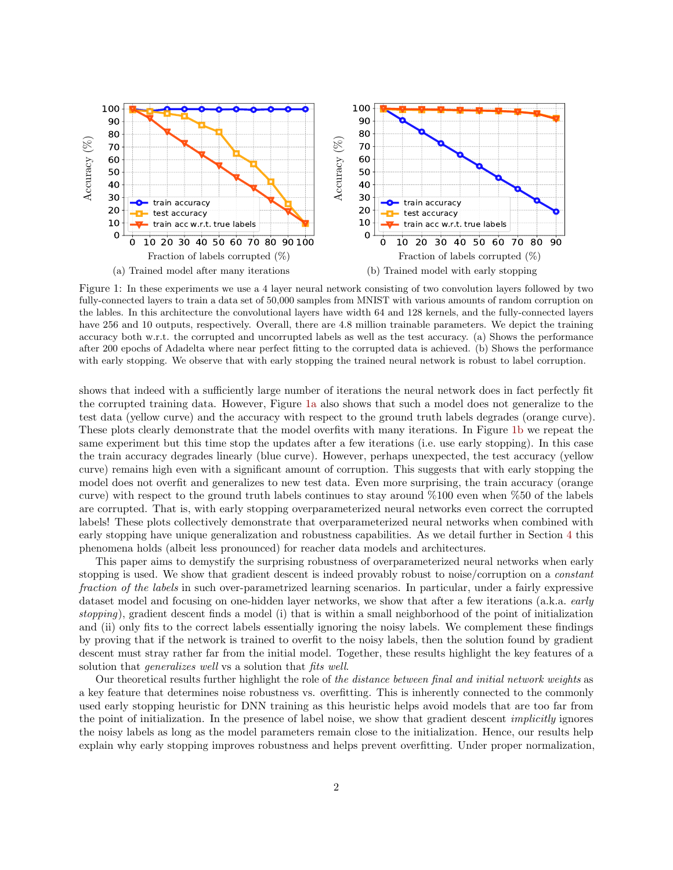<span id="page-1-0"></span>

Figure 1: In these experiments we use a 4 layer neural network consisting of two convolution layers followed by two fully-connected layers to train a data set of 50,000 samples from MNIST with various amounts of random corruption on the lables. In this architecture the convolutional layers have width 64 and 128 kernels, and the fully-connected layers have 256 and 10 outputs, respectively. Overall, there are 4.8 million trainable parameters. We depict the training accuracy both w.r.t. the corrupted and uncorrupted labels as well as the test accuracy. (a) Shows the performance after 200 epochs of Adadelta where near perfect fitting to the corrupted data is achieved. (b) Shows the performance with early stopping. We observe that with early stopping the trained neural network is robust to label corruption.

shows that indeed with a sufficiently large number of iterations the neural network does in fact perfectly fit the corrupted training data. However, Figure [1a](#page-1-0) also shows that such a model does not generalize to the test data (yellow curve) and the accuracy with respect to the ground truth labels degrades (orange curve). These plots clearly demonstrate that the model overfits with many iterations. In Figure [1b](#page-1-0) we repeat the same experiment but this time stop the updates after a few iterations (i.e. use early stopping). In this case the train accuracy degrades linearly (blue curve). However, perhaps unexpected, the test accuracy (yellow curve) remains high even with a significant amount of corruption. This suggests that with early stopping the model does not overfit and generalizes to new test data. Even more surprising, the train accuracy (orange curve) with respect to the ground truth labels continues to stay around %100 even when %50 of the labels are corrupted. That is, with early stopping overparameterized neural networks even correct the corrupted labels! These plots collectively demonstrate that overparameterized neural networks when combined with early stopping have unique generalization and robustness capabilities. As we detail further in Section [4](#page-11-0) this phenomena holds (albeit less pronounced) for reacher data models and architectures.

This paper aims to demystify the surprising robustness of overparameterized neural networks when early stopping is used. We show that gradient descent is indeed provably robust to noise/corruption on a *constant* fraction of the labels in such over-parametrized learning scenarios. In particular, under a fairly expressive dataset model and focusing on one-hidden layer networks, we show that after a few iterations (a.k.a. *early* stopping), gradient descent finds a model (i) that is within a small neighborhood of the point of initialization and (ii) only fits to the correct labels essentially ignoring the noisy labels. We complement these findings by proving that if the network is trained to overfit to the noisy labels, then the solution found by gradient descent must stray rather far from the initial model. Together, these results highlight the key features of a solution that *generalizes* well vs a solution that *fits* well.

Our theoretical results further highlight the role of the distance between final and initial network weights as a key feature that determines noise robustness vs. overfitting. This is inherently connected to the commonly used early stopping heuristic for DNN training as this heuristic helps avoid models that are too far from the point of initialization. In the presence of label noise, we show that gradient descent implicitly ignores the noisy labels as long as the model parameters remain close to the initialization. Hence, our results help explain why early stopping improves robustness and helps prevent overfitting. Under proper normalization,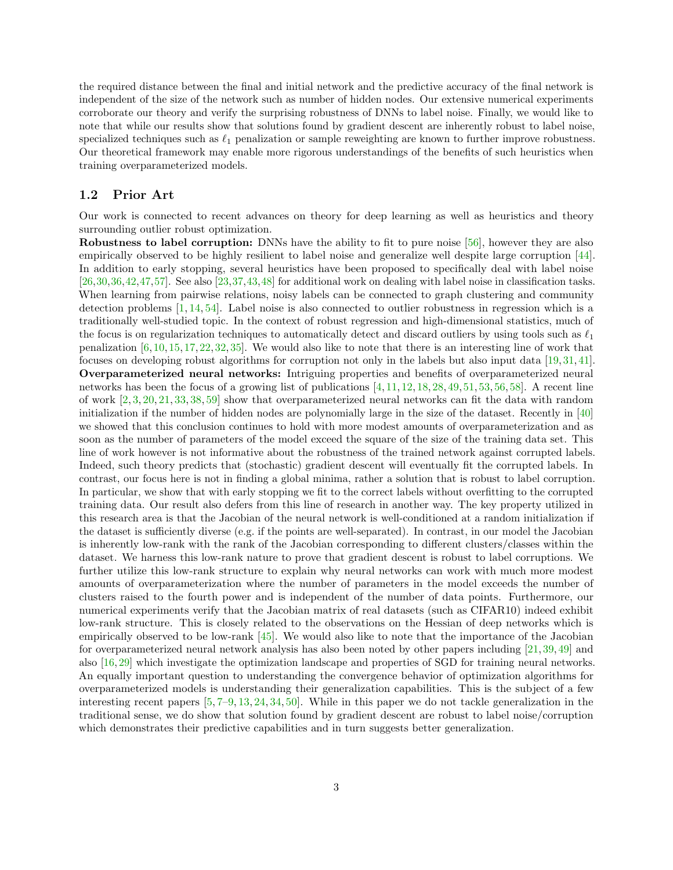the required distance between the final and initial network and the predictive accuracy of the final network is independent of the size of the network such as number of hidden nodes. Our extensive numerical experiments corroborate our theory and verify the surprising robustness of DNNs to label noise. Finally, we would like to note that while our results show that solutions found by gradient descent are inherently robust to label noise, specialized techniques such as  $\ell_1$  penalization or sample reweighting are known to further improve robustness. Our theoretical framework may enable more rigorous understandings of the benefits of such heuristics when training overparameterized models.

#### 1.2 Prior Art

Our work is connected to recent advances on theory for deep learning as well as heuristics and theory surrounding outlier robust optimization.

Robustness to label corruption: DNNs have the ability to fit to pure noise [\[56\]](#page-34-0), however they are also empirically observed to be highly resilient to label noise and generalize well despite large corruption [\[44\]](#page-34-2). In addition to early stopping, several heuristics have been proposed to specifically deal with label noise [\[26,](#page-33-0)[30,](#page-33-1)[36,](#page-33-2)[42,](#page-34-3)[47,](#page-34-4)[57\]](#page-34-5). See also [\[23,](#page-33-3)[37,](#page-33-4)[43,](#page-34-6)[48\]](#page-34-7) for additional work on dealing with label noise in classification tasks. When learning from pairwise relations, noisy labels can be connected to graph clustering and community detection problems  $[1, 14, 54]$  $[1, 14, 54]$  $[1, 14, 54]$  $[1, 14, 54]$ . Label noise is also connected to outlier robustness in regression which is a traditionally well-studied topic. In the context of robust regression and high-dimensional statistics, much of the focus is on regularization techniques to automatically detect and discard outliers by using tools such as  $\ell_1$ penalization  $[6, 10, 15, 17, 22, 32, 35]$  $[6, 10, 15, 17, 22, 32, 35]$  $[6, 10, 15, 17, 22, 32, 35]$  $[6, 10, 15, 17, 22, 32, 35]$  $[6, 10, 15, 17, 22, 32, 35]$  $[6, 10, 15, 17, 22, 32, 35]$  $[6, 10, 15, 17, 22, 32, 35]$  $[6, 10, 15, 17, 22, 32, 35]$  $[6, 10, 15, 17, 22, 32, 35]$  $[6, 10, 15, 17, 22, 32, 35]$  $[6, 10, 15, 17, 22, 32, 35]$  $[6, 10, 15, 17, 22, 32, 35]$ . We would also like to note that there is an interesting line of work that focuses on developing robust algorithms for corruption not only in the labels but also input data [\[19,](#page-33-8) [31,](#page-33-9) [41\]](#page-34-9). Overparameterized neural networks: Intriguing properties and benefits of overparameterized neural networks has been the focus of a growing list of publications  $[4, 11, 12, 18, 28, 49, 51, 53, 56, 58]$  $[4, 11, 12, 18, 28, 49, 51, 53, 56, 58]$  $[4, 11, 12, 18, 28, 49, 51, 53, 56, 58]$  $[4, 11, 12, 18, 28, 49, 51, 53, 56, 58]$  $[4, 11, 12, 18, 28, 49, 51, 53, 56, 58]$  $[4, 11, 12, 18, 28, 49, 51, 53, 56, 58]$  $[4, 11, 12, 18, 28, 49, 51, 53, 56, 58]$  $[4, 11, 12, 18, 28, 49, 51, 53, 56, 58]$  $[4, 11, 12, 18, 28, 49, 51, 53, 56, 58]$  $[4, 11, 12, 18, 28, 49, 51, 53, 56, 58]$  $[4, 11, 12, 18, 28, 49, 51, 53, 56, 58]$  $[4, 11, 12, 18, 28, 49, 51, 53, 56, 58]$  $[4, 11, 12, 18, 28, 49, 51, 53, 56, 58]$  $[4, 11, 12, 18, 28, 49, 51, 53, 56, 58]$  $[4, 11, 12, 18, 28, 49, 51, 53, 56, 58]$  $[4, 11, 12, 18, 28, 49, 51, 53, 56, 58]$  $[4, 11, 12, 18, 28, 49, 51, 53, 56, 58]$  $[4, 11, 12, 18, 28, 49, 51, 53, 56, 58]$ . A recent line of work [\[2,](#page-32-11) [3,](#page-32-12) [20,](#page-33-11) [21,](#page-33-12) [33,](#page-33-13) [38,](#page-33-14) [59\]](#page-34-14) show that overparameterized neural networks can fit the data with random initialization if the number of hidden nodes are polynomially large in the size of the dataset. Recently in [\[40\]](#page-34-15) we showed that this conclusion continues to hold with more modest amounts of overparameterization and as soon as the number of parameters of the model exceed the square of the size of the training data set. This line of work however is not informative about the robustness of the trained network against corrupted labels. Indeed, such theory predicts that (stochastic) gradient descent will eventually fit the corrupted labels. In contrast, our focus here is not in finding a global minima, rather a solution that is robust to label corruption. In particular, we show that with early stopping we fit to the correct labels without overfitting to the corrupted training data. Our result also defers from this line of research in another way. The key property utilized in this research area is that the Jacobian of the neural network is well-conditioned at a random initialization if the dataset is sufficiently diverse (e.g. if the points are well-separated). In contrast, in our model the Jacobian is inherently low-rank with the rank of the Jacobian corresponding to different clusters/classes within the dataset. We harness this low-rank nature to prove that gradient descent is robust to label corruptions. We further utilize this low-rank structure to explain why neural networks can work with much more modest amounts of overparameterization where the number of parameters in the model exceeds the number of clusters raised to the fourth power and is independent of the number of data points. Furthermore, our numerical experiments verify that the Jacobian matrix of real datasets (such as CIFAR10) indeed exhibit low-rank structure. This is closely related to the observations on the Hessian of deep networks which is empirically observed to be low-rank  $\left[45\right]$ . We would also like to note that the importance of the Jacobian for overparameterized neural network analysis has also been noted by other papers including [\[21,](#page-33-12) [39,](#page-33-15) [49\]](#page-34-10) and also [\[16,](#page-32-0) [29\]](#page-33-16) which investigate the optimization landscape and properties of SGD for training neural networks. An equally important question to understanding the convergence behavior of optimization algorithms for overparameterized models is understanding their generalization capabilities. This is the subject of a few interesting recent papers [\[5,](#page-32-13) [7–](#page-32-14)[9,](#page-32-15) [13,](#page-32-16) [24,](#page-33-17) [34,](#page-33-18) [50\]](#page-34-17). While in this paper we do not tackle generalization in the traditional sense, we do show that solution found by gradient descent are robust to label noise/corruption which demonstrates their predictive capabilities and in turn suggests better generalization.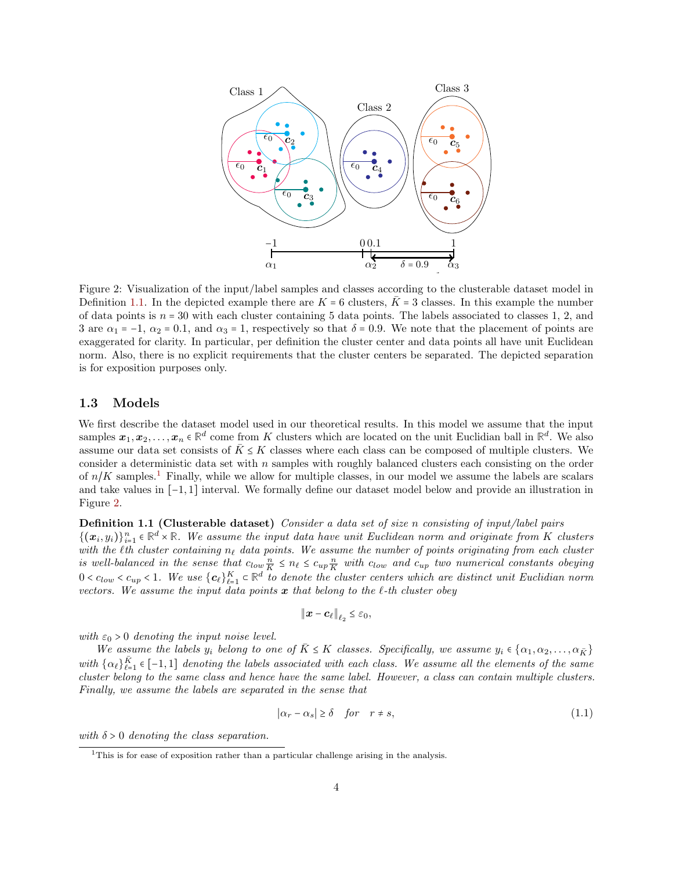<span id="page-3-2"></span>

Figure 2: Visualization of the input/label samples and classes according to the clusterable dataset model in Definition [1.1.](#page-3-0) In the depicted example there are  $K = 6$  clusters,  $\bar{K} = 3$  classes. In this example the number of data points is  $n = 30$  with each cluster containing 5 data points. The labels associated to classes 1, 2, and 3 are  $\alpha_1 = -1$ ,  $\alpha_2 = 0.1$ , and  $\alpha_3 = 1$ , respectively so that  $\delta = 0.9$ . We note that the placement of points are exaggerated for clarity. In particular, per definition the cluster center and data points all have unit Euclidean norm. Also, there is no explicit requirements that the cluster centers be separated. The depicted separation is for exposition purposes only.

#### 1.3 Models

We first describe the dataset model used in our theoretical results. In this model we assume that the input samples  $x_1, x_2, \ldots, x_n \in \mathbb{R}^d$  come from K clusters which are located on the unit Euclidian ball in  $\mathbb{R}^d$ . We also assume our data set consists of  $\bar{K} \leq K$  classes where each class can be composed of multiple clusters. We consider a deterministic data set with  $n$  samples with roughly balanced clusters each consisting on the order of  $n/K$  samples.<sup>[1](#page-3-1)</sup> Finally, while we allow for multiple classes, in our model we assume the labels are scalars and take values in [−1, 1] interval. We formally define our dataset model below and provide an illustration in Figure [2.](#page-3-2)

<span id="page-3-0"></span>Definition 1.1 (Clusterable dataset) Consider a data set of size n consisting of input/label pairs  ${(\pmb{x}_i, y_i)}_{i=1}^n \in \mathbb{R}^d \times \mathbb{R}$ . We assume the input data have unit Euclidean norm and originate from K clusters  $\{x_i, y_i\}_{i=1}^n \in \mathbb{N} \times \mathbb{N}$ . We assume the input data have anti-Eactidean norm and originate from K clusters<br>with the l<sup>th</sup> cluster containing  $n_\ell$  data points. We assume the number of points originating from each is well-balanced in the sense that  $c_{low} \frac{n}{K} \leq n_{\ell} \leq c_{up} \frac{n}{K}$  with  $c_{low}$  and  $c_{up}$  two numerical constants obeying  $0 < c_{low} < c_{up} < 1$ . We use  $\{c_\ell\}_{\ell=1}^K \subset \mathbb{R}^d$  to denote the cluster centers which are distinct unit Euclidian norm vectors. We assume the input data points  $\boldsymbol{x}$  that belong to the  $\ell$ -th cluster obey

$$
\|\boldsymbol{x}-\boldsymbol{c}_{\ell}\|_{\ell_2}\leq\varepsilon_0,
$$

with  $\varepsilon_0 > 0$  denoting the input noise level.

We assume the labels  $y_i$  belong to one of  $\bar{K} \leq K$  classes. Specifically, we assume  $y_i \in \{\alpha_1, \alpha_2, \ldots, \alpha_{\bar{K}}\}$ with  $\{\alpha_\ell\}_{\ell=1}^{\bar{K}}$  $\frac{K}{\ell-1} \in [-1, 1]$  denoting the labels associated with each class. We assume all the elements of the same cluster belong to the same class and hence have the same label. However, a class can contain multiple clusters. Finally, we assume the labels are separated in the sense that

$$
|\alpha_r - \alpha_s| \ge \delta \quad \text{for} \quad r \ne s,
$$
\n(1.1)

with  $\delta > 0$  denoting the class separation.

<span id="page-3-1"></span> $1$ This is for ease of exposition rather than a particular challenge arising in the analysis.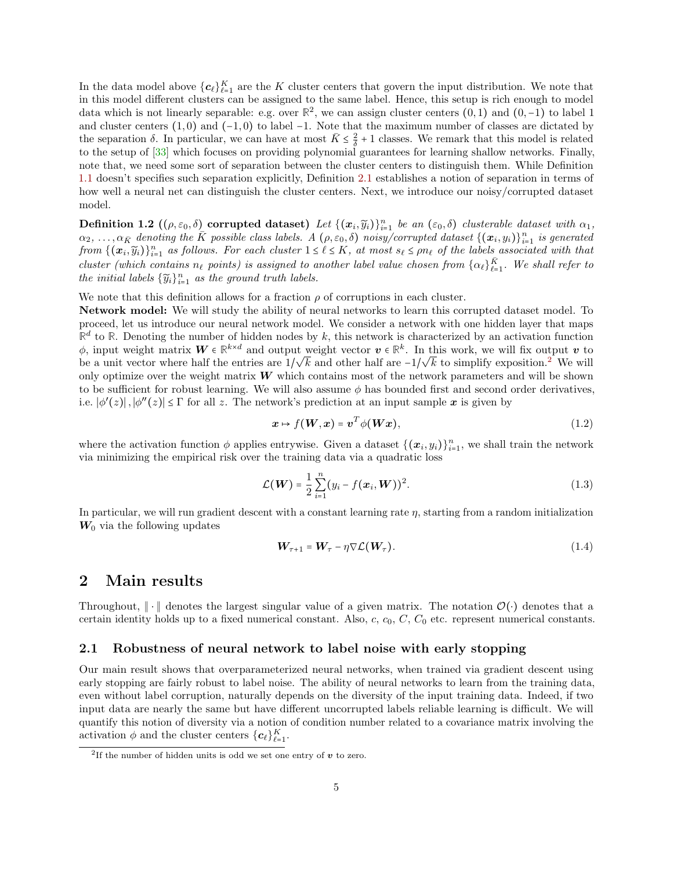In the data model above  ${c_{\ell}}_{\ell=1}^K$  are the K cluster centers that govern the input distribution. We note that in this model different clusters can be assigned to the same label. Hence, this setup is rich enough to model data which is not linearly separable: e.g. over  $\mathbb{R}^2$ , we can assign cluster centers  $(0,1)$  and  $(0,-1)$  to label 1 and cluster centers  $(1,0)$  and  $(-1,0)$  to label  $-1$ . Note that the maximum number of classes are dictated by the separation  $\delta$ . In particular, we can have at most  $\bar{K} \leq \frac{2}{\delta} + 1$  classes. We remark that this model is related to the setup of [\[33\]](#page-33-13) which focuses on providing polynomial guarantees for learning shallow networks. Finally, note that, we need some sort of separation between the cluster centers to distinguish them. While Definition [1.1](#page-3-0) doesn't specifies such separation explicitly, Definition [2.1](#page-4-0) establishes a notion of separation in terms of how well a neural net can distinguish the cluster centers. Next, we introduce our noisy/corrupted dataset model.

<span id="page-4-2"></span>**Definition 1.2**  $((\rho, \varepsilon_0, \delta)$  corrupted dataset) Let  $\{(\boldsymbol{x}_i, \widetilde{y}_i)\}_{i=1}^n$  be an  $(\varepsilon_0, \delta)$  clusterable dataset with  $\alpha_1$ ,  $\alpha_2, \ldots, \alpha_{\bar{K}}$  denoting the  $\bar{K}$  possible class labels. A  $(\rho, \varepsilon_0, \delta)$  noisy/corrupted dataset  $\{(\bm{x}_i, y_i)\}_{i=1}^n$  is generated from  $\{(\boldsymbol{x}_i, \widetilde{y}_i)\}_{i=1}^n$  as follows. For each cluster  $1 \leq \ell \leq K$ , at most  $s_\ell \leq \rho n_\ell$  of the labels associated with that cluster (which contains  $n_\ell$  points) is assigned to another label value chosen from  $\{\alpha_\ell\}_{\ell=1}^K$  $\frac{K}{\ell-1}$ . We shall refer to the initial labels  ${\{\widetilde{y}_i\}}_{i=1}^n$  as the ground truth labels.

We note that this definition allows for a fraction  $\rho$  of corruptions in each cluster.

Network model: We will study the ability of neural networks to learn this corrupted dataset model. To proceed, let us introduce our neural network model. We consider a network with one hidden layer that maps  $\mathbb{R}^d$  to  $\mathbb{R}$ . Denoting the number of hidden nodes by k, this network is characterized by an activation function  $\phi$ , input weight matrix  $\mathbf{W} \in \mathbb{R}^{k \times d}$  and output weight vector  $\mathbf{v} \in \mathbb{R}^k$ . In this work, we will fix output  $\mathbf{v}$  to be a unit vector where half the entries are  $1/\sqrt{k}$  and other half are  $-1/\sqrt{k}$  to simplify exposition.<sup>[2](#page-4-1)</sup> We will only optimize over the weight matrix  $W$  which contains most of the network parameters and will be shown to be sufficient for robust learning. We will also assume  $\phi$  has bounded first and second order derivatives, i.e.  $|\phi'(z)|, |\phi''(z)| \leq \Gamma$  for all z. The network's prediction at an input sample  $x$  is given by

$$
x \mapsto f(\boldsymbol{W}, x) = \boldsymbol{v}^T \phi(\boldsymbol{W} x), \tag{1.2}
$$

where the activation function  $\phi$  applies entrywise. Given a dataset  $\{(\boldsymbol{x}_i, y_i)\}_{i=1}^n$ , we shall train the network via minimizing the empirical risk over the training data via a quadratic loss

$$
\mathcal{L}(\boldsymbol{W}) = \frac{1}{2} \sum_{i=1}^{n} (y_i - f(\boldsymbol{x}_i, \boldsymbol{W}))^2.
$$
 (1.3)

In particular, we will run gradient descent with a constant learning rate  $\eta$ , starting from a random initialization  $W_0$  via the following updates

<span id="page-4-3"></span><span id="page-4-0"></span>
$$
\mathbf{W}_{\tau+1} = \mathbf{W}_{\tau} - \eta \nabla \mathcal{L}(\mathbf{W}_{\tau}). \tag{1.4}
$$

### 2 Main results

Throughout,  $\|\cdot\|$  denotes the largest singular value of a given matrix. The notation  $\mathcal{O}(\cdot)$  denotes that a certain identity holds up to a fixed numerical constant. Also,  $c, c_0, C, C_0$  etc. represent numerical constants.

### 2.1 Robustness of neural network to label noise with early stopping

Our main result shows that overparameterized neural networks, when trained via gradient descent using early stopping are fairly robust to label noise. The ability of neural networks to learn from the training data, even without label corruption, naturally depends on the diversity of the input training data. Indeed, if two input data are nearly the same but have different uncorrupted labels reliable learning is difficult. We will quantify this notion of diversity via a notion of condition number related to a covariance matrix involving the activation  $\phi$  and the cluster centers  $\{c_{\ell}\}_{\ell=1}^{K}$ .

<span id="page-4-1"></span><sup>&</sup>lt;sup>2</sup>If the number of hidden units is odd we set one entry of  $v$  to zero.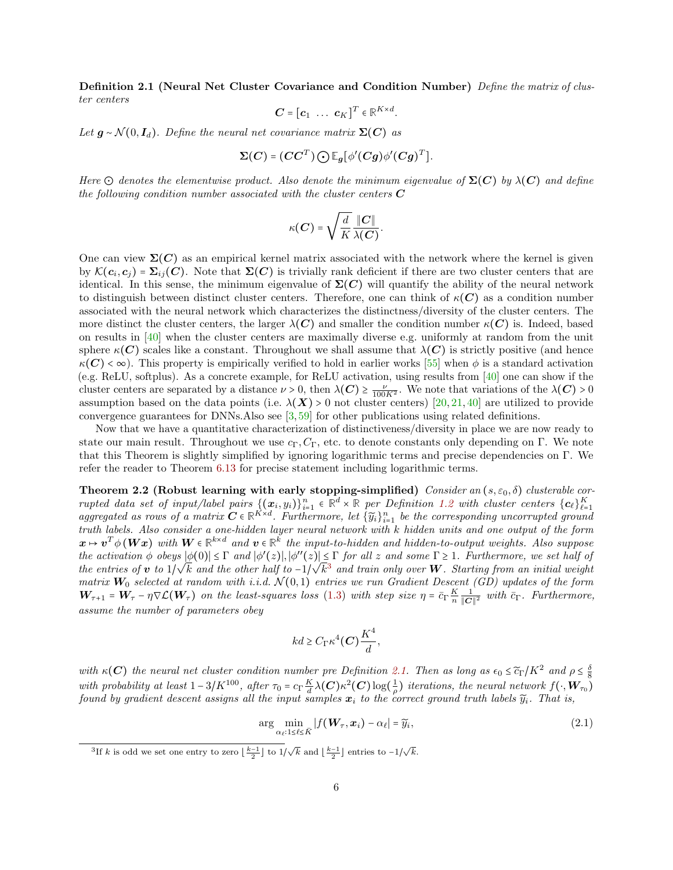Definition 2.1 (Neural Net Cluster Covariance and Condition Number) Define the matrix of cluster centers

$$
\mathbf{C} = [\mathbf{c}_1 \ \dots \ \mathbf{c}_K]^T \in \mathbb{R}^{K \times d}.
$$

Let  $g \sim \mathcal{N}(0, I_d)$ . Define the neural net covariance matrix  $\Sigma(C)$  as

$$
\Sigma(C) = (CC^T) \bigodot \mathbb{E}_{g} [\phi'(Cg)\phi'(Cg)^T].
$$

Here  $\odot$  denotes the elementwise product. Also denote the minimum eigenvalue of  $\Sigma(C)$  by  $\lambda(C)$  and define the following condition number associated with the cluster centers  $C$ 

$$
\kappa({\bm{C}}) = \sqrt{\frac{d}{K}} \frac{\|{\bm{C}}\|}{\lambda({\bm{C}})}.
$$

One can view  $\Sigma(C)$  as an empirical kernel matrix associated with the network where the kernel is given by  $\mathcal{K}(c_i, c_j) = \sum_{ij} (C)$ . Note that  $\Sigma(C)$  is trivially rank deficient if there are two cluster centers that are identical. In this sense, the minimum eigenvalue of  $\Sigma(C)$  will quantify the ability of the neural network to distinguish between distinct cluster centers. Therefore, one can think of  $\kappa(C)$  as a condition number associated with the neural network which characterizes the distinctness/diversity of the cluster centers. The more distinct the cluster centers, the larger  $\lambda(C)$  and smaller the condition number  $\kappa(C)$  is. Indeed, based on results in [\[40\]](#page-34-15) when the cluster centers are maximally diverse e.g. uniformly at random from the unit sphere  $\kappa(C)$  scales like a constant. Throughout we shall assume that  $\lambda(C)$  is strictly positive (and hence  $\kappa(C) < \infty$ ). This property is empirically verified to hold in earlier works [\[55\]](#page-34-18) when  $\phi$  is a standard activation (e.g. ReLU, softplus). As a concrete example, for ReLU activation, using results from [\[40\]](#page-34-15) one can show if the cluster centers are separated by a distance  $\nu > 0$ , then  $\lambda(C) \ge \frac{\nu}{100K^2}$ . We note that variations of the  $\lambda(C) > 0$ assumption based on the data points (i.e.  $\lambda(X) > 0$  not cluster centers) [\[20,](#page-33-11) [21,](#page-33-12) [40\]](#page-34-15) are utilized to provide convergence guarantees for DNNs.Also see  $\left[3,59\right]$  for other publications using related definitions.

Now that we have a quantitative characterization of distinctiveness/diversity in place we are now ready to state our main result. Throughout we use  $c_{\Gamma}, C_{\Gamma}$ , etc. to denote constants only depending on Γ. We note that this Theorem is slightly simplified by ignoring logarithmic terms and precise dependencies on Γ. We refer the reader to Theorem [6.13](#page-28-0) for precise statement including logarithmic terms.

Theorem 2.2 (Robust learning with early stopping-simplified) Consider an  $(s, \varepsilon_0, \delta)$  clusterable corrupted data set of input/label pairs  $\{(\mathbf{x}_i, y_i)\}_{i=1}^n \in \mathbb{R}^d \times \mathbb{R}$  per Definition [1.2](#page-4-2) with cluster centers  $\{c_\ell\}_{\ell=1}^K$  aggregated as rows of a matrix  $C \in \mathbb{R}^{K \times d}$ . Furthermore, let  $\{\widetilde{y}_i\}_{i=1}^n$  truth labels. Also consider a one-hidden layer neural network with k hidden units and one output of the form  $x \mapsto v^T \phi(Wx)$  with  $W \in \mathbb{R}^{k \times d}$  and  $v \in \mathbb{R}^k$  the input-to-hidden and hidden-to-output weights. Also suppose the activation  $\phi$  obeys  $|\phi(0)| \leq \Gamma$  and  $|\phi'(z)|, |\phi''(z)| \leq \Gamma$  for all z and some  $\Gamma \geq 1$ . Furthermore, we set half of the entries of v to  $1/\sqrt{k}$  and the other half to  $-1/\sqrt{k^3}$  $-1/\sqrt{k^3}$  $-1/\sqrt{k^3}$  and train only over W. Starting from an initial weight matrix  $W_0$  selected at random with i.i.d.  $\mathcal{N}(0,1)$  entries we run Gradient Descent (GD) updates of the form  $W_{\tau+1} = W_{\tau} - \eta \nabla \mathcal{L}(W_{\tau})$  on the least-squares loss [\(1.3\)](#page-4-3) with step size  $\eta = \bar{c}_{\Gamma} \frac{K}{n} \frac{1}{\|\mathcal{C}\|}$  $\frac{1}{\|\mathbf{C}\|^2}$  with  $\bar{c}_{\Gamma}$ . Furthermore, assume the number of parameters obey

<span id="page-5-1"></span>
$$
kd \geq C_{\Gamma} \kappa^4(\mathbf{C}) \frac{K^4}{d},
$$

with  $\kappa(C)$  the neural net cluster condition number pre Definition [2.1.](#page-4-0) Then as long as  $\epsilon_0 \leq \tilde{c}_\Gamma/K^2$  and  $\rho \leq \frac{\delta}{8}$ with probability at least  $1-3/K^{100}$ , after  $\tau_0 = c_\Gamma \frac{K}{d} \lambda(C) \kappa^2(C) \log(\frac{1}{\rho})$  iterations, the neural network  $f(\cdot, \mathbf{W}_{\tau_0})$ found by gradient descent assigns all the input samples  $x_i$  to the correct ground truth labels  $\widetilde{y}_i$ . That is,

$$
\arg\min_{\alpha_{\ell}:1\leq\ell\leq\bar{K}}|f(\boldsymbol{W}_{\tau},\boldsymbol{x}_{i})-\alpha_{\ell}|=\widetilde{y}_{i},\tag{2.1}
$$

<span id="page-5-0"></span><sup>&</sup>lt;sup>3</sup>If k is odd we set one entry to zero  $\lfloor \frac{k-1}{2} \rfloor$  to  $1/\sqrt{k}$  and  $\lfloor \frac{k-1}{2} \rfloor$  entries to  $-1/\sqrt{k}$ .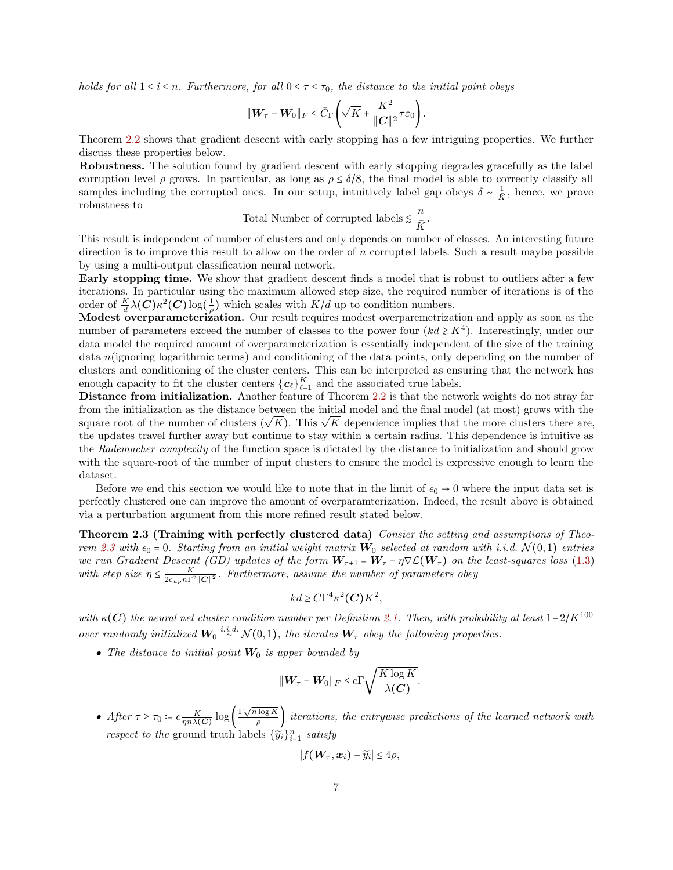holds for all  $1 \le i \le n$ . Furthermore, for all  $0 \le \tau \le \tau_0$ , the distance to the initial point obeys

$$
\|\mathbf{W}_{\tau}-\mathbf{W}_{0}\|_{F}\leq \bar{C}_{\Gamma}\left(\sqrt{K}+\frac{K^{2}}{\|\mathbf{C}\|^{2}}\tau\varepsilon_{0}\right).
$$

Theorem [2.2](#page-5-1) shows that gradient descent with early stopping has a few intriguing properties. We further discuss these properties below.

Robustness. The solution found by gradient descent with early stopping degrades gracefully as the label corruption level  $\rho$  grows. In particular, as long as  $\rho \leq \delta/8$ , the final model is able to correctly classify all samples including the corrupted ones. In our setup, intuitively label gap obeys  $\delta \sim \frac{1}{K}$ , hence, we prove robustness to

Total Number of corrupted labels  $\leq \frac{n}{\overline{K}}$  $\frac{\overline{R}}{\overline{K}}$ .

This result is independent of number of clusters and only depends on number of classes. An interesting future direction is to improve this result to allow on the order of n corrupted labels. Such a result maybe possible by using a multi-output classification neural network.

Early stopping time. We show that gradient descent finds a model that is robust to outliers after a few iterations. In particular using the maximum allowed step size, the required number of iterations is of the order of  $\frac{K}{d}\lambda(C)\kappa^2(C)\log(\frac{1}{\rho})$  which scales with  $K/d$  up to condition numbers.

Modest overparameterization. Our result requires modest overparemetrization and apply as soon as the number of parameters exceed the number of classes to the power four  $(kd \geq K^4)$ . Interestingly, under our data model the required amount of overparameterization is essentially independent of the size of the training data n(ignoring logarithmic terms) and conditioning of the data points, only depending on the number of clusters and conditioning of the cluster centers. This can be interpreted as ensuring that the network has enough capacity to fit the cluster centers  ${c_{\ell}}_{\ell=1}^K$  and the associated true labels.

Distance from initialization. Another feature of Theorem [2.2](#page-5-1) is that the network weights do not stray far from the initialization as the distance between the initial model and the final model (at most) grows with the square root of the number of clusters ( $\sqrt{K}$ ). This  $\sqrt{K}$  dependence implies that the more clusters there are, the updates travel further away but continue to stay within a certain radius. This dependence is intuitive as the Rademacher complexity of the function space is dictated by the distance to initialization and should grow with the square-root of the number of input clusters to ensure the model is expressive enough to learn the dataset.

Before we end this section we would like to note that in the limit of  $\epsilon_0 \to 0$  where the input data set is perfectly clustered one can improve the amount of overparamterization. Indeed, the result above is obtained via a perturbation argument from this more refined result stated below.

<span id="page-6-0"></span>Theorem 2.3 (Training with perfectly clustered data) Consier the setting and assumptions of Theo-rem [2.3](#page-6-0) with  $\epsilon_0 = 0$ . Starting from an initial weight matrix  $W_0$  selected at random with i.i.d.  $\mathcal{N}(0,1)$  entries we run Gradient Descent (GD) updates of the form  $W_{\tau+1} = W_{\tau} - \eta \nabla \mathcal{L}(W_{\tau})$  on the least-squares loss [\(1.3\)](#page-4-3) with step size  $\eta \leq \frac{K}{2c_{up}n\Gamma^2\|\mathcal{C}\|^2}$ . Furthermore, assume the number of parameters obey

$$
kd \geq C\Gamma^4\kappa^2(\mathbf{C})K^2,
$$

with  $\kappa(C)$  the neural net cluster condition number per Definition [2.1.](#page-4-0) Then, with probability at least  $1-2/K^{100}$ over randomly initialized  $W_0 \stackrel{i.i.d.}{\sim} \mathcal{N}(0,1)$ , the iterates  $W_{\tau}$  obey the following properties.

• The distance to initial point  $W_0$  is upper bounded by

$$
\|\mathbf{W}_{\tau}-\mathbf{W}_0\|_F \leq c \Gamma \sqrt{\frac{K \log K}{\lambda(C)}}.
$$

• After  $\tau \ge \tau_0 := c \frac{K}{\eta n \lambda(C)} \log \left( \frac{\Gamma \sqrt{n \log K}}{\rho} \right)$  $\left(\frac{\log R}{\rho}\right)$  iterations, the entrywise predictions of the learned network with respect to the ground truth labels  $\{\widetilde{y}_i\}_{i=1}^n$  satisfy

$$
|f(\boldsymbol{W}_{\tau},\boldsymbol{x}_i)-\widetilde{y}_i|\leq 4\rho,
$$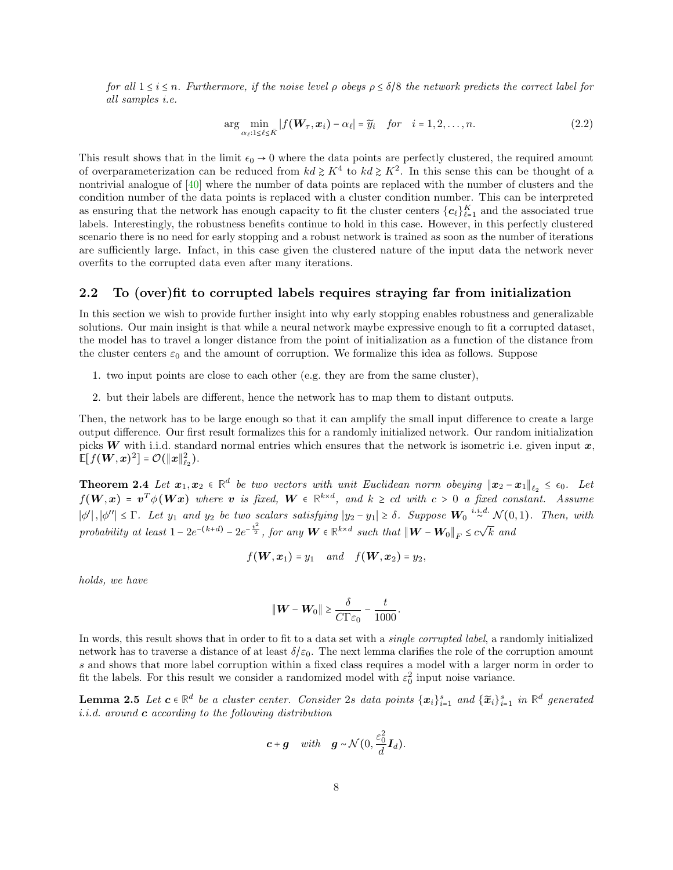for all  $1 \le i \le n$ . Furthermore, if the noise level  $\rho$  obeys  $\rho \le \delta/8$  the network predicts the correct label for all samples i.e.

<span id="page-7-1"></span>
$$
\arg\min_{\alpha_{\ell}:1\leq\ell\leq\bar{K}}|f(\boldsymbol{W}_{\tau},\boldsymbol{x}_{i})-\alpha_{\ell}|=\widetilde{y}_{i} \quad \text{for} \quad i=1,2,\ldots,n. \tag{2.2}
$$

This result shows that in the limit  $\epsilon_0 \rightarrow 0$  where the data points are perfectly clustered, the required amount of overparameterization can be reduced from  $kd \geq K^4$  to  $kd \geq K^2$ . In this sense this can be thought of a nontrivial analogue of [\[40\]](#page-34-15) where the number of data points are replaced with the number of clusters and the condition number of the data points is replaced with a cluster condition number. This can be interpreted as ensuring that the network has enough capacity to fit the cluster centers  ${c_{\ell}}_{\ell=1}^K$  and the associated true labels. Interestingly, the robustness benefits continue to hold in this case. However, in this perfectly clustered scenario there is no need for early stopping and a robust network is trained as soon as the number of iterations are sufficiently large. Infact, in this case given the clustered nature of the input data the network never overfits to the corrupted data even after many iterations.

### 2.2 To (over)fit to corrupted labels requires straying far from initialization

In this section we wish to provide further insight into why early stopping enables robustness and generalizable solutions. Our main insight is that while a neural network maybe expressive enough to fit a corrupted dataset, the model has to travel a longer distance from the point of initialization as a function of the distance from the cluster centers  $\varepsilon_0$  and the amount of corruption. We formalize this idea as follows. Suppose

- 1. two input points are close to each other (e.g. they are from the same cluster),
- 2. but their labels are different, hence the network has to map them to distant outputs.

Then, the network has to be large enough so that it can amplify the small input difference to create a large output difference. Our first result formalizes this for a randomly initialized network. Our random initialization picks W with i.i.d. standard normal entries which ensures that the network is isometric i.e. given input  $x$ ,  $\mathbb{E}[f(\boldsymbol{W}, \boldsymbol{x})^2] = \mathcal{O}(\|\boldsymbol{x}\|_{\ell_2}^2).$ 

<span id="page-7-0"></span>**Theorem 2.4** Let  $x_1, x_2 \in \mathbb{R}^d$  be two vectors with unit Euclidean norm obeying  $||x_2 - x_1||_{\ell_2} \leq \epsilon_0$ . Let  $f(\boldsymbol{W}, \boldsymbol{x}) = \boldsymbol{v}^T \phi(\boldsymbol{W} \boldsymbol{x})$  where  $\boldsymbol{v}$  is fixed,  $\boldsymbol{W} \in \mathbb{R}^{k \times d}$ , and  $k \geq cd$  with  $c > 0$  a fixed constant. Assume  $|\phi'|, |\phi''| \leq \Gamma$ . Let  $y_1$  and  $y_2$  be two scalars satisfying  $|y_2 - y_1| \geq \delta$ . Suppose  $W_0 \stackrel{i.i.d.}{\sim} \mathcal{N}(0,1)$ . Then, with probability at least  $1 - 2e^{-(k+d)} - 2e^{-\frac{t^2}{2}}$ , for any  $\boldsymbol{W} \in \mathbb{R}^{k \times d}$  such that  $\|\boldsymbol{W} - \boldsymbol{W}_0\|_F \le c\sqrt{k}$  and

$$
f(\boldsymbol{W},\boldsymbol{x}_1)=y_1 \quad and \quad f(\boldsymbol{W},\boldsymbol{x}_2)=y_2,
$$

holds, we have

$$
\|\mathbf{W} - \mathbf{W}_0\| \ge \frac{\delta}{C\Gamma\varepsilon_0} - \frac{t}{1000}
$$

<span id="page-7-2"></span>.

In words, this result shows that in order to fit to a data set with a *single corrupted label*, a randomly initialized network has to traverse a distance of at least  $\delta/\varepsilon_0$ . The next lemma clarifies the role of the corruption amount s and shows that more label corruption within a fixed class requires a model with a larger norm in order to fit the labels. For this result we consider a randomized model with  $\varepsilon_0^2$  input noise variance.

**Lemma 2.5** Let  $c \in \mathbb{R}^d$  be a cluster center. Consider 2s data points  $\{x_i\}_{i=1}^s$  and  $\{\widetilde{x}_i\}_{i=1}^s$  in  $\mathbb{R}^d$  generated *i.i.d.* around  $\boldsymbol{c}$  according to the following distribution

$$
c+g
$$
 with  $g \sim \mathcal{N}(0, \frac{\varepsilon_0^2}{d}I_d)$ .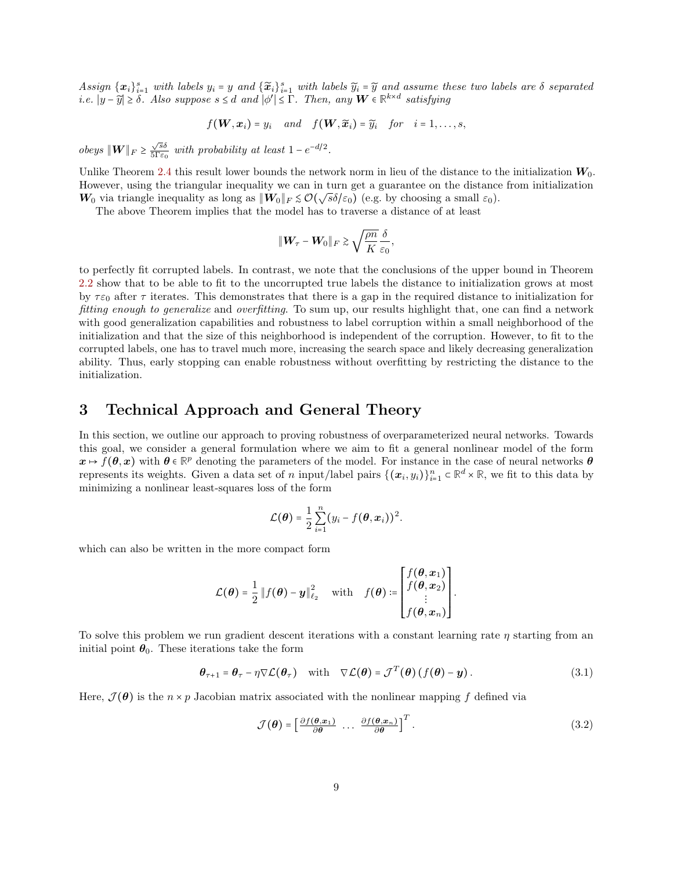Assign  $\{x_i\}_{i=1}^s$  with labels  $y_i = y$  and  $\{\widetilde{x}_i\}_{i=1}^s$  with labels  $\widetilde{y}_i = \widetilde{y}$  and assume these two labels are  $\delta$  separated i.e.  $|y - \widetilde{y}| \ge \delta$ . Also suppose  $s \le d$  and  $|\phi'| \le \Gamma$ . Then, any **W** ∈  $\mathbb{R}^{k \times d}$  satisfying

$$
f(\boldsymbol{W}, \boldsymbol{x}_i) = y_i
$$
 and  $f(\boldsymbol{W}, \widetilde{\boldsymbol{x}}_i) = \widetilde{y}_i$  for  $i = 1, ..., s$ ,

*obeys*  $\|\boldsymbol{W}\|_F \geq \frac{\sqrt{s}\delta}{5\Gamma\varepsilon_0}$  $\frac{\sqrt{ss}}{5\Gamma\varepsilon_0}$  with probability at least  $1-e^{-d/2}$ .

Unlike Theorem [2.4](#page-7-0) this result lower bounds the network norm in lieu of the distance to the initialization  $W_0$ . However, using the triangular inequality we can in turn get a guarantee on the distance from initialization W<sub>0</sub> via triangle inequality as long as  $\|\mathbf{W}_0\|_F \lesssim \mathcal{O}(\sqrt{s}\delta/\varepsilon_0)$  (e.g. by choosing a small  $\varepsilon_0$ ).

The above Theorem implies that the model has to traverse a distance of at least

$$
\|\mathbf{W}_{\tau} - \mathbf{W}_0\|_F \gtrsim \sqrt{\frac{\rho n}{K}} \frac{\delta}{\varepsilon_0},
$$

to perfectly fit corrupted labels. In contrast, we note that the conclusions of the upper bound in Theorem [2.2](#page-5-1) show that to be able to fit to the uncorrupted true labels the distance to initialization grows at most by  $\tau \varepsilon_0$  after  $\tau$  iterates. This demonstrates that there is a gap in the required distance to initialization for fitting enough to generalize and overfitting. To sum up, our results highlight that, one can find a network with good generalization capabilities and robustness to label corruption within a small neighborhood of the initialization and that the size of this neighborhood is independent of the corruption. However, to fit to the corrupted labels, one has to travel much more, increasing the search space and likely decreasing generalization ability. Thus, early stopping can enable robustness without overfitting by restricting the distance to the initialization.

### <span id="page-8-1"></span>3 Technical Approach and General Theory

In this section, we outline our approach to proving robustness of overparameterized neural networks. Towards this goal, we consider a general formulation where we aim to fit a general nonlinear model of the form  $x \mapsto f(\theta, x)$  with  $\theta \in \mathbb{R}^p$  denoting the parameters of the model. For instance in the case of neural networks  $\theta$ represents its weights. Given a data set of n input/label pairs  $\{(\boldsymbol{x}_i, y_i)\}_{i=1}^n \subset \mathbb{R}^d \times \mathbb{R}$ , we fit to this data by minimizing a nonlinear least-squares loss of the form

$$
\mathcal{L}(\boldsymbol{\theta}) = \frac{1}{2} \sum_{i=1}^n (y_i - f(\boldsymbol{\theta}, \boldsymbol{x}_i))^2.
$$

which can also be written in the more compact form

$$
\mathcal{L}(\boldsymbol{\theta}) = \frac{1}{2} || f(\boldsymbol{\theta}) - \boldsymbol{y} ||_{\ell_2}^2 \quad \text{ with } \quad f(\boldsymbol{\theta}) := \begin{bmatrix} f(\boldsymbol{\theta}, \boldsymbol{x}_1) \\ f(\boldsymbol{\theta}, \boldsymbol{x}_2) \\ \vdots \\ f(\boldsymbol{\theta}, \boldsymbol{x}_n) \end{bmatrix}.
$$

To solve this problem we run gradient descent iterations with a constant learning rate  $\eta$  starting from an initial point  $\theta_0$ . These iterations take the form

$$
\boldsymbol{\theta}_{\tau+1} = \boldsymbol{\theta}_{\tau} - \eta \nabla \mathcal{L}(\boldsymbol{\theta}_{\tau}) \quad \text{with} \quad \nabla \mathcal{L}(\boldsymbol{\theta}) = \mathcal{J}^T(\boldsymbol{\theta}) \left( f(\boldsymbol{\theta}) - \mathbf{y} \right). \tag{3.1}
$$

Here,  $\mathcal{J}(\theta)$  is the  $n \times p$  Jacobian matrix associated with the nonlinear mapping f defined via

<span id="page-8-2"></span><span id="page-8-0"></span>
$$
\mathcal{J}(\boldsymbol{\theta}) = \left[\frac{\partial f(\boldsymbol{\theta}, \boldsymbol{x}_1)}{\partial \boldsymbol{\theta}} \dots \frac{\partial f(\boldsymbol{\theta}, \boldsymbol{x}_n)}{\partial \boldsymbol{\theta}}\right]^T.
$$
 (3.2)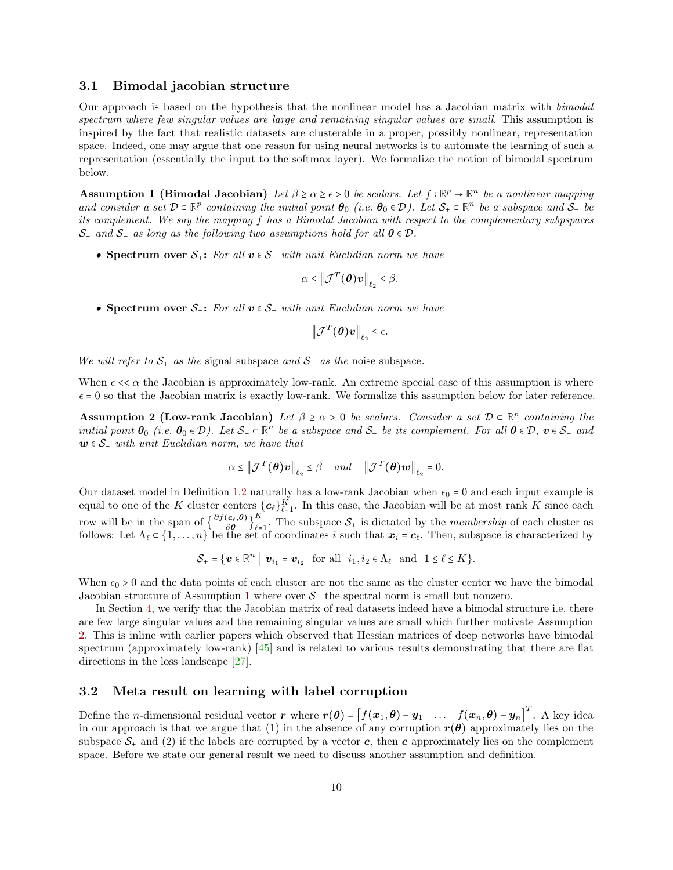#### 3.1 Bimodal jacobian structure

Our approach is based on the hypothesis that the nonlinear model has a Jacobian matrix with bimodal spectrum where few singular values are large and remaining singular values are small. This assumption is inspired by the fact that realistic datasets are clusterable in a proper, possibly nonlinear, representation space. Indeed, one may argue that one reason for using neural networks is to automate the learning of such a representation (essentially the input to the softmax layer). We formalize the notion of bimodal spectrum below.

<span id="page-9-0"></span>Assumption 1 (Bimodal Jacobian) Let  $\beta \ge \alpha \ge \epsilon > 0$  be scalars. Let  $f : \mathbb{R}^p \to \mathbb{R}^n$  be a nonlinear mapping and consider a set  $D \subset \mathbb{R}^p$  containing the initial point  $\theta_0$  (i.e.  $\theta_0 \in \mathcal{D}$ ). Let  $S_+ \subset \mathbb{R}^n$  be a subspace and  $S_-$  be its complement. We say the mapping f has a Bimodal Jacobian with respect to the complementary subpspaces  $S_+$  and  $S_-$  as long as the following two assumptions hold for all  $\theta \in \mathcal{D}$ .

• Spectrum over  $S_+$ : For all  $v \in S_+$  with unit Euclidian norm we have

$$
\alpha \leq \left\|\mathcal{J}^T(\boldsymbol{\theta})\boldsymbol{v}\right\|_{\ell_2} \leq \beta.
$$

• Spectrum over  $S_$ : For all  $v \in S_$  with unit Euclidian norm we have

<span id="page-9-1"></span>
$$
\left\|\mathcal{J}^T(\boldsymbol{\theta})\boldsymbol{v}\right\|_{\ell_2} \leq \epsilon.
$$

We will refer to  $S_+$  as the signal subspace and  $S_-$  as the noise subspace.

When  $\epsilon < \alpha$  the Jacobian is approximately low-rank. An extreme special case of this assumption is where  $\epsilon = 0$  so that the Jacobian matrix is exactly low-rank. We formalize this assumption below for later reference.

Assumption 2 (Low-rank Jacobian) Let  $\beta \ge \alpha > 0$  be scalars. Consider a set  $D \subset \mathbb{R}^p$  containing the initial point  $\theta_0$  (i.e.  $\theta_0 \in \mathcal{D}$ ). Let  $\mathcal{S}_+ \subset \mathbb{R}^n$  be a subspace and  $\mathcal{S}_-$  be its complement. For all  $\theta \in \mathcal{D}$ ,  $v \in \mathcal{S}_+$  and  $w \in S_$  with unit Euclidian norm, we have that

$$
\alpha \leq \left\|\mathcal{J}^T(\boldsymbol{\theta})\boldsymbol{v}\right\|_{\ell_2} \leq \beta \quad and \quad \left\|\mathcal{J}^T(\boldsymbol{\theta})\boldsymbol{w}\right\|_{\ell_2} = 0.
$$

Our dataset model in Definition [1.2](#page-4-2) naturally has a low-rank Jacobian when  $\epsilon_0 = 0$  and each input example is equal to one of the K cluster centers  ${c_{\ell}}_{\ell=1}^K$ . In this case, the Jacobian will be at most rank K since each row will be in the span of  $\left\{\frac{\partial f(c_\ell, \theta)}{\partial \theta}\right\}$ K  $\sum_{\ell=1}^{n}$ . The subspace  $S_+$  is dictated by the *membership* of each cluster as follows: Let  $\Lambda_\ell \subset \{1, \ldots, n\}$  be the set of coordinates i such that  $x_i = c_\ell$ . Then, subspace is characterized by

<span id="page-9-2"></span>
$$
\mathcal{S}_+ = \{ \boldsymbol{v} \in \mathbb{R}^n \mid \boldsymbol{v}_{i_1} = \boldsymbol{v}_{i_2} \text{ for all } i_1, i_2 \in \Lambda_\ell \text{ and } 1 \leq \ell \leq K \}.
$$

When  $\epsilon_0 > 0$  and the data points of each cluster are not the same as the cluster center we have the bimodal Jacobian structure of Assumption [1](#page-9-0) where over S<sup>−</sup> the spectral norm is small but nonzero.

In Section [4,](#page-11-0) we verify that the Jacobian matrix of real datasets indeed have a bimodal structure i.e. there are few large singular values and the remaining singular values are small which further motivate Assumption [2.](#page-9-1) This is inline with earlier papers which observed that Hessian matrices of deep networks have bimodal spectrum (approximately low-rank) [\[45\]](#page-34-16) and is related to various results demonstrating that there are flat directions in the loss landscape [\[27\]](#page-33-19).

### 3.2 Meta result on learning with label corruption

Define the *n*-dimensional residual vector r where  $r(\theta) = [f(x_1, \theta) - y_1, \dots, f(x_n, \theta) - y_n]^T$ . A key idea in our approach is that we argue that (1) in the absence of any corruption  $r(\theta)$  approximately lies on the subspace  $S_+$  and (2) if the labels are corrupted by a vector e, then e approximately lies on the complement space. Before we state our general result we need to discuss another assumption and definition.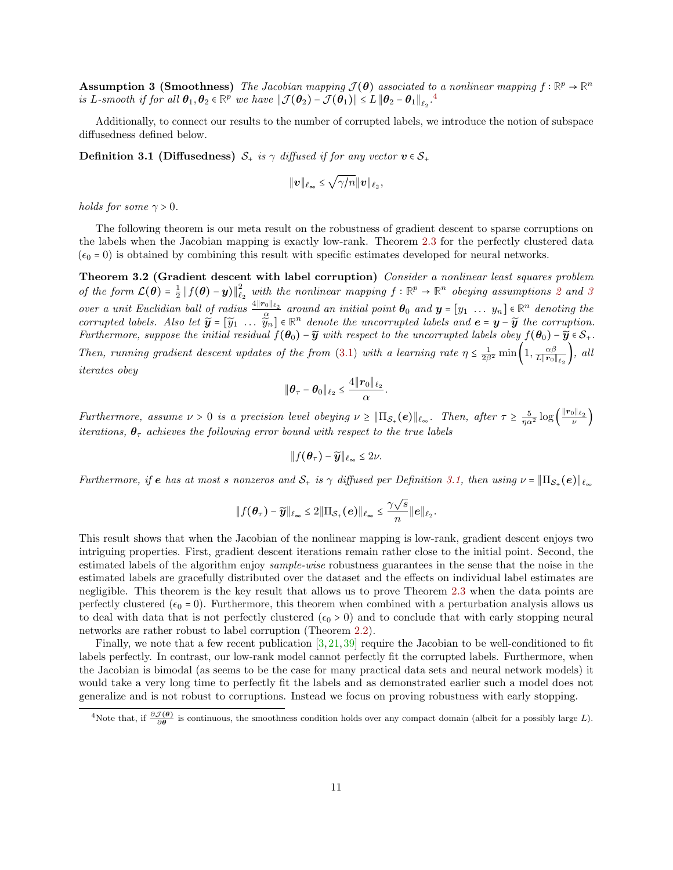Assumption 3 (Smoothness) The Jacobian mapping  $\mathcal{J}(\theta)$  associated to a nonlinear mapping  $f : \mathbb{R}^p \to \mathbb{R}^n$ is L-smooth if for all  $\boldsymbol{\theta}_1, \boldsymbol{\theta}_2 \in \mathbb{R}^p$  we have  $\|\mathcal{J}(\boldsymbol{\theta}_2) - \mathcal{J}(\boldsymbol{\theta}_1)\| \leq L \|\boldsymbol{\theta}_2 - \boldsymbol{\theta}_1\|_{\ell_2}$ .

Additionally, to connect our results to the number of corrupted labels, we introduce the notion of subspace diffusedness defined below.

**Definition 3.1 (Diffusedness)**  $S_+$  is  $\gamma$  diffused if for any vector  $v \in S_+$ 

<span id="page-10-2"></span><span id="page-10-1"></span>
$$
\|\boldsymbol{v}\|_{\ell_{\infty}} \leq \sqrt{\gamma/n} \|\boldsymbol{v}\|_{\ell_2},
$$

holds for some  $\gamma > 0$ .

The following theorem is our meta result on the robustness of gradient descent to sparse corruptions on the labels when the Jacobian mapping is exactly low-rank. Theorem [2.3](#page-6-0) for the perfectly clustered data  $(\epsilon_0 = 0)$  is obtained by combining this result with specific estimates developed for neural networks.

Theorem 3.2 (Gradient descent with label corruption) Consider a nonlinear least squares problem of the form  $\mathcal{L}(\theta) = \frac{1}{2} ||f(\theta) - y||_{\ell_2}^2$  $\mathcal{L}(\theta) = \frac{1}{2} ||f(\theta) - y||_{\ell_2}^2$  $\mathcal{L}(\theta) = \frac{1}{2} ||f(\theta) - y||_{\ell_2}^2$  with the nonlinear mapping  $f : \mathbb{R}^p \to \mathbb{R}^n$  obeying assumptions 2 and [3](#page-9-2) over a unit Euclidian ball of radius  $\frac{4\|\mathbf{r}_0\|_{\ell_2}}{\alpha}$  around an initial point  $\boldsymbol{\theta}_0$  and  $\boldsymbol{y} = [y_1 \dots y_n] \in \mathbb{R}^n$  denoting the corrupted labels. Also let  $\widetilde{y} = [\widetilde{y}_1 \dots \widetilde{y}_n] \in \mathbb{R}^n$  denote the uncorrupted labels and  $e = y - \widetilde{y}$  the corruption. Furthermore, suppose the initial residual  $f(\theta_0) - \tilde{y}$  with respect to the uncorrupted labels obey  $f(\theta_0) - \tilde{y} \in S_+$ . Then, running gradient descent updates of the from [\(3.1\)](#page-8-0) with a learning rate  $\eta \leq \frac{1}{2\beta^2} \min\left(1, \frac{\alpha\beta}{L\|\mathbf{r}_0\|}\right)$  $\frac{\alpha\beta}{L\|\bm{r}_0\|_{\ell_2}}\Big), \text{ all }$ iterates obey

$$
\|\boldsymbol{\theta}_\tau-\boldsymbol{\theta}_0\|_{\ell_2}\leq \frac{4\|\boldsymbol{r}_0\|_{\ell_2}}{\alpha}.
$$

Furthermore, assume  $\nu > 0$  is a precision level obeying  $\nu \geq \|\Pi_{\mathcal{S}_+}(e)\|_{\ell_\infty}$ . Then, after  $\tau \geq \frac{5}{\eta \alpha^2} \log\left(\frac{\|r_0\|_{\ell_2}}{\nu}\right)$ iterations,  $\theta_{\tau}$  achieves the following error bound with respect to the true labels

$$
\|f(\boldsymbol{\theta}_{\tau})-\widetilde{\boldsymbol{y}}\|_{\ell_{\infty}}\leq 2\nu.
$$

Furthermore, if  $e$  has at most s nonzeros and  $\mathcal{S}_+$  is  $\gamma$  diffused per Definition [3.1,](#page-10-1) then using  $\nu = \|\Pi_{\mathcal{S}_+}(e)\|_{\ell_\infty}$ 

$$
\|f(\boldsymbol{\theta}_{\tau})-\widetilde{\boldsymbol{y}}\|_{\ell_{\infty}}\leq 2\|\Pi_{\mathcal{S}_{+}}(\boldsymbol{e})\|_{\ell_{\infty}}\leq \frac{\gamma\sqrt{s}}{n}\|\boldsymbol{e}\|_{\ell_{2}}.
$$

This result shows that when the Jacobian of the nonlinear mapping is low-rank, gradient descent enjoys two intriguing properties. First, gradient descent iterations remain rather close to the initial point. Second, the estimated labels of the algorithm enjoy *sample-wise* robustness guarantees in the sense that the noise in the estimated labels are gracefully distributed over the dataset and the effects on individual label estimates are negligible. This theorem is the key result that allows us to prove Theorem [2.3](#page-6-0) when the data points are perfectly clustered ( $\epsilon_0 = 0$ ). Furthermore, this theorem when combined with a perturbation analysis allows us to deal with data that is not perfectly clustered ( $\epsilon_0 > 0$ ) and to conclude that with early stopping neural networks are rather robust to label corruption (Theorem [2.2\)](#page-5-1).

Finally, we note that a few recent publication [\[3,](#page-32-12) [21,](#page-33-12) [39\]](#page-33-15) require the Jacobian to be well-conditioned to fit labels perfectly. In contrast, our low-rank model cannot perfectly fit the corrupted labels. Furthermore, when the Jacobian is bimodal (as seems to be the case for many practical data sets and neural network models) it would take a very long time to perfectly fit the labels and as demonstrated earlier such a model does not generalize and is not robust to corruptions. Instead we focus on proving robustness with early stopping.

<span id="page-10-0"></span><sup>&</sup>lt;sup>4</sup>Note that, if  $\frac{\partial \mathcal{J}(\theta)}{\partial \theta}$  is continuous, the smoothness condition holds over any compact domain (albeit for a possibly large L).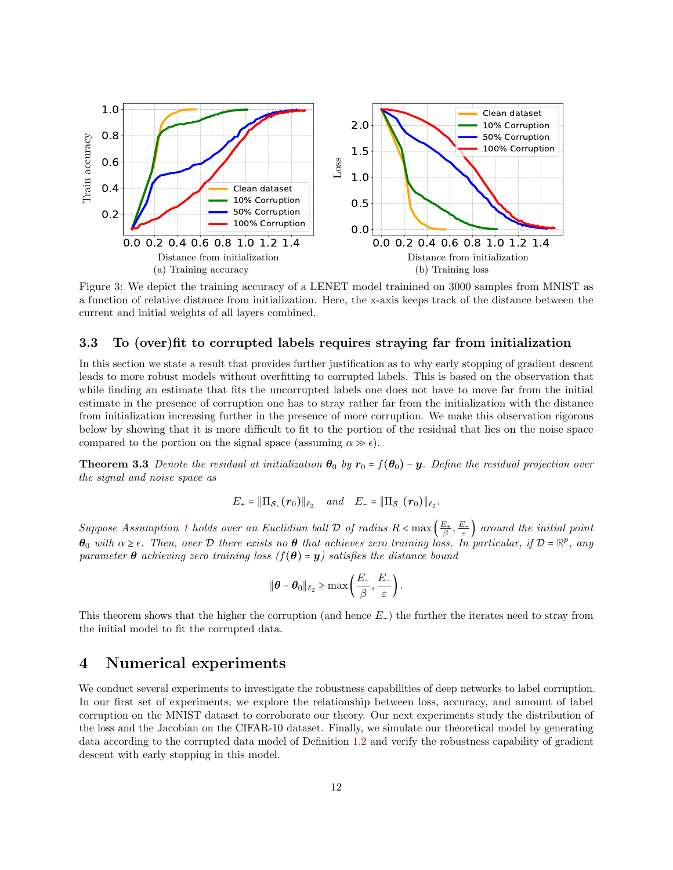<span id="page-11-1"></span>

Figure 3: We depict the training accuracy of a LENET model trainined on 3000 samples from MNIST as a function of relative distance from initialization. Here, the x-axis keeps track of the distance between the current and initial weights of all layers combined.

### 3.3 To (over)fit to corrupted labels requires straying far from initialization

In this section we state a result that provides further justification as to why early stopping of gradient descent leads to more robust models without overfitting to corrupted labels. This is based on the observation that while finding an estimate that fits the uncorrupted labels one does not have to move far from the initial estimate in the presence of corruption one has to stray rather far from the initialization with the distance from initialization increasing further in the presence of more corruption. We make this observation rigorous below by showing that it is more difficult to fit to the portion of the residual that lies on the noise space compared to the portion on the signal space (assuming  $\alpha \gg \epsilon$ ).

**Theorem 3.3** Denote the residual at initialization  $\theta_0$  by  $r_0 = f(\theta_0) - y$ . Define the residual projection over the signal and noise space as

<span id="page-11-2"></span>
$$
E_{+} = \|\Pi_{\mathcal{S}_{+}}(\bm{r}_{0})\|_{\ell_{2}} \quad and \quad E_{-} = \|\Pi_{\mathcal{S}_{-}}(\bm{r}_{0})\|_{\ell_{2}}.
$$

Suppose Assumption [1](#page-9-0) holds over an Euclidian ball  $\mathcal D$  of radius  $R < \max\left(\frac{E_+}{\beta}, \frac{E_-}{\varepsilon}\right)$  around the initial point  $\theta_0$  with  $\alpha \geq \epsilon$ . Then, over  $\mathcal D$  there exists no  $\theta$  that achieves zero training loss. In particular, if  $\mathcal D = \mathbb R^p$ , any parameter  $\theta$  achieving zero training loss  $(f(\theta) = y)$  satisfies the distance bound

$$
\|\boldsymbol{\theta}-\boldsymbol{\theta}_0\|_{\ell_2}\geq \max\left(\frac{E_+}{\beta},\frac{E_-}{\varepsilon}\right).
$$

This theorem shows that the higher the corruption (and hence  $E_{-}$ ) the further the iterates need to stray from the initial model to fit the corrupted data.

### <span id="page-11-0"></span>4 Numerical experiments

We conduct several experiments to investigate the robustness capabilities of deep networks to label corruption. In our first set of experiments, we explore the relationship between loss, accuracy, and amount of label corruption on the MNIST dataset to corroborate our theory. Our next experiments study the distribution of the loss and the Jacobian on the CIFAR-10 dataset. Finally, we simulate our theoretical model by generating data according to the corrupted data model of Definition [1.2](#page-4-2) and verify the robustness capability of gradient descent with early stopping in this model.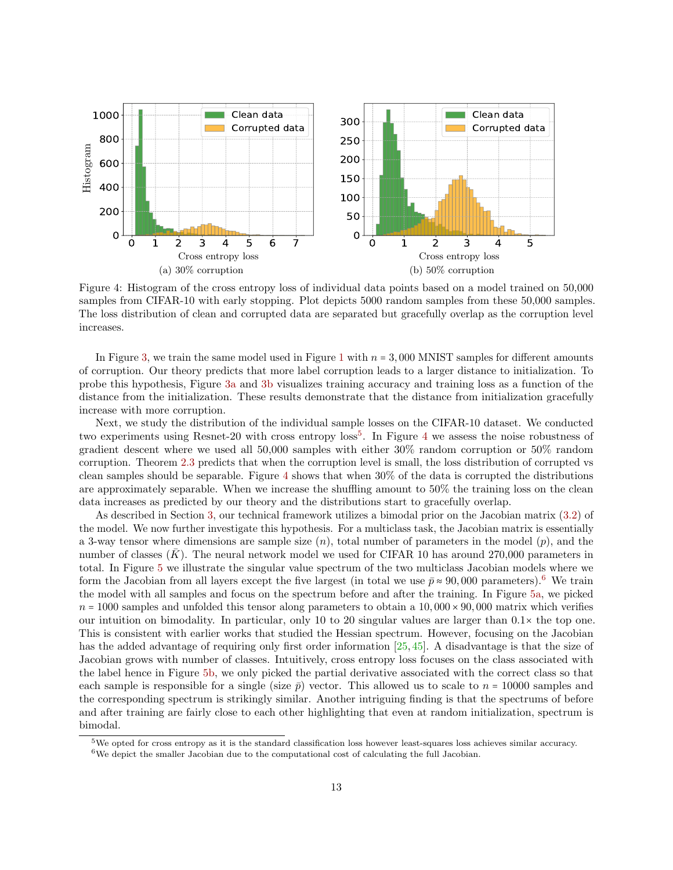<span id="page-12-1"></span>

Figure 4: Histogram of the cross entropy loss of individual data points based on a model trained on 50,000 samples from CIFAR-10 with early stopping. Plot depicts 5000 random samples from these 50,000 samples. The loss distribution of clean and corrupted data are separated but gracefully overlap as the corruption level increases.

In Figure [3,](#page-11-1) we train the same model used in Figure [1](#page-1-0) with  $n = 3,000$  MNIST samples for different amounts of corruption. Our theory predicts that more label corruption leads to a larger distance to initialization. To probe this hypothesis, Figure [3a](#page-11-1) and [3b](#page-11-1) visualizes training accuracy and training loss as a function of the distance from the initialization. These results demonstrate that the distance from initialization gracefully increase with more corruption.

Next, we study the distribution of the individual sample losses on the CIFAR-10 dataset. We conducted two experiments using Resnet-20 with cross entropy loss<sup>[5](#page-12-0)</sup>. In Figure [4](#page-12-1) we assess the noise robustness of gradient descent where we used all 50,000 samples with either 30% random corruption or 50% random corruption. Theorem [2.3](#page-6-0) predicts that when the corruption level is small, the loss distribution of corrupted vs clean samples should be separable. Figure [4](#page-12-1) shows that when 30% of the data is corrupted the distributions are approximately separable. When we increase the shuffling amount to 50% the training loss on the clean data increases as predicted by our theory and the distributions start to gracefully overlap.

As described in Section [3,](#page-8-1) our technical framework utilizes a bimodal prior on the Jacobian matrix [\(3.2\)](#page-8-2) of the model. We now further investigate this hypothesis. For a multiclass task, the Jacobian matrix is essentially a 3-way tensor where dimensions are sample size  $(n)$ , total number of parameters in the model  $(p)$ , and the number of classes  $(K)$ . The neural network model we used for CIFAR 10 has around 270,000 parameters in total. In Figure [5](#page-13-0) we illustrate the singular value spectrum of the two multiclass Jacobian models where we form the Jacobian from all layers except the five largest (in total we use  $\bar{p} \approx 90,000$  parameters).<sup>[6](#page-12-2)</sup> We train the model with all samples and focus on the spectrum before and after the training. In Figure [5a,](#page-13-0) we picked  $n = 1000$  samples and unfolded this tensor along parameters to obtain a  $10,000 \times 90,000$  matrix which verifies our intuition on bimodality. In particular, only 10 to 20 singular values are larger than  $0.1 \times$  the top one. This is consistent with earlier works that studied the Hessian spectrum. However, focusing on the Jacobian has the added advantage of requiring only first order information [\[25,](#page-33-20) [45\]](#page-34-16). A disadvantage is that the size of Jacobian grows with number of classes. Intuitively, cross entropy loss focuses on the class associated with the label hence in Figure [5b,](#page-13-0) we only picked the partial derivative associated with the correct class so that each sample is responsible for a single (size  $\bar{p}$ ) vector. This allowed us to scale to  $n = 10000$  samples and the corresponding spectrum is strikingly similar. Another intriguing finding is that the spectrums of before and after training are fairly close to each other highlighting that even at random initialization, spectrum is bimodal.

<span id="page-12-0"></span> $5$ We opted for cross entropy as it is the standard classification loss however least-squares loss achieves similar accuracy.

<span id="page-12-2"></span> $6$ We depict the smaller Jacobian due to the computational cost of calculating the full Jacobian.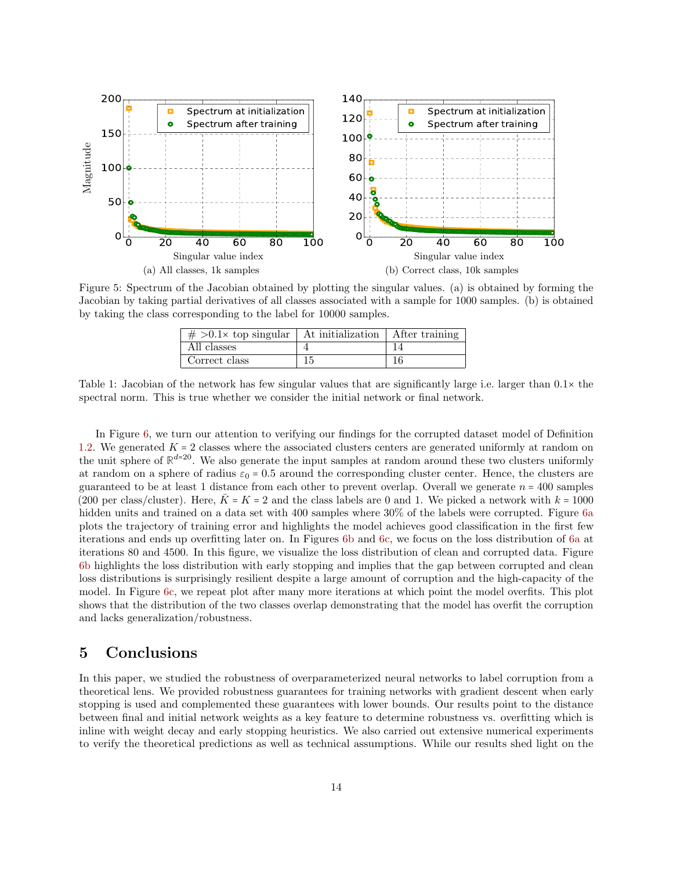<span id="page-13-0"></span>

Figure 5: Spectrum of the Jacobian obtained by plotting the singular values. (a) is obtained by forming the Jacobian by taking partial derivatives of all classes associated with a sample for 1000 samples. (b) is obtained by taking the class corresponding to the label for 10000 samples.

| $\# > 0.1 \times$ top singular   At initialization   After training |    |  |
|---------------------------------------------------------------------|----|--|
| All classes                                                         |    |  |
| Correct class                                                       | 15 |  |

Table 1: Jacobian of the network has few singular values that are significantly large i.e. larger than  $0.1 \times$  the spectral norm. This is true whether we consider the initial network or final network.

In Figure [6,](#page-14-0) we turn our attention to verifying our findings for the corrupted dataset model of Definition [1.2.](#page-4-2) We generated  $K = 2$  classes where the associated clusters centers are generated uniformly at random on the unit sphere of  $\mathbb{R}^{d=20}$ . We also generate the input samples at random around these two clusters uniformly at random on a sphere of radius  $\varepsilon_0 = 0.5$  around the corresponding cluster center. Hence, the clusters are guaranteed to be at least 1 distance from each other to prevent overlap. Overall we generate  $n = 400$  samples (200 per class/cluster). Here,  $\bar{K}$  = K = 2 and the class labels are 0 and 1. We picked a network with  $k = 1000$ hidden units and trained on a data set with 400 samples where 30% of the labels were corrupted. Figure [6a](#page-14-0) plots the trajectory of training error and highlights the model achieves good classification in the first few iterations and ends up overfitting later on. In Figures [6b](#page-14-0) and [6c,](#page-14-0) we focus on the loss distribution of [6a](#page-14-0) at iterations 80 and 4500. In this figure, we visualize the loss distribution of clean and corrupted data. Figure [6b](#page-14-0) highlights the loss distribution with early stopping and implies that the gap between corrupted and clean loss distributions is surprisingly resilient despite a large amount of corruption and the high-capacity of the model. In Figure [6c,](#page-14-0) we repeat plot after many more iterations at which point the model overfits. This plot shows that the distribution of the two classes overlap demonstrating that the model has overfit the corruption and lacks generalization/robustness.

### 5 Conclusions

In this paper, we studied the robustness of overparameterized neural networks to label corruption from a theoretical lens. We provided robustness guarantees for training networks with gradient descent when early stopping is used and complemented these guarantees with lower bounds. Our results point to the distance between final and initial network weights as a key feature to determine robustness vs. overfitting which is inline with weight decay and early stopping heuristics. We also carried out extensive numerical experiments to verify the theoretical predictions as well as technical assumptions. While our results shed light on the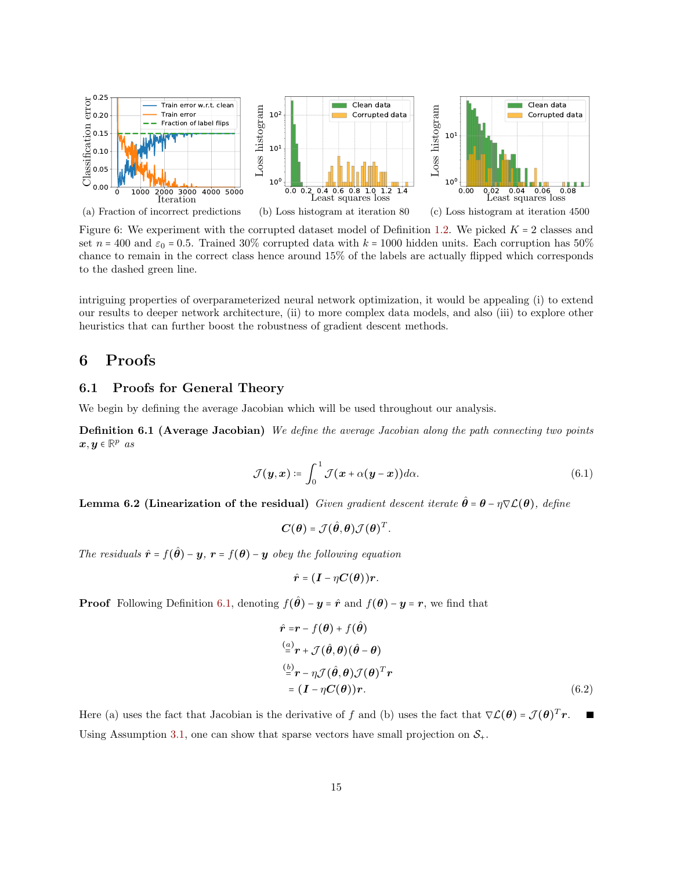<span id="page-14-0"></span>

Figure 6: We experiment with the corrupted dataset model of Definition [1.2.](#page-4-2) We picked  $K = 2$  classes and set  $n = 400$  and  $\varepsilon_0 = 0.5$ . Trained 30% corrupted data with  $k = 1000$  hidden units. Each corruption has 50% chance to remain in the correct class hence around 15% of the labels are actually flipped which corresponds to the dashed green line.

intriguing properties of overparameterized neural network optimization, it would be appealing (i) to extend our results to deeper network architecture, (ii) to more complex data models, and also (iii) to explore other heuristics that can further boost the robustness of gradient descent methods.

### 6 Proofs

### 6.1 Proofs for General Theory

We begin by defining the average Jacobian which will be used throughout our analysis.

Definition 6.1 (Average Jacobian) We define the average Jacobian along the path connecting two points  $\boldsymbol{x}, \boldsymbol{y} \in \mathbb{R}^p$  as

$$
\mathcal{J}(\boldsymbol{y},\boldsymbol{x}) \coloneqq \int_0^1 \mathcal{J}(\boldsymbol{x} + \alpha(\boldsymbol{y} - \boldsymbol{x})) d\alpha.
$$
 (6.1)

<span id="page-14-2"></span>Lemma 6.2 (Linearization of the residual) Given gradient descent iterate  $\hat{\theta} = \theta - \eta \nabla \mathcal{L}(\theta)$ , define

<span id="page-14-1"></span>
$$
\mathbf{C}(\boldsymbol{\theta}) = \mathcal{J}(\hat{\boldsymbol{\theta}}, \boldsymbol{\theta}) \mathcal{J}(\boldsymbol{\theta})^T.
$$

The residuals  $\hat{\mathbf{r}} = f(\hat{\theta}) - \mathbf{y}$ ,  $\mathbf{r} = f(\theta) - \mathbf{y}$  obey the following equation

$$
\hat{\boldsymbol{r}} = (\boldsymbol{I} - \eta \boldsymbol{C}(\boldsymbol{\theta})) \boldsymbol{r}.
$$

**Proof** Following Definition [6.1,](#page-14-1) denoting  $f(\hat{\theta}) - y = \hat{r}$  and  $f(\theta) - y = r$ , we find that

$$
\hat{r} = r - f(\theta) + f(\hat{\theta})
$$
  
\n
$$
\stackrel{(a)}{=} r + \mathcal{J}(\hat{\theta}, \theta)(\hat{\theta} - \theta)
$$
  
\n
$$
\stackrel{(b)}{=} r - \eta \mathcal{J}(\hat{\theta}, \theta) \mathcal{J}(\theta)^T r
$$
  
\n
$$
= (I - \eta C(\theta))r.
$$
\n(6.2)

Here (a) uses the fact that Jacobian is the derivative of f and (b) uses the fact that  $\nabla \mathcal{L}(\theta) = \mathcal{J}(\theta)^T r$ . × Using Assumption [3.1,](#page-10-1) one can show that sparse vectors have small projection on  $S_{+}$ .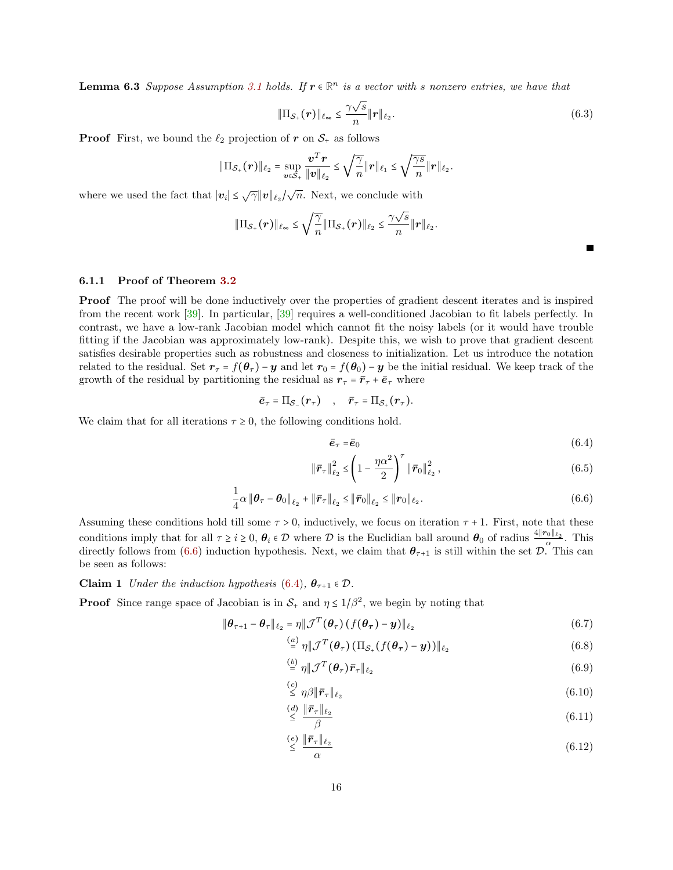**Lemma 6.3** Suppose Assumption [3.1](#page-10-1) holds. If  $r \in \mathbb{R}^n$  is a vector with s nonzero entries, we have that

$$
\|\Pi_{\mathcal{S}_+}(\boldsymbol{r})\|_{\ell_\infty} \leq \frac{\gamma \sqrt{s}}{n} \|\boldsymbol{r}\|_{\ell_2}.
$$
\n(6.3)

**Proof** First, we bound the  $\ell_2$  projection of r on  $S_+$  as follows

$$
\|\Pi_{\mathcal{S}_+}(\bm{r})\|_{\ell_2} = \sup_{\bm{v}\in\mathcal{S}_+}\frac{\bm{v}^T\bm{r}}{\|\bm{v}\|_{\ell_2}} \leq \sqrt{\frac{\gamma}{n}}\|\bm{r}\|_{\ell_1} \leq \sqrt{\frac{\gamma s}{n}}\|\bm{r}\|_{\ell_2}.
$$

where we used the fact that  $|v_i| \leq \sqrt{\gamma} ||v||_{\ell_2}/\sqrt{n}$ . Next, we conclude with

$$
\|\Pi_{\mathcal{S}_+}(\bm{r})\|_{\ell_\infty} \leq \sqrt{\frac{\gamma}{n}} \|\Pi_{\mathcal{S}_+}(\bm{r})\|_{\ell_2} \leq \frac{\gamma \sqrt{s}}{n} \|\bm{r}\|_{\ell_2}.
$$

#### 6.1.1 Proof of Theorem [3.2](#page-10-2)

Proof The proof will be done inductively over the properties of gradient descent iterates and is inspired from the recent work [\[39\]](#page-33-15). In particular, [\[39\]](#page-33-15) requires a well-conditioned Jacobian to fit labels perfectly. In contrast, we have a low-rank Jacobian model which cannot fit the noisy labels (or it would have trouble fitting if the Jacobian was approximately low-rank). Despite this, we wish to prove that gradient descent satisfies desirable properties such as robustness and closeness to initialization. Let us introduce the notation related to the residual. Set  $r_{\tau} = f(\theta_{\tau}) - y$  and let  $r_0 = f(\theta_0) - y$  be the initial residual. We keep track of the growth of the residual by partitioning the residual as  $r_{\tau} = \bar{r}_{\tau} + \bar{e}_{\tau}$  where

$$
\bar{e}_{\tau} = \Pi_{\mathcal{S}_-}(\mathbf{r}_{\tau})
$$
,  $\bar{\mathbf{r}}_{\tau} = \Pi_{\mathcal{S}_+}(\mathbf{r}_{\tau}).$ 

We claim that for all iterations  $\tau \geq 0$ , the following conditions hold.

$$
\bar{e}_{\tau} = \bar{e}_0 \tag{6.4}
$$

<span id="page-15-1"></span><span id="page-15-0"></span>Г

$$
\|\bar{r}_{\tau}\|_{\ell_2}^2 \le \left(1 - \frac{\eta \alpha^2}{2}\right)^{\tau} \|\bar{r}_0\|_{\ell_2}^2 ,\qquad (6.5)
$$

$$
\frac{1}{4}\alpha \left\|\boldsymbol{\theta}_{\tau}-\boldsymbol{\theta}_{0}\right\|_{\ell_{2}}+\left\|\bar{\boldsymbol{r}}_{\tau}\right\|_{\ell_{2}} \leq \left\|\bar{\boldsymbol{r}}_{0}\right\|_{\ell_{2}} \leq \left\|\boldsymbol{r}_{0}\right\|_{\ell_{2}}.\tag{6.6}
$$

Assuming these conditions hold till some  $\tau > 0$ , inductively, we focus on iteration  $\tau + 1$ . First, note that these conditions imply that for all  $\tau \geq i \geq 0$ ,  $\theta_i \in \mathcal{D}$  where  $\mathcal{D}$  is the Euclidian ball around  $\theta_0$  of radius  $\frac{4\|\boldsymbol{r}_0\|_{\ell_2}}{\alpha}$ . This directly follows from [\(6.6\)](#page-15-0) induction hypothesis. Next, we claim that  $\theta_{\tau+1}$  is still within the set  $\mathcal{D}$ . This can be seen as follows:

**Claim 1** Under the induction hypothesis [\(6.4\)](#page-15-1),  $\theta_{\tau+1} \in \mathcal{D}$ .

**Proof** Since range space of Jacobian is in  $S_+$  and  $\eta \leq 1/\beta^2$ , we begin by noting that

$$
\|\boldsymbol{\theta}_{\tau+1} - \boldsymbol{\theta}_{\tau}\|_{\ell_2} = \eta \|\mathcal{J}^T(\boldsymbol{\theta}_{\tau}) \left(f(\boldsymbol{\theta}_{\tau}) - \boldsymbol{y}\right)\|_{\ell_2} \tag{6.7}
$$

$$
\stackrel{(a)}{=} \eta \|\mathcal{J}^T(\boldsymbol{\theta}_\tau) \left(\Pi_{\mathcal{S}_+}(f(\boldsymbol{\theta}_\tau) - \boldsymbol{y})\right)\|_{\ell_2} \tag{6.8}
$$

$$
\stackrel{(b)}{=} \eta \|\mathcal{J}^T(\boldsymbol{\theta}_\tau)\bar{\boldsymbol{r}}_\tau\|_{\ell_2} \tag{6.9}
$$

$$
\stackrel{(c)}{\leq} \eta \beta \| \bar{r}_{\tau} \|_{\ell_2} \tag{6.10}
$$

$$
\stackrel{(d)}{\leq} \frac{\|\bar{\boldsymbol{r}}_{\tau}\|_{\ell_2}}{\beta} \tag{6.11}
$$

$$
\stackrel{(e)}{\leq} \frac{\|\bar{\boldsymbol{r}}_{\tau}\|_{\ell_2}}{\alpha} \tag{6.12}
$$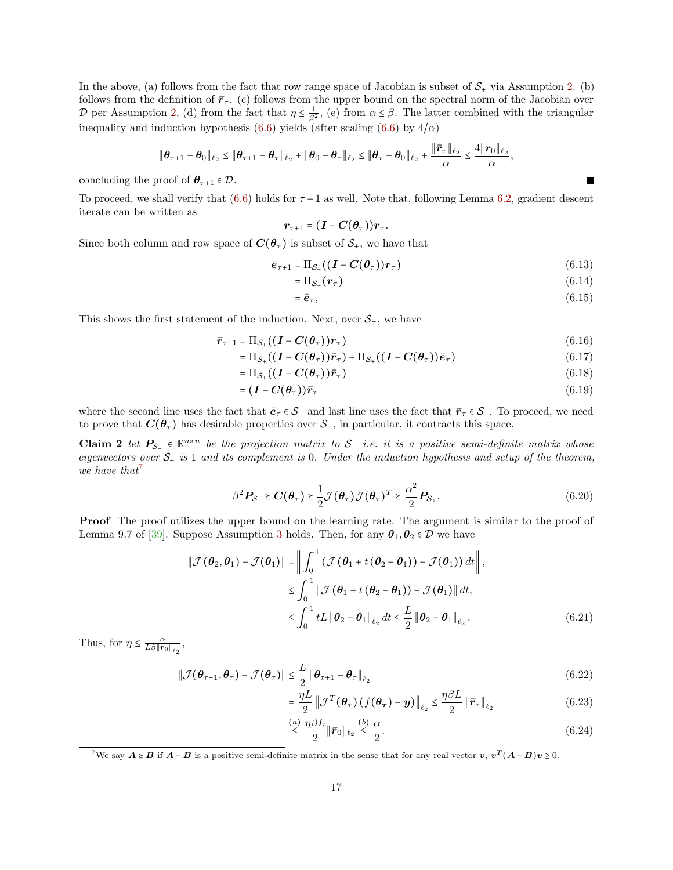In the above, (a) follows from the fact that row range space of Jacobian is subset of  $S<sub>+</sub>$  via Assumption [2.](#page-9-1) (b) follows from the definition of  $\bar{r}_{\tau}$ . (c) follows from the upper bound on the spectral norm of the Jacobian over D per Assumption [2,](#page-9-1) (d) from the fact that  $\eta \leq \frac{1}{\beta^2}$ , (e) from  $\alpha \leq \beta$ . The latter combined with the triangular inequality and induction hypothesis [\(6.6\)](#page-15-0) yields (after scaling (6.6) by  $4/\alpha$ )

$$
\|\boldsymbol{\theta}_{\tau+1}-\boldsymbol{\theta}_0\|_{\ell_2}\leq \|\boldsymbol{\theta}_{\tau+1}-\boldsymbol{\theta}_{\tau}\|_{\ell_2}+\|\boldsymbol{\theta}_0-\boldsymbol{\theta}_{\tau}\|_{\ell_2}\leq \|\boldsymbol{\theta}_{\tau}-\boldsymbol{\theta}_0\|_{\ell_2}+\frac{\|\bar{r}_{\tau}\|_{\ell_2}}{\alpha}\leq \frac{4\|r_0\|_{\ell_2}}{\alpha},
$$

concluding the proof of  $\theta_{\tau+1} \in \mathcal{D}$ .

To proceed, we shall verify that [\(6.6\)](#page-15-0) holds for  $\tau$  + 1 as well. Note that, following Lemma [6.2,](#page-14-2) gradient descent iterate can be written as

$$
r_{\tau+1} = (I - C(\theta_{\tau}))r_{\tau}.
$$

Since both column and row space of  $C(\theta_\tau)$  is subset of  $S_+$ , we have that

$$
\bar{e}_{\tau+1} = \Pi_{\mathcal{S}_-}((\mathbf{I} - \mathbf{C}(\boldsymbol{\theta}_{\tau}))\mathbf{r}_{\tau})
$$
\n(6.13)

$$
= \Pi_{\mathcal{S}_-}(\boldsymbol{r}_\tau) \tag{6.14}
$$

<span id="page-16-2"></span>
$$
=\bar{e}_{\tau},\tag{6.15}
$$

This shows the first statement of the induction. Next, over  $S_{+}$ , we have

$$
\bar{r}_{\tau+1} = \Pi_{\mathcal{S}_+}((\boldsymbol{I} - \boldsymbol{C}(\boldsymbol{\theta}_{\tau}))\boldsymbol{r}_{\tau})
$$
\n(6.16)

$$
= \Pi_{\mathcal{S}_+}((\boldsymbol{I} - \boldsymbol{C}(\boldsymbol{\theta}_\tau))\bar{r}_\tau) + \Pi_{\mathcal{S}_+}((\boldsymbol{I} - \boldsymbol{C}(\boldsymbol{\theta}_\tau))\bar{e}_\tau)
$$
(6.17)

$$
= \Pi_{\mathcal{S}_+}((\boldsymbol{I} - \boldsymbol{C}(\boldsymbol{\theta}_\tau))\bar{r}_\tau) \tag{6.18}
$$

$$
= (\mathbf{I} - \mathbf{C}(\boldsymbol{\theta}_{\tau})) \bar{r}_{\tau} \tag{6.19}
$$

where the second line uses the fact that  $\bar{e}_\tau \in \mathcal{S}_-$  and last line uses the fact that  $\bar{r}_\tau \in \mathcal{S}_+$ . To proceed, we need to prove that  $C(\theta_{\tau})$  has desirable properties over  $S_{+}$ , in particular, it contracts this space.

**Claim 2** let  $P_{S_+} \in \mathbb{R}^{n \times n}$  be the projection matrix to  $S_+$  i.e. it is a positive semi-definite matrix whose eigenvectors over  $S_+$  is 1 and its complement is 0. Under the induction hypothesis and setup of the theorem, we have that<sup>[7](#page-16-0)</sup>

$$
\beta^2 P_{\mathcal{S}_+} \ge C(\theta_\tau) \ge \frac{1}{2} \mathcal{J}(\theta_\tau) \mathcal{J}(\theta_\tau)^T \ge \frac{\alpha^2}{2} P_{\mathcal{S}_+}.
$$
\n(6.20)

Proof The proof utilizes the upper bound on the learning rate. The argument is similar to the proof of Lemma 9.7 of [\[39\]](#page-33-15). Suppose Assumption [3](#page-9-2) holds. Then, for any  $\theta_1, \theta_2 \in \mathcal{D}$  we have

$$
\|\mathcal{J}(\theta_2, \theta_1) - \mathcal{J}(\theta_1)\| = \left\|\int_0^1 (\mathcal{J}(\theta_1 + t(\theta_2 - \theta_1)) - \mathcal{J}(\theta_1)) dt\right\|,
$$
  
\n
$$
\leq \int_0^1 \|\mathcal{J}(\theta_1 + t(\theta_2 - \theta_1)) - \mathcal{J}(\theta_1)\| dt,
$$
  
\n
$$
\leq \int_0^1 tL \|\theta_2 - \theta_1\|_{\ell_2} dt \leq \frac{L}{2} \|\theta_2 - \theta_1\|_{\ell_2}.
$$
 (6.21)

Thus, for  $\eta \leq \frac{\alpha}{L\beta \|\mathbf{r}_0\|_{\ell_2}},$ 

$$
\|\mathcal{J}(\boldsymbol{\theta}_{\tau+1},\boldsymbol{\theta}_{\tau}) - \mathcal{J}(\boldsymbol{\theta}_{\tau})\| \leq \frac{L}{2} \|\boldsymbol{\theta}_{\tau+1} - \boldsymbol{\theta}_{\tau}\|_{\ell_2}
$$
\n(6.22)

<span id="page-16-1"></span>
$$
= \frac{\eta L}{2} \left\| \mathcal{J}^T(\boldsymbol{\theta}_\tau) \left( f(\boldsymbol{\theta}_\tau) - \boldsymbol{y} \right) \right\|_{\ell_2} \leq \frac{\eta \beta L}{2} \left\| \bar{r}_\tau \right\|_{\ell_2} \tag{6.23}
$$

$$
\stackrel{(a)}{\leq} \frac{\eta \beta L}{2} \|\bar{r}_0\|_{\ell_2} \stackrel{(b)}{\leq} \frac{\alpha}{2}.\tag{6.24}
$$

=

<span id="page-16-0"></span><sup>&</sup>lt;sup>7</sup>We say  $A \ge B$  if  $A - B$  is a positive semi-definite matrix in the sense that for any real vector v,  $v^T(A - B)v \ge 0$ .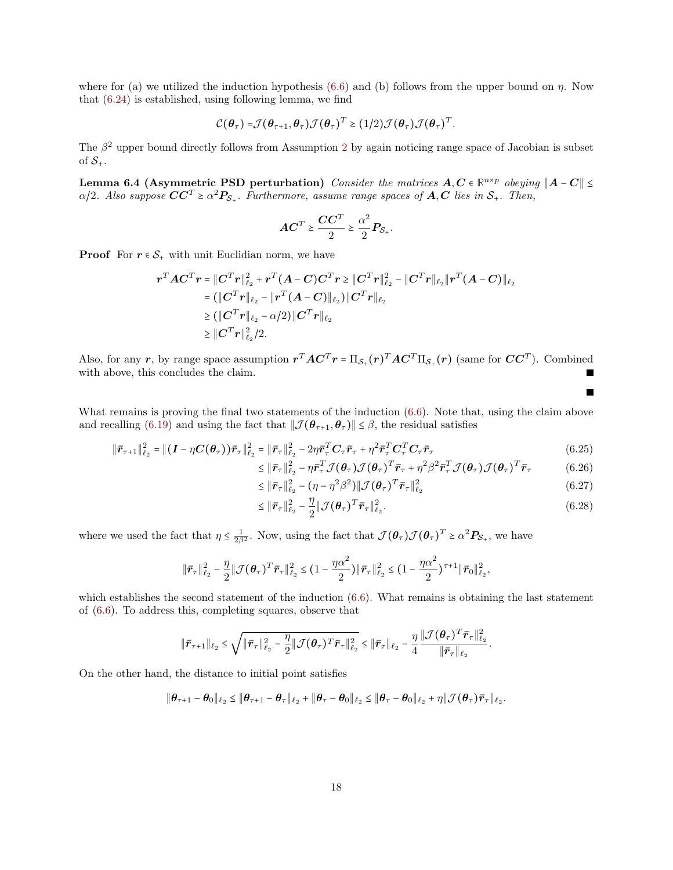where for (a) we utilized the induction hypothesis  $(6.6)$  and (b) follows from the upper bound on  $\eta$ . Now that [\(6.24\)](#page-16-1) is established, using following lemma, we find

$$
\mathcal{C}(\boldsymbol{\theta}_{\tau}) = \mathcal{J}(\boldsymbol{\theta}_{\tau+1}, \boldsymbol{\theta}_{\tau}) \mathcal{J}(\boldsymbol{\theta}_{\tau})^T \geq (1/2) \mathcal{J}(\boldsymbol{\theta}_{\tau}) \mathcal{J}(\boldsymbol{\theta}_{\tau})^T.
$$

The  $\beta^2$  $\beta^2$  upper bound directly follows from Assumption 2 by again noticing range space of Jacobian is subset of  $S_{+}$ .

Lemma 6.4 (Asymmetric PSD perturbation) Consider the matrices  $A, C \in \mathbb{R}^{n \times p}$  obeying  $||A - C|| \le$  $\alpha/2$ . Also suppose  $\boldsymbol{C}\boldsymbol{C}^T \geq \alpha^2 \boldsymbol{P}_{\mathcal{S}_+}$ . Furthermore, assume range spaces of  $\boldsymbol{A}, \boldsymbol{C}$  lies in  $\mathcal{S}_+$ . Then,

$$
AC^T \geq \frac{CC^T}{2} \geq \frac{\alpha^2}{2} P_{S_+}.
$$

**Proof** For  $r \in S_+$  with unit Euclidian norm, we have

$$
\begin{aligned} &\bm{r}^T\bm{A}\bm{C}^T\bm{r}=\|\bm{C}^T\bm{r}\|_{\ell_2}^2+\bm{r}^T(\bm{A}-\bm{C})\bm{C}^T\bm{r}\geq \|\bm{C}^T\bm{r}\|_{\ell_2}^2-\|\bm{C}^T\bm{r}\|_{\ell_2}\|\bm{r}^T(\bm{A}-\bm{C})\|_{\ell_2}\\ &= (\|\bm{C}^T\bm{r}\|_{\ell_2}-\|\bm{r}^T(\bm{A}-\bm{C})\|_{\ell_2})\|\bm{C}^T\bm{r}\|_{\ell_2}\\ &\geq (\|\bm{C}^T\bm{r}\|_{\ell_2}-\alpha/2)\|\bm{C}^T\bm{r}\|_{\ell_2}\\ &\geq \|\bm{C}^T\bm{r}\|_{\ell_2}^2/2.\end{aligned}
$$

Also, for any r, by range space assumption  $r^T A C^T r = \Pi_{\mathcal{S}_+}(r)^T A C^T \Pi_{\mathcal{S}_+}(r)$  (same for  $CC^T$ ). Combined with above, this concludes the claim.

What remains is proving the final two statements of the induction  $(6.6)$ . Note that, using the claim above and recalling [\(6.19\)](#page-16-2) and using the fact that  $|\mathcal{J}(\theta_{\tau+1}, \theta_{\tau})| \leq \beta$ , the residual satisfies

$$
\|\bar{r}_{\tau+1}\|_{\ell_2}^2 = \|(I - \eta C(\theta_\tau))\bar{r}_\tau\|_{\ell_2}^2 = \|\bar{r}_\tau\|_{\ell_2}^2 - 2\eta \bar{r}_\tau^T C_\tau \bar{r}_\tau + \eta^2 \bar{r}_\tau^T C_\tau^T C_\tau \bar{r}_\tau
$$
\n(6.25)

$$
\leq \|\bar{r}_{\tau}\|_{\ell_2}^2 - \eta \bar{r}_{\tau}^T \mathcal{J}(\boldsymbol{\theta}_{\tau}) \mathcal{J}(\boldsymbol{\theta}_{\tau})^T \bar{r}_{\tau} + \eta^2 \beta^2 \bar{r}_{\tau}^T \mathcal{J}(\boldsymbol{\theta}_{\tau}) \mathcal{J}(\boldsymbol{\theta}_{\tau})^T \bar{r}_{\tau}
$$
(6.26)

<span id="page-17-0"></span> $\blacksquare$ 

$$
\leq \|\bar{r}_{\tau}\|_{\ell_2}^2 - (\eta - \eta^2 \beta^2) \|\mathcal{J}(\boldsymbol{\theta}_{\tau})^T \bar{r}_{\tau}\|_{\ell_2}^2 \tag{6.27}
$$

$$
\leq \|\bar{\boldsymbol{r}}_{\tau}\|_{\ell_2}^2 - \frac{\eta}{2} \|\mathcal{J}(\boldsymbol{\theta}_{\tau})^T \bar{\boldsymbol{r}}_{\tau}\|_{\ell_2}^2.
$$
\n(6.28)

where we used the fact that  $\eta \leq \frac{1}{2\beta^2}$ . Now, using the fact that  $\mathcal{J}(\theta_\tau)\mathcal{J}(\theta_\tau)^T \geq \alpha^2 P_{\mathcal{S}_+}$ , we have

$$
\|\bar{\boldsymbol{r}}_{\tau}\|_{\ell_2}^2 - \frac{\eta}{2} \|\mathcal{J}(\boldsymbol{\theta}_{\tau})^T \bar{\boldsymbol{r}}_{\tau}\|_{\ell_2}^2 \leq (1 - \frac{\eta \alpha^2}{2}) \|\bar{\boldsymbol{r}}_{\tau}\|_{\ell_2}^2 \leq (1 - \frac{\eta \alpha^2}{2})^{\tau+1} \|\bar{\boldsymbol{r}}_0\|_{\ell_2}^2,
$$

which establishes the second statement of the induction  $(6.6)$ . What remains is obtaining the last statement of [\(6.6\)](#page-15-0). To address this, completing squares, observe that

$$
\|\bar{r}_{\tau+1}\|_{\ell_2} \leq \sqrt{\|\bar{r}_{\tau}\|_{\ell_2}^2 - \frac{\eta}{2}\|\mathcal{J}(\boldsymbol{\theta}_{\tau})^T\bar{r}_{\tau}\|_{\ell_2}^2} \leq \|\bar{r}_{\tau}\|_{\ell_2} - \frac{\eta}{4} \frac{\|\mathcal{J}(\boldsymbol{\theta}_{\tau})^T\bar{r}_{\tau}\|_{\ell_2}^2}{\|\bar{r}_{\tau}\|_{\ell_2}}.
$$

On the other hand, the distance to initial point satisfies

$$
\|\boldsymbol{\theta}_{\tau+1}-\boldsymbol{\theta}_0\|_{\ell_2}\leq \|\boldsymbol{\theta}_{\tau+1}-\boldsymbol{\theta}_{\tau}\|_{\ell_2}+\|\boldsymbol{\theta}_{\tau}-\boldsymbol{\theta}_0\|_{\ell_2}\leq \|\boldsymbol{\theta}_{\tau}-\boldsymbol{\theta}_0\|_{\ell_2}+\eta \|\mathcal{J}(\boldsymbol{\theta}_{\tau})\bar{\boldsymbol{r}}_{\tau}\|_{\ell_2}.
$$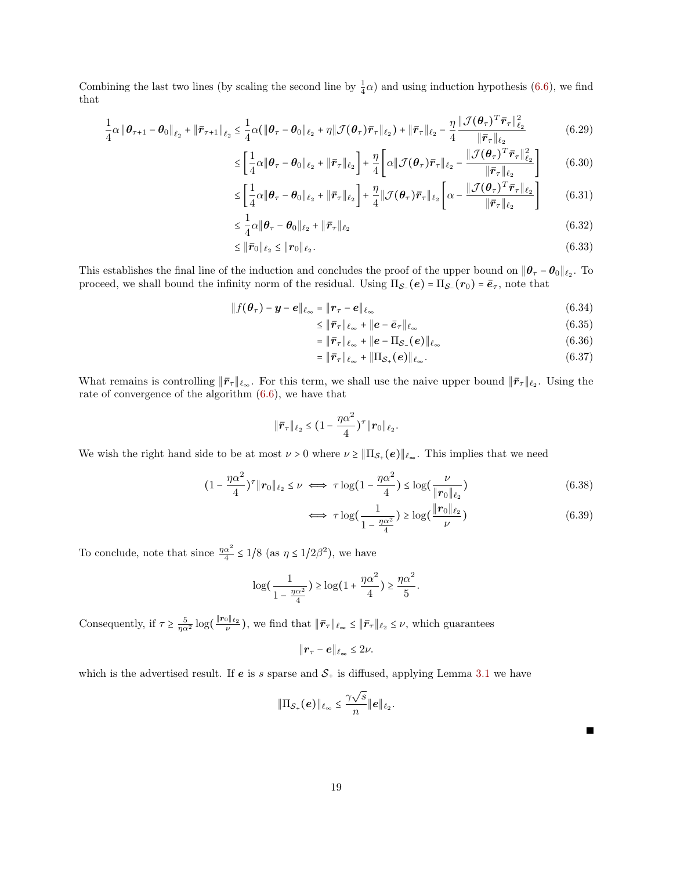Combining the last two lines (by scaling the second line by  $\frac{1}{4}\alpha$ ) and using induction hypothesis [\(6.6\)](#page-15-0), we find that

$$
\frac{1}{4}\alpha \left\|\boldsymbol{\theta}_{\tau+1}-\boldsymbol{\theta}_0\right\|_{\ell_2} + \left\|\bar{\boldsymbol{r}}_{\tau+1}\right\|_{\ell_2} \le \frac{1}{4}\alpha (\left\|\boldsymbol{\theta}_{\tau}-\boldsymbol{\theta}_0\right\|_{\ell_2} + \eta \left\|\mathcal{J}(\boldsymbol{\theta}_{\tau})\bar{\boldsymbol{r}}_{\tau}\right\|_{\ell_2}) + \left\|\bar{\boldsymbol{r}}_{\tau}\right\|_{\ell_2} - \frac{\eta}{4} \frac{\left\|\mathcal{J}(\boldsymbol{\theta}_{\tau})^T\bar{\boldsymbol{r}}_{\tau}\right\|_{\ell_2}^2}{\left\|\bar{\boldsymbol{r}}_{\tau}\right\|_{\ell_2}}
$$
(6.29)

$$
\leq \left[\frac{1}{4}\alpha\|\boldsymbol{\theta}_{\tau}-\boldsymbol{\theta}_{0}\|_{\ell_{2}}+\|\bar{\boldsymbol{r}}_{\tau}\|_{\ell_{2}}\right]+\frac{\eta}{4}\left[\alpha\|\mathcal{J}(\boldsymbol{\theta}_{\tau})\bar{\boldsymbol{r}}_{\tau}\|_{\ell_{2}}-\frac{\|\mathcal{J}(\boldsymbol{\theta}_{\tau})^{T}\bar{\boldsymbol{r}}_{\tau}\|_{\ell_{2}}^{2}}{\|\bar{\boldsymbol{r}}_{\tau}\|_{\ell_{2}}}\right]
$$
(6.30)

$$
\leq \left[\frac{1}{4}\alpha\|\boldsymbol{\theta}_{\tau}-\boldsymbol{\theta}_{0}\|_{\ell_{2}}+\|\bar{\boldsymbol{r}}_{\tau}\|_{\ell_{2}}\right]+\frac{\eta}{4}\|\mathcal{J}(\boldsymbol{\theta}_{\tau})\bar{\boldsymbol{r}}_{\tau}\|_{\ell_{2}}\left[\alpha-\frac{\|\mathcal{J}(\boldsymbol{\theta}_{\tau})^{T}\bar{\boldsymbol{r}}_{\tau}\|_{\ell_{2}}}{\|\bar{\boldsymbol{r}}_{\tau}\|_{\ell_{2}}}\right]
$$
(6.31)

$$
\leq \frac{1}{4}\alpha \|\boldsymbol{\theta}_{\tau} - \boldsymbol{\theta}_{0}\|_{\ell_{2}} + \|\boldsymbol{\bar{r}}_{\tau}\|_{\ell_{2}} \tag{6.32}
$$

$$
\leq \|\bar{\boldsymbol{r}}_0\|_{\ell_2} \leq \|\boldsymbol{r}_0\|_{\ell_2}.\tag{6.33}
$$

This establishes the final line of the induction and concludes the proof of the upper bound on  $||\theta_\tau - \theta_0||_{\ell_2}$ . To proceed, we shall bound the infinity norm of the residual. Using  $\Pi_{\mathcal{S}_-}(e) = \Pi_{\mathcal{S}_-}(r_0) = \bar{e}_{\tau}$ , note that

$$
\|f(\boldsymbol{\theta}_{\tau}) - \boldsymbol{y} - \boldsymbol{e}\|_{\ell_{\infty}} = \|\boldsymbol{r}_{\tau} - \boldsymbol{e}\|_{\ell_{\infty}}
$$
\n(6.34)

$$
\leq \|\bar{r}_{\tau}\|_{\ell_{\infty}} + \|e - \bar{e}_{\tau}\|_{\ell_{\infty}} \tag{6.35}
$$

$$
= \|\bar{\boldsymbol{r}}_{\tau}\|_{\ell_{\infty}} + \| \boldsymbol{e} - \Pi_{\mathcal{S}_{-}}(\boldsymbol{e}) \|_{\ell_{\infty}} \tag{6.36}
$$

$$
= \|\bar{\boldsymbol{r}}_{\tau}\|_{\ell_{\infty}} + \|\Pi_{\mathcal{S}_{+}}(\boldsymbol{e})\|_{\ell_{\infty}}.\tag{6.37}
$$

What remains is controlling  $\|\bar{r}_{\tau}\|_{\ell_{\infty}}$ . For this term, we shall use the naive upper bound  $\|\bar{r}_{\tau}\|_{\ell_{2}}$ . Using the rate of convergence of the algorithm [\(6.6\)](#page-15-0), we have that

$$
\|\bar{r}_{\tau}\|_{\ell_2} \leq (1 - \frac{\eta\alpha^2}{4})^{\tau} \|r_0\|_{\ell_2}.
$$

We wish the right hand side to be at most  $\nu > 0$  where  $\nu \geq ||\Pi_{\mathcal{S}_+}(e)||_{\ell_\infty}$ . This implies that we need

$$
(1 - \frac{\eta \alpha^2}{4})^{\tau} \|\mathbf{r}_0\|_{\ell_2} \le \nu \iff \tau \log(1 - \frac{\eta \alpha^2}{4}) \le \log(\frac{\nu}{\|\mathbf{r}_0\|_{\ell_2}}) \tag{6.38}
$$

$$
\iff \tau \log\left(\frac{1}{1 - \frac{\eta \alpha^2}{4}}\right) \ge \log\left(\frac{\|r_0\|_{\ell_2}}{\nu}\right) \tag{6.39}
$$

To conclude, note that since  $\frac{\eta \alpha^2}{4}$  $\frac{\alpha^2}{4} \leq 1/8$  (as  $\eta \leq 1/2\beta^2$ ), we have

$$
\log\left(\frac{1}{1-\frac{\eta\alpha^2}{4}}\right) \ge \log\left(1+\frac{\eta\alpha^2}{4}\right) \ge \frac{\eta\alpha^2}{5}.
$$

Consequently, if  $\tau \ge \frac{5}{\eta \alpha^2} \log(\frac{\Vert \mathbf{r}_0 \Vert_{\ell_2}}{\nu}),$  we find that  $\Vert \bar{\mathbf{r}}_{\tau} \Vert_{\ell_{\infty}} \le \Vert \bar{\mathbf{r}}_{\tau} \Vert_{\ell_2} \le \nu$ , which guarantees

$$
\|\boldsymbol{r}_{\tau}-\boldsymbol{e}\|_{\ell_{\infty}}\leq 2\nu.
$$

which is the advertised result. If  $e$  is s sparse and  $S<sub>+</sub>$  is diffused, applying Lemma [3.1](#page-10-1) we have

$$
\|\Pi_{\mathcal{S}_+}(e)\|_{\ell_\infty}\leq \frac{\gamma \sqrt{s}}{n}\|e\|_{\ell_2}.
$$

П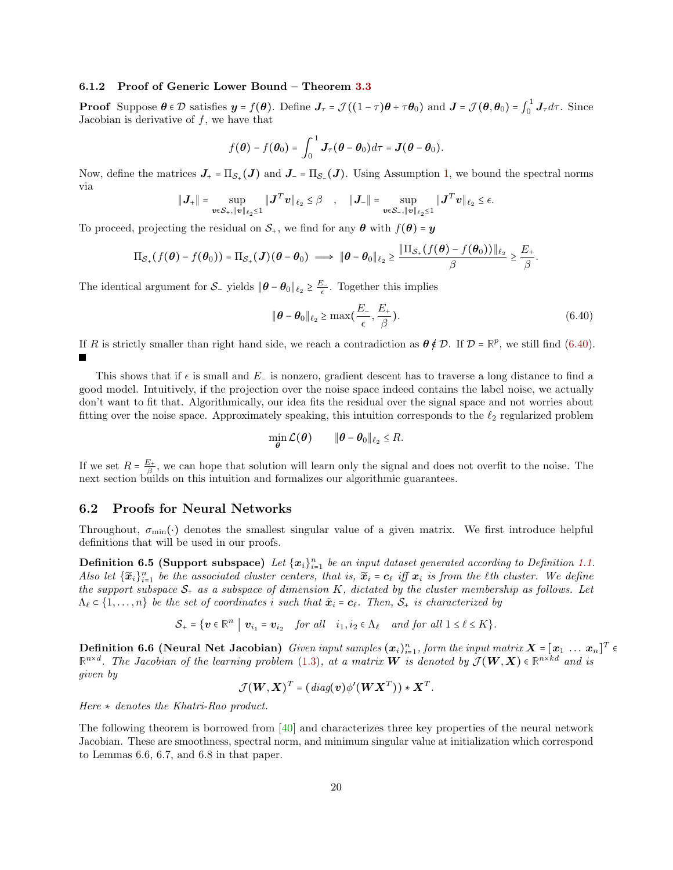#### 6.1.2 Proof of Generic Lower Bound – Theorem [3.3](#page-11-2)

**Proof** Suppose  $\theta \in \mathcal{D}$  satisfies  $y = f(\theta)$ . Define  $J_{\tau} = \mathcal{J}((1 - \tau)\theta + \tau\theta_0)$  and  $J = \mathcal{J}(\theta, \theta_0) = \int_0^1$  $\int_0^1 J_\tau d\tau$ . Since Jacobian is derivative of  $f$ , we have that

$$
f(\boldsymbol{\theta}) - f(\boldsymbol{\theta}_0) = \int_0^1 \boldsymbol{J}_{\tau}(\boldsymbol{\theta} - \boldsymbol{\theta}_0) d\tau = \boldsymbol{J}(\boldsymbol{\theta} - \boldsymbol{\theta}_0).
$$

Now, define the matrices  $J_{+} = \Pi_{\mathcal{S}_{+}}(J)$  and  $J_{-} = \Pi_{\mathcal{S}_{-}}(J)$ . Using Assumption [1,](#page-9-0) we bound the spectral norms via

$$
\|\bm{J}_{+}\| = \sup_{\bm{v} \in \mathcal{S}_{+}, \|\bm{v}\|_{\ell_2} \leq 1} \|\bm{J}^T \bm{v}\|_{\ell_2} \leq \beta \quad , \quad \|\bm{J}_{-}\| = \sup_{\bm{v} \in \mathcal{S}_{-}, \|\bm{v}\|_{\ell_2} \leq 1} \|\bm{J}^T \bm{v}\|_{\ell_2} \leq \epsilon.
$$

To proceed, projecting the residual on  $S_+$ , we find for any  $\theta$  with  $f(\theta) = y$ 

$$
\Pi_{\mathcal{S}_+}(f(\boldsymbol{\theta})-f(\boldsymbol{\theta}_0))=\Pi_{\mathcal{S}_+}(\boldsymbol{J})(\boldsymbol{\theta}-\boldsymbol{\theta}_0)\implies \|\boldsymbol{\theta}-\boldsymbol{\theta}_0\|_{\ell_2}\geq \frac{\|\Pi_{\mathcal{S}_+}(f(\boldsymbol{\theta})-f(\boldsymbol{\theta}_0))\|_{\ell_2}}{\beta}\geq \frac{E_+}{\beta}.
$$

The identical argument for  $S_{-}$  yields  $\|\theta - \theta_0\|_{\ell_2} \ge \frac{E_{-}}{\epsilon}$ . Together this implies

<span id="page-19-0"></span>
$$
\|\boldsymbol{\theta} - \boldsymbol{\theta}_0\|_{\ell_2} \ge \max\left(\frac{E_-}{\epsilon}, \frac{E_+}{\beta}\right). \tag{6.40}
$$

If R is strictly smaller than right hand side, we reach a contradiction as  $\theta \notin \mathcal{D}$ . If  $\mathcal{D} = \mathbb{R}^p$ , we still find [\(6.40\)](#page-19-0).

This shows that if  $\epsilon$  is small and E<sub>−</sub> is nonzero, gradient descent has to traverse a long distance to find a good model. Intuitively, if the projection over the noise space indeed contains the label noise, we actually don't want to fit that. Algorithmically, our idea fits the residual over the signal space and not worries about fitting over the noise space. Approximately speaking, this intuition corresponds to the  $\ell_2$  regularized problem

<span id="page-19-1"></span>
$$
\min_{\theta} \mathcal{L}(\theta) \qquad \|\theta - \theta_0\|_{\ell_2} \leq R.
$$

If we set  $R = \frac{E_+}{\beta}$ , we can hope that solution will learn only the signal and does not overfit to the noise. The next section builds on this intuition and formalizes our algorithmic guarantees.

#### 6.2 Proofs for Neural Networks

Throughout,  $\sigma_{\min}(\cdot)$  denotes the smallest singular value of a given matrix. We first introduce helpful definitions that will be used in our proofs.

**Definition 6.5 (Support subspace)** Let  $\{x_i\}_{i=1}^n$  be an input dataset generated according to Definition [1.1.](#page-3-0) Also let  $\{\widetilde{x}_i\}_{i=1}^n$  be the associated cluster centers, that is,  $\widetilde{x}_i = c_\ell$  iff  $x_i$  is from the  $\ell$ th cluster. We define the support subspace  $S_+$  as a subspace of dimension K, dictated by the cluster membership as follows. Let  $\Lambda_{\ell} \subset \{1, \ldots, n\}$  be the set of coordinates i such that  $\tilde{x}_i = c_{\ell}$ . Then,  $S_+$  is characterized by

$$
\mathcal{S}_+ = \{ \boldsymbol{v} \in \mathbb{R}^n \mid \boldsymbol{v}_{i_1} = \boldsymbol{v}_{i_2} \quad \text{for all} \quad i_1, i_2 \in \Lambda_\ell \quad \text{and for all } 1 \leq \ell \leq K \}.
$$

**Definition 6.6 (Neural Net Jacobian)** Given input samples  $(x_i)_{i=1}^n$ , form the input matrix  $X = [x_1 \dots x_n]^T \in$  $\mathbb{R}^{n \times d}$ . The Jacobian of the learning problem [\(1.3\)](#page-4-3), at a matrix **W** is denoted by  $\mathcal{J}(\boldsymbol{W}, \boldsymbol{X}) \in \mathbb{R}^{n \times kd}$  and is given by

<span id="page-19-2"></span>
$$
\mathcal{J}(\boldsymbol{W}, \boldsymbol{X})^T = (diag(\boldsymbol{v})\phi'(\boldsymbol{W}\boldsymbol{X}^T)) * \boldsymbol{X}^T.
$$

Here ∗ denotes the Khatri-Rao product.

The following theorem is borrowed from [\[40\]](#page-34-15) and characterizes three key properties of the neural network Jacobian. These are smoothness, spectral norm, and minimum singular value at initialization which correspond to Lemmas 6.6, 6.7, and 6.8 in that paper.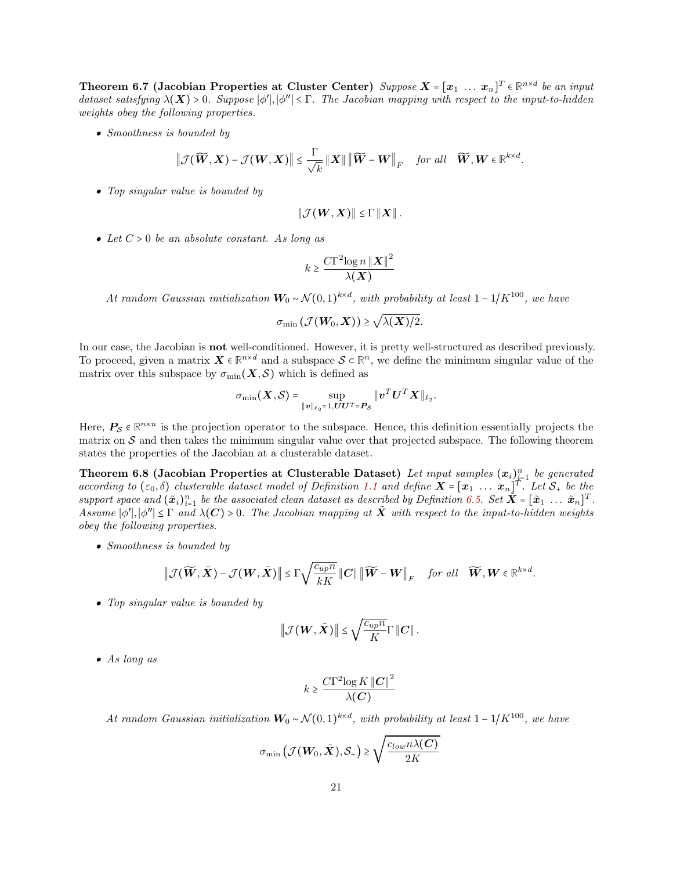**Theorem 6.7** (Jacobian Properties at Cluster Center) Suppose  $X = [x_1 \dots x_n]^T \in \mathbb{R}^{n \times d}$  be an input dataset satisfying  $\lambda(X) > 0$ . Suppose  $|\phi'|, |\phi''| \leq \Gamma$ . The Jacobian mapping with respect to the input-to-hidden weights obey the following properties.

• Smoothness is bounded by

$$
\left\|\mathcal{J}(\widetilde{\boldsymbol{W}},\boldsymbol{X})-\mathcal{J}(\boldsymbol{W},\boldsymbol{X})\right\|\leq\frac{\Gamma}{\sqrt{k}}\left\|\boldsymbol{X}\right\|\left\|\widetilde{\boldsymbol{W}}-\boldsymbol{W}\right\|_{F}\quad\text{for all}\quad\widetilde{\boldsymbol{W}},\boldsymbol{W}\in\mathbb{R}^{k\times d}.
$$

• Top singular value is bounded by

$$
\|\mathcal{J}(\boldsymbol{W},\boldsymbol{X})\| \leq \Gamma \|\boldsymbol{X}\|.
$$

• Let  $C > 0$  be an absolute constant. As long as

$$
k \geq \frac{C\Gamma^2 \log n \left\| \boldsymbol{X} \right\|^2}{\lambda(\boldsymbol{X})}
$$

At random Gaussian initialization  $W_0 \sim \mathcal{N}(0,1)^{k \times d}$ , with probability at least  $1 - 1/K^{100}$ , we have

$$
\sigma_{\min}\left(\mathcal{J}(\boldsymbol{W}_0,\boldsymbol{X})\right) \geq \sqrt{\lambda(\boldsymbol{X})/2}.
$$

In our case, the Jacobian is not well-conditioned. However, it is pretty well-structured as described previously. To proceed, given a matrix  $X \in \mathbb{R}^{n \times d}$  and a subspace  $S \subset \mathbb{R}^n$ , we define the minimum singular value of the matrix over this subspace by  $\sigma_{\min}(\mathbf{X}, \mathcal{S})$  which is defined as

<span id="page-20-0"></span>
$$
\sigma_{\min}(\boldsymbol X, \mathcal{S}) = \sup_{\|\boldsymbol v\|_{\ell_2} = 1, \boldsymbol U \boldsymbol U^T = \boldsymbol P_{\mathcal{S}}} \|\boldsymbol v^T \boldsymbol U^T \boldsymbol X\|_{\ell_2}.
$$

Here,  $P_S \in \mathbb{R}^{n \times n}$  is the projection operator to the subspace. Hence, this definition essentially projects the matrix on  $S$  and then takes the minimum singular value over that projected subspace. The following theorem states the properties of the Jacobian at a clusterable dataset.

Theorem 6.8 (Jacobian Properties at Clusterable Dataset) Let input samples  $(x_i)_{i=1}^n$  be generated **if** a coording to  $(\varepsilon_0, \delta)$  clusterable dataset model of Definition [1.1](#page-3-0) and define  $X = [\mathbf{x}_1 \dots \mathbf{x}_n]^T$ . Let  $S_+$  be the support space and  $(\tilde{x}_i)_{i=1}^n$  be the associated clean dataset as described by Definition [6.5.](#page-19-1) Set  $\tilde{X} = [\tilde{x}_1 \dots \tilde{x}_n]^T$ . Assume  $|\phi'|, |\phi''| \leq \Gamma$  and  $\lambda(C) > 0$ . The Jacobian mapping at  $\tilde{X}$  with respect to the input-to-hidden weights obey the following properties.

• Smoothness is bounded by

$$
\left\|\mathcal{J}(\widetilde{\boldsymbol{W}}, \tilde{\boldsymbol{X}})-\mathcal{J}(\boldsymbol{W}, \tilde{\boldsymbol{X}})\right\| \leq \Gamma \sqrt{\frac{c_{up}n}{kK}} \left\|\boldsymbol{C}\right\| \left\|\widetilde{\boldsymbol{W}}-\boldsymbol{W}\right\|_F \quad \textit{for all} \quad \widetilde{\boldsymbol{W}}, \boldsymbol{W} \in \mathbb{R}^{k \times d}.
$$

• Top singular value is bounded by

$$
\left\|\mathcal{J}(\boldsymbol{W}, \tilde{\boldsymbol{X}})\right\| \leq \sqrt{\frac{c_{up}n}{K}} \Gamma \left\|\boldsymbol{C}\right\|.
$$

• As long as

$$
k \ge \frac{C\Gamma^2 \log K \left\| \mathbf{C} \right\|^2}{\lambda(\mathbf{C})}
$$

At random Gaussian initialization  $W_0 \sim \mathcal{N}(0,1)^{k \times d}$ , with probability at least  $1 - 1/K^{100}$ , we have

$$
\sigma_{\min}\left(\mathcal{J}(\boldsymbol{W}_0,\tilde{\boldsymbol{X}}),\mathcal{S}_+\right) \geq \sqrt{\frac{c_{low}n\lambda(\boldsymbol{C})}{2K}}
$$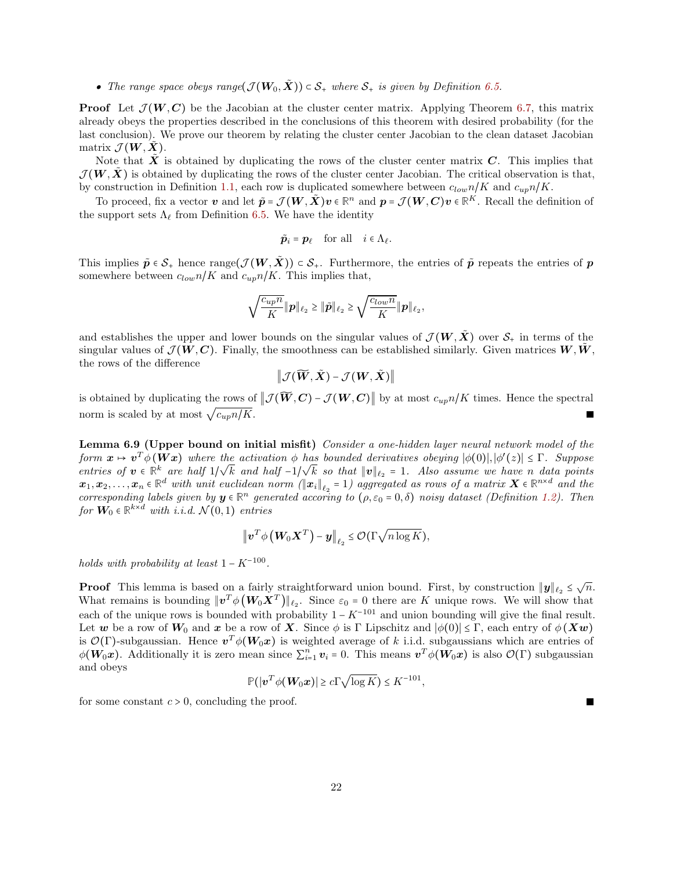• The range space obeys range $(\mathcal{J}(\mathbf{W}_0, \tilde{\mathbf{X}})) \subset \mathcal{S}_+$  where  $\mathcal{S}_+$  is given by Definition [6.5.](#page-19-1)

**Proof** Let  $\mathcal{J}(W, C)$  be the Jacobian at the cluster center matrix. Applying Theorem [6.7,](#page-19-2) this matrix already obeys the properties described in the conclusions of this theorem with desired probability (for the last conclusion). We prove our theorem by relating the cluster center Jacobian to the clean dataset Jacobian matrix  $\mathcal{J}(\boldsymbol{W}, \boldsymbol{X})$ .

Note that  $\hat{X}$  is obtained by duplicating the rows of the cluster center matrix  $C$ . This implies that  $\mathcal{J}(W,X)$  is obtained by duplicating the rows of the cluster center Jacobian. The critical observation is that, by construction in Definition [1.1,](#page-3-0) each row is duplicated somewhere between  $c_{low}n/K$  and  $c_{up}n/K$ .

To proceed, fix a vector v and let  $\tilde{p} = \mathcal{J}(W, \tilde{X})v \in \mathbb{R}^n$  and  $p = \mathcal{J}(W, C)v \in \mathbb{R}^K$ . Recall the definition of the support sets  $\Lambda_{\ell}$  from Definition [6.5.](#page-19-1) We have the identity

$$
\tilde{\boldsymbol{p}}_i = \boldsymbol{p}_\ell \quad \text{for all} \quad i \in \Lambda_\ell.
$$

This implies  $\tilde{p} \in \mathcal{S}_+$  hence range $(\mathcal{J}(W, \tilde{X})) \subset \mathcal{S}_+$ . Furthermore, the entries of  $\tilde{p}$  repeats the entries of p somewhere between  $c_{low}n/K$  and  $c_{up}n/K$ . This implies that,

$$
\sqrt{\frac{c_{up}n}{K}}\|{\boldsymbol{p}}\|_{\ell_2}\geq \|\tilde{{\boldsymbol{p}}}\|_{\ell_2}\geq \sqrt{\frac{c_{low}n}{K}}\|{\boldsymbol{p}}\|_{\ell_2},
$$

and establishes the upper and lower bounds on the singular values of  $\mathcal{J}(W,\tilde{X})$  over  $\mathcal{S}_+$  in terms of the singular values of  $\mathcal{J}(W, C)$ . Finally, the smoothness can be established similarly. Given matrices  $W, \dot{W}$ , the rows of the difference

 $\|\mathcal{J}(\widetilde{\boldsymbol{W}}, \tilde{\boldsymbol{X}}) - \mathcal{J}(\boldsymbol{W}, \tilde{\boldsymbol{X}})\|$ 

is obtained by duplicating the rows of  $\|\mathcal{J}(\widetilde{W}, C) - \mathcal{J}(W, C)\|$  by at most  $c_{up}n/K$  times. Hence the spectral norm is scaled by at most  $\sqrt{c_{up}n/K}$ .

<span id="page-21-0"></span>Lemma 6.9 (Upper bound on initial misfit) Consider a one-hidden layer neural network model of the form  $x \mapsto v^T \phi(Wx)$  where the activation  $\phi$  has bounded derivatives obeying  $|\phi(0)|, |\phi'(z)| \leq \Gamma$ . Suppose entries of  $v \in \mathbb{R}^k$  are half  $1/\sqrt{k}$  and half  $-1/\sqrt{k}$  so that  $||v||_{\ell_2} = 1$ . Also assume we have n data points  $x_1, x_2, \ldots, x_n \in \mathbb{R}^d$  with unit euclidean norm ( $||x_i||_{\ell_2} = 1$ ) aggregated as rows of a matrix  $X \in \mathbb{R}^{n \times d}$  and the corresponding labels given by  $y \in \mathbb{R}^n$  generated accoring to  $(\rho, \varepsilon_0 = 0, \delta)$  noisy dataset (Definition [1.2\)](#page-4-2). Then for  $W_0 \in \mathbb{R}^{k \times d}$  with i.i.d.  $\mathcal{N}(0,1)$  entries

$$
\left\| \boldsymbol{v}^T \phi \left(\boldsymbol{W}_0 \boldsymbol{X}^T \right) - \boldsymbol{y} \right\|_{\ell_2} \leq \mathcal{O}(\Gamma \sqrt{n \log K}),
$$

holds with probability at least  $1 - K^{-100}$ .

**Proof** This lemma is based on a fairly straightforward union bound. First, by construction  $||\mathbf{y}||_{\ell_2} \leq \sqrt{n}$ . What remains is bounding  $||\boldsymbol{v}^T \phi (W_0 \boldsymbol{X}^T) ||_{\ell_2}$ . Since  $\varepsilon_0 = 0$  there are K unique rows. We will show that each of the unique rows is bounded with probability  $1 - K^{-101}$  and union bounding will give the final result. Let w be a row of  $W_0$  and x be a row of X. Since  $\phi$  is Γ Lipschitz and  $|\phi(0)| \leq \Gamma$ , each entry of  $\phi$ (Xw) is  $\mathcal{O}(\Gamma)$ -subgaussian. Hence  $\mathbf{v}^T \phi(\mathbf{W}_0 \mathbf{x})$  is weighted average of k i.i.d. subgaussians which are entries of  $\phi(\mathbf{W}_0\mathbf{x})$ . Additionally it is zero mean since  $\sum_{i=1}^n \mathbf{v}_i = 0$ . This means  $\mathbf{v}^T\phi(\mathbf{W}_0\mathbf{x})$  is also  $\mathcal{O}(\Gamma)$  subgaussian and obeys

$$
\mathbb{P}(|\boldsymbol{v}^T\phi(\boldsymbol{W}_0\boldsymbol{x})|\geq c\Gamma\sqrt{\log K})\leq K^{-101},
$$

for some constant  $c > 0$ , concluding the proof.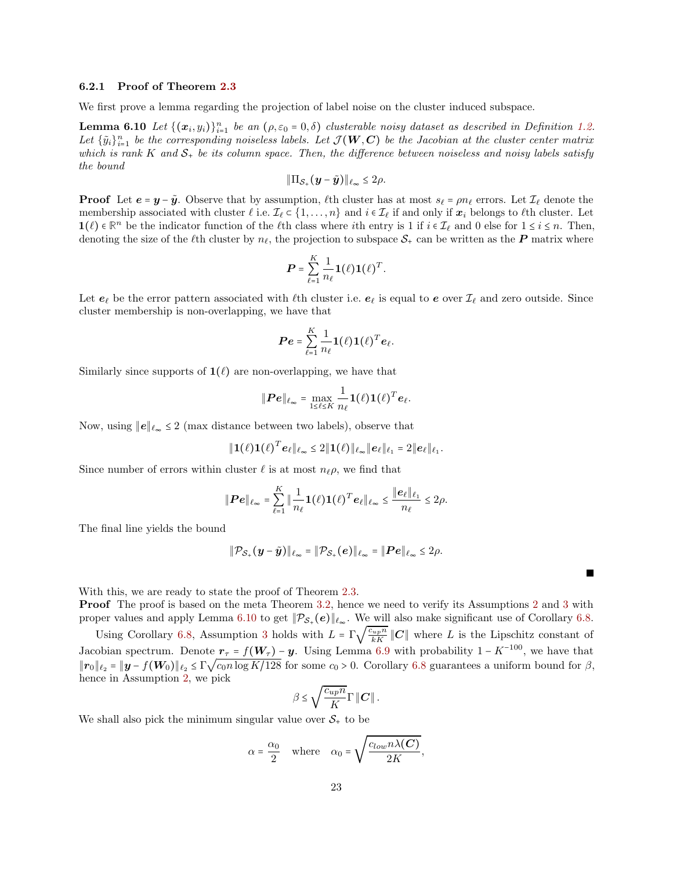#### 6.2.1 Proof of Theorem [2.3](#page-6-0)

We first prove a lemma regarding the projection of label noise on the cluster induced subspace.

**Lemma 6.10** Let  $\{(x_i, y_i)\}_{i=1}^n$  be an  $(\rho, \varepsilon_0 = 0, \delta)$  clusterable noisy dataset as described in Definition [1.2.](#page-4-2) Let  $\{\tilde{y}_i\}_{i=1}^n$  be the corresponding noiseless labels. Let  $\mathcal{J}(\mathbf{W}, \mathbf{C})$  be the Jacobian at the cluster center matrix which is rank K and  $S_+$  be its column space. Then, the difference between noiseless and noisy labels satisfy the bound

<span id="page-22-0"></span>
$$
\|\Pi_{\mathcal{S}_+}(\boldsymbol{y}-\tilde{\boldsymbol{y}})\|_{\ell_\infty}\leq 2\rho.
$$

**Proof** Let  $e = y - \tilde{y}$ . Observe that by assumption,  $\ell$ th cluster has at most  $s_{\ell} = \rho n_{\ell}$  errors. Let  $\mathcal{I}_{\ell}$  denote the membership associated with cluster  $\ell$  i.e.  $\mathcal{I}_{\ell} \subset \{1, \ldots, n\}$  and  $i \in \mathcal{I}_{\ell}$  if and only if  $\mathbf{x}_i$  belongs to  $\ell$ th cluster. Let **1**( $\ell$ ) ∈  $\mathbb{R}^n$  be the indicator function of the  $\ell$ th class where *i*th entry is 1 if  $i \in \mathcal{I}_\ell$  and 0 else for  $1 \le i \le n$ . Then, denoting the size of the  $\ell$ th cluster by  $n_{\ell}$ , the projection to subspace  $S_+$  can be written as the P matrix where

$$
\boldsymbol{P} = \sum_{\ell=1}^K \frac{1}{n_{\ell}} \mathbf{1}(\ell) \mathbf{1}(\ell)^T.
$$

Let  $e_\ell$  be the error pattern associated with  $\ell$ th cluster i.e.  $e_\ell$  is equal to e over  $\mathcal{I}_\ell$  and zero outside. Since cluster membership is non-overlapping, we have that

$$
\boldsymbol{Pe} = \sum_{\ell=1}^K \frac{1}{n_\ell} \boldsymbol{1}(\ell) \boldsymbol{1}(\ell)^T \boldsymbol{e}_\ell.
$$

Similarly since supports of  $\mathbf{1}(\ell)$  are non-overlapping, we have that

$$
\|\boldsymbol{Pe}\|_{\ell_{\infty}} = \max_{1 \leq \ell \leq K} \frac{1}{n_{\ell}} \mathbf{1}(\ell) \mathbf{1}(\ell)^{T} \boldsymbol{e}_{\ell}.
$$

Now, using  $||e||_{\ell_{\infty}} \leq 2$  (max distance between two labels), observe that

$$
\|\mathbf{1}(\ell)\mathbf{1}(\ell)^T e_{\ell}\|_{\ell_{\infty}} \leq 2\|\mathbf{1}(\ell)\|_{\ell_{\infty}}\|e_{\ell}\|_{\ell_1} = 2\|e_{\ell}\|_{\ell_1}.
$$

Since number of errors within cluster  $\ell$  is at most  $n_{\ell}\rho$ , we find that

$$
\|\boldsymbol{Pe}\|_{\ell_{\infty}} = \sum_{\ell=1}^K \|\frac{1}{n_{\ell}}\boldsymbol{1}(\ell)\boldsymbol{1}(\ell)^T\boldsymbol{e}_{\ell}\|_{\ell_{\infty}} \leq \frac{\|\boldsymbol{e}_{\ell}\|_{\ell_1}}{n_{\ell}} \leq 2\rho.
$$

The final line yields the bound

$$
\|\mathcal{P}_{\mathcal{S}_+}(\boldsymbol{y}-\tilde{\boldsymbol{y}})\|_{\ell_\infty}=\|\mathcal{P}_{\mathcal{S}_+}(e)\|_{\ell_\infty}=\|\boldsymbol{P} e\|_{\ell_\infty}\leq 2\rho.
$$

With this, we are ready to state the proof of Theorem [2.3.](#page-6-0)

Proof The proof is based on the meta Theorem [3.2,](#page-10-2) hence we need to verify its Assumptions [2](#page-9-1) and [3](#page-9-2) with proper values and apply Lemma [6.10](#page-22-0) to get  $\|\mathcal{P}_{\mathcal{S}_+}(e)\|_{\ell_{\infty}}$ . We will also make significant use of Corollary [6.8.](#page-20-0)

Using Corollary [6.8,](#page-20-0) Assumption [3](#page-9-2) holds with  $L = \Gamma \sqrt{\frac{c_{up}n}{kK}} ||C||$  where L is the Lipschitz constant of Jacobian spectrum. Denote  $r_{\tau} = f(W_{\tau}) - y$ . Using Lemma [6.9](#page-21-0) with probability 1 – K<sup>-100</sup>, we have that  $||r_0||_{\ell_2} = ||y - f(W_0)||_{\ell_2} \leq \Gamma \sqrt{\frac{\ln(N+1)}{2}}$  for some  $c_0 > 0$ . Corollary [6.8](#page-20-0) guarantees a uniform bound for  $\beta$ , hence in Assumption [2,](#page-9-1) we pick

$$
\beta \leq \sqrt{\frac{c_{up}n}{K}} \Gamma \left\| \boldsymbol{C} \right\|.
$$

We shall also pick the minimum singular value over  $S_{+}$  to be

$$
\alpha = \frac{\alpha_0}{2} \quad \text{where} \quad \alpha_0 = \sqrt{\frac{c_{low} n \lambda(\boldsymbol{C})}{2K}},
$$

Е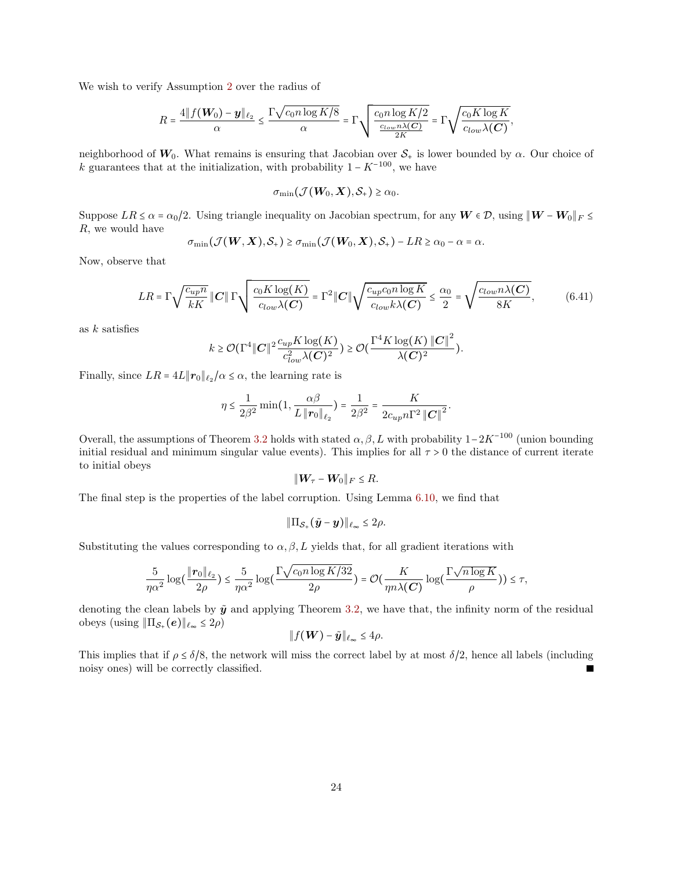We wish to verify Assumption [2](#page-9-1) over the radius of

$$
R = \frac{4||f(\boldsymbol{W_0}) - \boldsymbol{y}||_{\ell_2}}{\alpha} \le \frac{\Gamma \sqrt{c_0 n \log K/8}}{\alpha} = \Gamma \sqrt{\frac{c_0 n \log K/2}{\frac{c_{low} n \lambda(C)}{2K}}} = \Gamma \sqrt{\frac{c_0 K \log K}{c_{low} \lambda(C)}},
$$

neighborhood of  $W_0$ . What remains is ensuring that Jacobian over  $S_+$  is lower bounded by  $\alpha$ . Our choice of k guarantees that at the initialization, with probability  $1 - K^{-100}$ , we have

$$
\sigma_{\min}(\mathcal{J}(\boldsymbol{W}_0,\boldsymbol{X}),\mathcal{S}_+) \geq \alpha_0.
$$

Suppose  $LR \le \alpha = \alpha_0/2$ . Using triangle inequality on Jacobian spectrum, for any  $W \in \mathcal{D}$ , using  $\|W - W_0\|_F \le$ R, we would have

$$
\sigma_{\min}(\mathcal{J}(\boldsymbol{W},\boldsymbol{X}),\mathcal{S}_+) \geq \sigma_{\min}(\mathcal{J}(\boldsymbol{W}_0,\boldsymbol{X}),\mathcal{S}_+) - LR \geq \alpha_0 - \alpha = \alpha.
$$

Now, observe that

$$
LR = \Gamma \sqrt{\frac{c_{up}n}{kK}} \left\| C \right\| \Gamma \sqrt{\frac{c_0 K \log(K)}{c_{low} \lambda(C)}} = \Gamma^2 \| C \| \sqrt{\frac{c_{up}c_0 n \log K}{c_{low} k \lambda(C)}} \le \frac{\alpha_0}{2} = \sqrt{\frac{c_{low} n \lambda(C)}{8K}},\tag{6.41}
$$

as  $k$  satisfies

$$
k \geq \mathcal{O}(\Gamma^4 \|C\|^2 \frac{c_{up} K \log(K)}{c_{low}^2 \lambda(C)^2}) \geq \mathcal{O}(\frac{\Gamma^4 K \log(K) \|C\|^2}{\lambda(C)^2}).
$$

Finally, since  $LR = 4L ||\mathbf{r}_0||_{\ell_2}/\alpha \leq \alpha$ , the learning rate is

$$
\eta \le \frac{1}{2\beta^2} \min(1, \frac{\alpha\beta}{L \| \mathbf{r}_0 \|_{\ell_2}}) = \frac{1}{2\beta^2} = \frac{K}{2c_{up}n\Gamma^2 \| \mathbf{C} \|^2}.
$$

Overall, the assumptions of Theorem [3.2](#page-10-2) holds with stated  $\alpha, \beta, L$  with probability  $1-2K^{-100}$  (union bounding initial residual and minimum singular value events). This implies for all  $\tau > 0$  the distance of current iterate to initial obeys

$$
\|\mathbf{W}_{\tau}-\mathbf{W}_0\|_F\leq R.
$$

The final step is the properties of the label corruption. Using Lemma [6.10,](#page-22-0) we find that

$$
\|\Pi_{\mathcal{S}_+}(\tilde{\bm{y}}-\bm{y})\|_{\ell_\infty}\leq 2\rho.
$$

Substituting the values corresponding to  $\alpha, \beta, L$  yields that, for all gradient iterations with

$$
\frac{5}{\eta\alpha^2}\log\Bigl(\frac{\| \pmb{r}_0 \|_{\ell_2}}{2\rho}\Bigr) \leq \frac{5}{\eta\alpha^2}\log\Bigl(\frac{\Gamma\sqrt{c_0 n \log K / 32}}{2\rho}\Bigr) = \mathcal{O}\Bigl(\frac{K}{\eta n \lambda(\pmb{C})}\log\Bigl(\frac{\Gamma\sqrt{n \log K}}{\rho}\Bigr)\Bigr) \leq \tau,
$$

denoting the clean labels by  $\tilde{y}$  and applying Theorem [3.2,](#page-10-2) we have that, the infinity norm of the residual obeys (using  $\|\Pi_{\mathcal{S}_+}(e)\|_{\ell_\infty} \leq 2\rho$ )

$$
\|f(\boldsymbol{W})-\tilde{\boldsymbol{y}}\|_{\ell_{\infty}}\leq 4\rho.
$$

This implies that if  $\rho \leq \delta/8$ , the network will miss the correct label by at most  $\delta/2$ , hence all labels (including noisy ones) will be correctly classified noisy ones) will be correctly classified.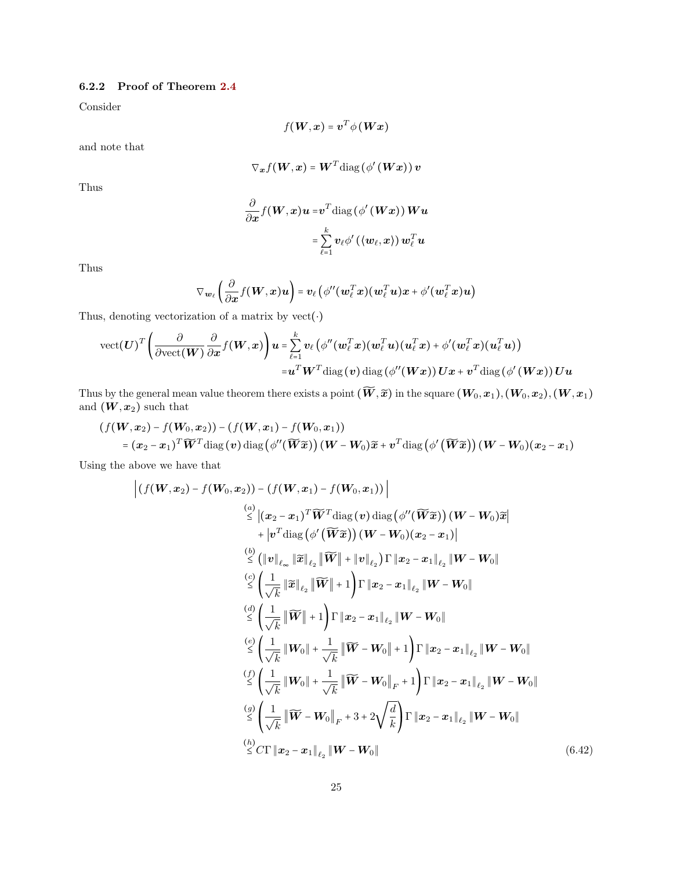### 6.2.2 Proof of Theorem [2.4](#page-7-0)

Consider

$$
f(\boldsymbol{W}, \boldsymbol{x}) = \boldsymbol{v}^T \phi(\boldsymbol{W}\boldsymbol{x})
$$

and note that

$$
\nabla_{\bm{x}} f(\bm{W}, \bm{x}) = \bm{W}^T \text{diag}(\phi'(\bm{Wx})) \, \bm{v}
$$

Thus

$$
\frac{\partial}{\partial x} f(\boldsymbol{W},x) \boldsymbol{u} = \boldsymbol{v}^T \text{diag}\left(\phi'\left(\boldsymbol{W}x\right)\right) \boldsymbol{W} \boldsymbol{u} \\ = \sum_{\ell=1}^k \boldsymbol{v}_\ell \phi'\left(\left\langle \boldsymbol{w}_\ell,x\right\rangle\right) \boldsymbol{w}_\ell^T \boldsymbol{u}
$$

Thus

$$
\nabla_{\boldsymbol{w}_{\ell}}\left(\frac{\partial}{\partial \boldsymbol{x}}f(\boldsymbol{W},\boldsymbol{x})\boldsymbol{u}\right)=\boldsymbol{v}_{\ell}\left(\phi''(\boldsymbol{w}_{\ell}^T\boldsymbol{x})(\boldsymbol{w}_{\ell}^T\boldsymbol{u})\boldsymbol{x}+\phi'(\boldsymbol{w}_{\ell}^T\boldsymbol{x})\boldsymbol{u}\right)
$$

Thus, denoting vectorization of a matrix by  $\text{vect}(\cdot)$ 

$$
\text{vect}(\boldsymbol{U})^T\bigg(\frac{\partial}{\partial \text{vect}(\boldsymbol{W})}\frac{\partial}{\partial x}f(\boldsymbol{W},x)\bigg)\boldsymbol{u}=\sum_{\ell=1}^k\boldsymbol{v}_\ell\big(\phi''(\boldsymbol{w}_\ell^T\boldsymbol{x})(\boldsymbol{w}_\ell^T\boldsymbol{u})(\boldsymbol{u}_\ell^T\boldsymbol{x})+\phi'(\boldsymbol{w}_\ell^T\boldsymbol{x})(\boldsymbol{u}_\ell^T\boldsymbol{u})\big)\\=\boldsymbol{u}^T\boldsymbol{W}^T\text{diag}\left(\boldsymbol{v}\right)\text{diag}\left(\phi''(\boldsymbol{W}\boldsymbol{x})\right)\boldsymbol{U}\boldsymbol{x}+\boldsymbol{v}^T\text{diag}\left(\phi'\left(\boldsymbol{W}\boldsymbol{x}\right)\right)\boldsymbol{U}\boldsymbol{u}
$$

Thus by the general mean value theorem there exists a point  $(\widetilde{W}, \widetilde{x})$  in the square  $(W_0, x_1), (W_0, x_2), (W, x_1)$ and  $(\boldsymbol{W},\boldsymbol{x}_2)$  such that

$$
(f(\boldsymbol{W},\boldsymbol{x}_2)-f(\boldsymbol{W}_0,\boldsymbol{x}_2))-(f(\boldsymbol{W},\boldsymbol{x}_1)-f(\boldsymbol{W}_0,\boldsymbol{x}_1))
$$
  
=  $(\boldsymbol{x}_2-\boldsymbol{x}_1)^T\widetilde{\boldsymbol{W}}^T\text{diag}(\boldsymbol{v})\text{diag}(\phi''(\widetilde{\boldsymbol{W}}\widetilde{\boldsymbol{x}}))(\boldsymbol{W}-\boldsymbol{W}_0)\widetilde{\boldsymbol{x}}+\boldsymbol{v}^T\text{diag}(\phi'(\widetilde{\boldsymbol{W}}\widetilde{\boldsymbol{x}}))(\boldsymbol{W}-\boldsymbol{W}_0)(\boldsymbol{x}_2-\boldsymbol{x}_1)$ 

Using the above we have that

$$
\left| (f(W, x_2) - f(W_0, x_2)) - (f(W, x_1) - f(W_0, x_1)) \right|
$$
  
\n
$$
\leq |(x_2 - x_1)^T \widetilde{W}^T \text{diag} (v) \text{ diag} (\phi''(\widetilde{W}\widetilde{x})) (W - W_0) \widetilde{x}|
$$
  
\n
$$
+ |v^T \text{diag} (\phi'(\widetilde{W}\widetilde{x})) (W - W_0) (x_2 - x_1)|
$$
  
\n
$$
\leq (||v||_{\ell_{\infty}} ||\widetilde{x}||_{\ell_2} ||\widetilde{W}|| + ||v||_{\ell_2}) \Gamma ||x_2 - x_1||_{\ell_2} ||W - W_0||
$$
  
\n
$$
\leq ( \frac{1}{\sqrt{k}} ||\widetilde{x}||_{\ell_2} ||\widetilde{W}|| + 1 ) \Gamma ||x_2 - x_1||_{\ell_2} ||W - W_0||
$$
  
\n
$$
\leq ( \frac{1}{\sqrt{k}} ||\widetilde{W}|| + 1 ) \Gamma ||x_2 - x_1||_{\ell_2} ||W - W_0||
$$
  
\n
$$
\leq ( \frac{1}{\sqrt{k}} ||W_0|| + \frac{1}{\sqrt{k}} ||\widetilde{W} - W_0|| + 1 ) \Gamma ||x_2 - x_1||_{\ell_2} ||W - W_0||
$$
  
\n
$$
\leq ( \frac{1}{\sqrt{k}} ||W_0|| + \frac{1}{\sqrt{k}} ||\widetilde{W} - W_0||_F + 1 ) \Gamma ||x_2 - x_1||_{\ell_2} ||W - W_0||
$$
  
\n
$$
\leq ( \frac{1}{\sqrt{k}} ||\widetilde{W} - W_0||_F + 3 + 2 \sqrt{\frac{d}{k}} ) \Gamma ||x_2 - x_1||_{\ell_2} ||W - W_0||
$$
  
\n
$$
\leq C \Gamma ||x_2 - x_1||_{\ell_2} ||W - W_0||
$$
  
\n(6.42)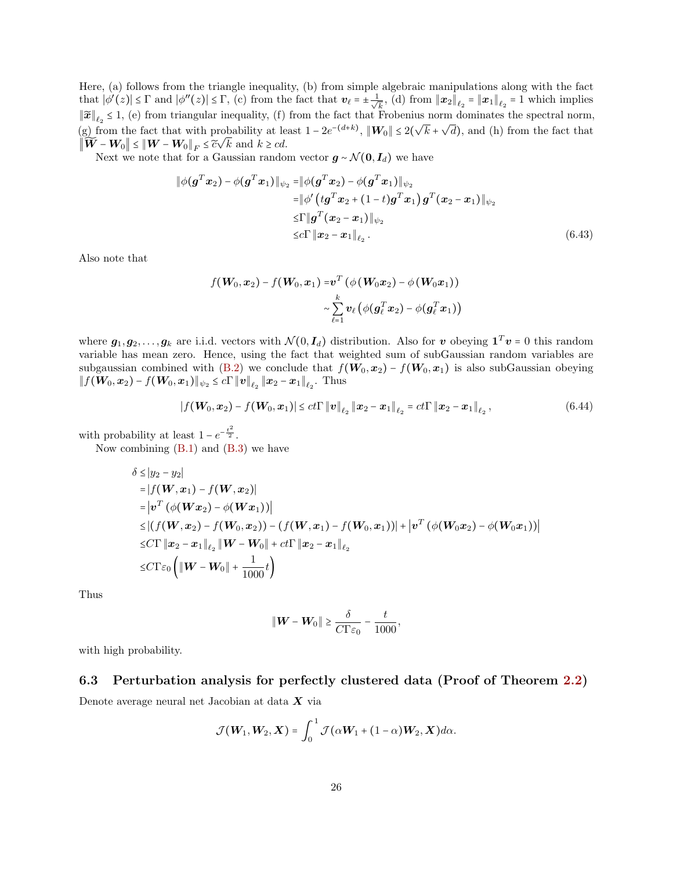Here, (a) follows from the triangle inequality, (b) from simple algebraic manipulations along with the fact that  $|\phi'(z)| \leq \Gamma$  and  $|\phi''(z)| \leq \Gamma$ , (c) from the fact that  $v_{\ell} = \pm \frac{1}{\sqrt{\ell}}$  $\frac{1}{k}$ , (d) from  $||x_2||_{\ell_2} = ||x_1||_{\ell_2} = 1$  which implies  $\|\widetilde{x}\|_{\ell_2} \leq 1$ , (e) from triangular inequality, (f) from the fact that Frobenius norm dominates the spectral norm, (g) from the fact that with probability at least  $1 - 2e^{-(d+k)}$ ,  $\|\mathbf{W}_0\| \le 2(\sqrt{k} + \sqrt{d})$ , and (h) from the fact that  $\|\widetilde{\boldsymbol{W}} - \boldsymbol{W}_0\| \leq \|\boldsymbol{W} - \boldsymbol{W}_0\|_F \leq \widetilde{c}\sqrt{k}$  and  $k \geq cd$ .

Next we note that for a Gaussian random vector  $g \sim \mathcal{N}(0, I_d)$  we have

$$
\begin{aligned} \|\phi(\bm{g}^T\bm{x}_2) - \phi(\bm{g}^T\bm{x}_1)\|_{\psi_2} &= \|\phi(\bm{g}^T\bm{x}_2) - \phi(\bm{g}^T\bm{x}_1)\|_{\psi_2} \\ &= \|\phi'(\bm{t}\bm{g}^T\bm{x}_2 + (1-t)\bm{g}^T\bm{x}_1)\bm{g}^T(\bm{x}_2 - \bm{x}_1)\|_{\psi_2} \\ &\leq & \Gamma \|\bm{g}^T(\bm{x}_2 - \bm{x}_1)\|_{\psi_2} \\ &\leq & c\Gamma \|\bm{x}_2 - \bm{x}_1\|_{\ell_2}. \end{aligned} \tag{6.43}
$$

Also note that

$$
f(\boldsymbol{W}_0, \boldsymbol{x}_2) - f(\boldsymbol{W}_0, \boldsymbol{x}_1) = \boldsymbol{v}^T \left( \phi \left( \boldsymbol{W}_0 \boldsymbol{x}_2 \right) - \phi \left( \boldsymbol{W}_0 \boldsymbol{x}_1 \right) \right) \\ \sim \sum_{\ell=1}^k \boldsymbol{v}_\ell \left( \phi(\boldsymbol{g}_\ell^T \boldsymbol{x}_2) - \phi(\boldsymbol{g}_\ell^T \boldsymbol{x}_1) \right)
$$

where  $g_1, g_2, \ldots, g_k$  are i.i.d. vectors with  $\mathcal{N}(0, I_d)$  distribution. Also for v obeying  $\mathbf{1}^T v = 0$  this random variable has mean zero. Hence, using the fact that weighted sum of subGaussian random variables are subgaussian combined with [\(B.2\)](#page-36-0) we conclude that  $f(\mathbf{W}_0,\mathbf{x}_2) - f(\mathbf{W}_0,\mathbf{x}_1)$  is also subGaussian obeying  $|| f(\boldsymbol{W_0}, \boldsymbol{x}_2) - f(\boldsymbol{W_0}, \boldsymbol{x}_1) ||_{\psi_2} \le c \Gamma ||\boldsymbol{v}||_{\ell_2} ||\boldsymbol{x}_2 - \boldsymbol{x}_1||_{\ell_2}.$  Thus

$$
|f(\boldsymbol{W}_0, \boldsymbol{x}_2) - f(\boldsymbol{W}_0, \boldsymbol{x}_1)| \leq ct \Gamma \|\boldsymbol{v}\|_{\ell_2} \|\boldsymbol{x}_2 - \boldsymbol{x}_1\|_{\ell_2} = ct \Gamma \|\boldsymbol{x}_2 - \boldsymbol{x}_1\|_{\ell_2},
$$
\n(6.44)

with probability at least  $1 - e^{-\frac{t^2}{2}}$ .

Now combining  $(B.1)$  and  $(B.3)$  we have

$$
\delta \le |y_2 - y_2|
$$
\n
$$
= |f(\mathbf{W}, \mathbf{x}_1) - f(\mathbf{W}, \mathbf{x}_2)|
$$
\n
$$
= |\mathbf{v}^T (\phi(\mathbf{W}\mathbf{x}_2) - \phi(\mathbf{W}\mathbf{x}_1))|
$$
\n
$$
\le |(f(\mathbf{W}, \mathbf{x}_2) - f(\mathbf{W}_0, \mathbf{x}_2)) - (f(\mathbf{W}, \mathbf{x}_1) - f(\mathbf{W}_0, \mathbf{x}_1))| + |\mathbf{v}^T (\phi(\mathbf{W}_0 \mathbf{x}_2) - \phi(\mathbf{W}_0 \mathbf{x}_1))|
$$
\n
$$
\le C \Gamma \|\mathbf{x}_2 - \mathbf{x}_1\|_{\ell_2} \|\mathbf{W} - \mathbf{W}_0\| + ct \Gamma \|\mathbf{x}_2 - \mathbf{x}_1\|_{\ell_2}
$$
\n
$$
\le C \Gamma \varepsilon_0 \left( \|\mathbf{W} - \mathbf{W}_0\| + \frac{1}{1000} t \right)
$$

Thus

$$
\|\mathbf{W}-\mathbf{W}_0\| \geq \frac{\delta}{C\Gamma\varepsilon_0} - \frac{t}{1000},
$$

with high probability.

### 6.3 Perturbation analysis for perfectly clustered data (Proof of Theorem [2.2\)](#page-5-1)

<span id="page-25-0"></span>Denote average neural net Jacobian at data X via

$$
\mathcal{J}(\boldsymbol{W}_1,\boldsymbol{W}_2,\boldsymbol{X})=\int_0^1\mathcal{J}(\alpha\boldsymbol{W}_1+(1-\alpha)\boldsymbol{W}_2,\boldsymbol{X})d\alpha.
$$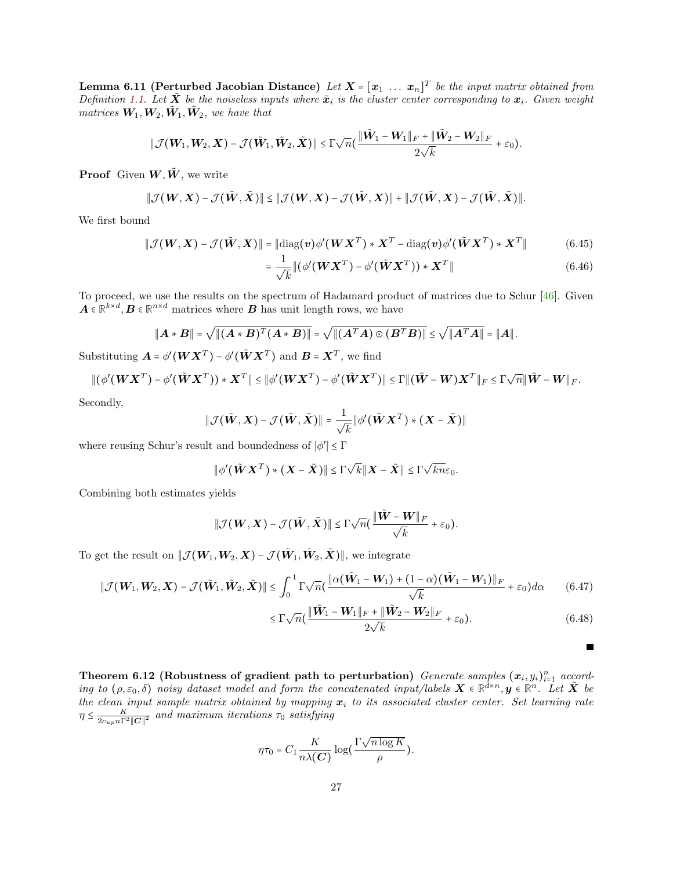**Lemma 6.11 (Perturbed Jacobian Distance)** Let  $X = [x_1 \dots x_n]^T$  be the input matrix obtained from Definition [1.1.](#page-3-0) Let  $\tilde{X}$  be the noiseless inputs where  $\tilde{x}_i$  is the cluster center corresponding to  $x_i$ . Given weight matrices  $W_1, W_2, \tilde{W}_1, \tilde{W}_2$ , we have that

$$
\|\mathcal{J}(\boldsymbol{W}_1,\boldsymbol{W}_2,\boldsymbol{X})-\mathcal{J}(\tilde{\boldsymbol{W}}_1,\tilde{\boldsymbol{W}}_2,\tilde{\boldsymbol{X}})\|\leq \Gamma\sqrt{n}(\frac{\|\tilde{\boldsymbol{W}}_1-\boldsymbol{W}_1\|_F+\|\tilde{\boldsymbol{W}}_2-\boldsymbol{W}_2\|_F}{2\sqrt{k}}+\varepsilon_0).
$$

**Proof** Given  $W, \tilde{W}$ , we write

$$
\|\mathcal{J}(\boldsymbol{W},\boldsymbol{X})-\mathcal{J}(\tilde{\boldsymbol{W}},\tilde{\boldsymbol{X}})\|\leq \|\mathcal{J}(\boldsymbol{W},\boldsymbol{X})-\mathcal{J}(\tilde{\boldsymbol{W}},\boldsymbol{X})\|+\|\mathcal{J}(\tilde{\boldsymbol{W}},\boldsymbol{X})-\mathcal{J}(\tilde{\boldsymbol{W}},\tilde{\boldsymbol{X}})\|.
$$

We first bound

$$
\|\mathcal{J}(\boldsymbol{W}, \boldsymbol{X}) - \mathcal{J}(\tilde{\boldsymbol{W}}, \boldsymbol{X})\| = \|\text{diag}(\boldsymbol{v})\phi'(\boldsymbol{W}\boldsymbol{X}^T) \cdot \boldsymbol{X}^T - \text{diag}(\boldsymbol{v})\phi'(\tilde{\boldsymbol{W}}\boldsymbol{X}^T) \cdot \boldsymbol{X}^T\|
$$
(6.45)

$$
= \frac{1}{\sqrt{k}} \| (\phi'(\boldsymbol{W}\boldsymbol{X}^T) - \phi'(\tilde{\boldsymbol{W}}\boldsymbol{X}^T)) \cdot \boldsymbol{X}^T \|
$$
\n(6.46)

To proceed, we use the results on the spectrum of Hadamard product of matrices due to Schur [\[46\]](#page-34-19). Given  $A \in \mathbb{R}^{k \times d}, B \in \mathbb{R}^{n \times d}$  matrices where **B** has unit length rows, we have

$$
||A * B|| = \sqrt{||(A * B)^T(A * B)||} = \sqrt{||(A^T A) \odot (B^T B)||} \le \sqrt{||A^T A||} = ||A||.
$$

Substituting  $\mathbf{A} = \phi'(\mathbf{W}\mathbf{X}^T) - \phi'(\tilde{\mathbf{W}}\mathbf{X}^T)$  and  $\mathbf{B} = \mathbf{X}^T$ , we find

$$
\|(\phi'(\boldsymbol{W}\boldsymbol{X}^T)-\phi'(\tilde{\boldsymbol{W}}\boldsymbol{X}^T))\ast\boldsymbol{X}^T\|\leq \|\phi'(\boldsymbol{W}\boldsymbol{X}^T)-\phi'(\tilde{\boldsymbol{W}}\boldsymbol{X}^T)\|\leq \Gamma\|(\tilde{\boldsymbol{W}}-\boldsymbol{W})\boldsymbol{X}^T\|_F\leq \Gamma\sqrt{n}\|\tilde{\boldsymbol{W}}-\boldsymbol{W}\|_F.
$$

Secondly,

$$
\|\mathcal{J}(\tilde{\boldsymbol{W}},\boldsymbol{X})-\mathcal{J}(\tilde{\boldsymbol{W}},\tilde{\boldsymbol{X}})\|=\frac{1}{\sqrt{k}}\|\phi'(\tilde{\boldsymbol{W}}\boldsymbol{X}^T)\ast(\boldsymbol{X}-\tilde{\boldsymbol{X}})\|
$$

where reusing Schur's result and boundedness of  $|\phi'| \leq \Gamma$ 

$$
\|\phi'(\tilde{\boldsymbol{W}}\boldsymbol{X}^T)\ast(\boldsymbol{X}-\tilde{\boldsymbol{X}})\|\leq \Gamma\sqrt{k}\|\boldsymbol{X}-\tilde{\boldsymbol{X}}\|\leq \Gamma\sqrt{kn}\varepsilon_0.
$$

Combining both estimates yields

$$
\|\mathcal{J}(\boldsymbol{W},\boldsymbol{X})-\mathcal{J}(\tilde{\boldsymbol{W}},\tilde{\boldsymbol{X}})\|\leq \Gamma\sqrt{n}(\frac{\|\tilde{\boldsymbol{W}}-\boldsymbol{W}\|_F}{\sqrt{k}}+\varepsilon_0).
$$

To get the result on  $\|\mathcal{J}(\bm{W}_1,\bm{W}_2,\bm{X}) - \mathcal{J}(\tilde{\bm{W}}_1,\tilde{\bm{W}}_2,\tilde{\bm{X}})\|$ , we integrate

$$
\|\mathcal{J}(\boldsymbol{W}_1,\boldsymbol{W}_2,\boldsymbol{X}) - \mathcal{J}(\tilde{\boldsymbol{W}}_1,\tilde{\boldsymbol{W}}_2,\tilde{\boldsymbol{X}})\| \leq \int_0^1 \Gamma \sqrt{n} \big(\frac{\|\alpha(\tilde{\boldsymbol{W}}_1 - \boldsymbol{W}_1) + (1-\alpha)(\tilde{\boldsymbol{W}}_1 - \boldsymbol{W}_1)\|_F}{\sqrt{k}} + \varepsilon_0\big)d\alpha \qquad (6.47)
$$

$$
\leq \Gamma \sqrt{n} \left( \frac{\|\tilde{\mathbf{W}}_1 - \mathbf{W}_1\|_F + \|\tilde{\mathbf{W}}_2 - \mathbf{W}_2\|_F}{2\sqrt{k}} + \varepsilon_0 \right). \tag{6.48}
$$

<span id="page-26-0"></span>Theorem 6.12 (Robustness of gradient path to perturbation) Generate samples  $(x_i, y_i)_{i=1}^n$  according to  $(\rho, \varepsilon_0, \delta)$  noisy dataset model and form the concatenated input/labels  $\boldsymbol{X} \in \mathbb{R}^{d \times n}$ ,  $\boldsymbol{y} \in \mathbb{R}^n$ . Let  $\tilde{\boldsymbol{X}}$  be the clean input sample matrix obtained by mapping  $x_i$  to its associated cluster center. Set learning rate  $\eta \leq \frac{K}{2c_{up}n\Gamma^2\|\mathcal{C}\|^2}$  and maximum iterations  $\tau_0$  satisfying

$$
\eta \tau_0 = C_1 \frac{K}{n \lambda(C)} \log \left( \frac{\Gamma \sqrt{n \log K}}{\rho} \right).
$$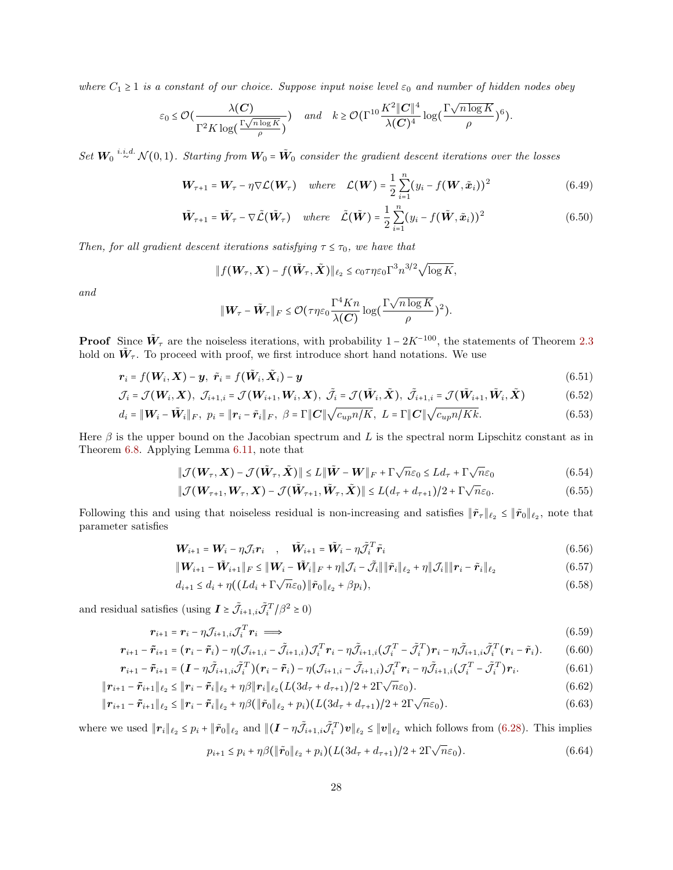where  $C_1 \geq 1$  is a constant of our choice. Suppose input noise level  $\varepsilon_0$  and number of hidden nodes obey

$$
\varepsilon_0 \leq \mathcal{O}\left(\frac{\lambda(C)}{\Gamma^2 K \log\left(\frac{\Gamma \sqrt{n \log K}}{\rho}\right)}\right) \quad \text{and} \quad k \geq \mathcal{O}\left(\Gamma^{10} \frac{K^2 \|C\|^4}{\lambda(C)^4} \log\left(\frac{\Gamma \sqrt{n \log K}}{\rho}\right)^6\right).
$$

Set  $W_0$ <sup>i.i.d.</sup>  $\mathcal{N}(0,1)$ . Starting from  $W_0 = \tilde{W}_0$  consider the gradient descent iterations over the losses

$$
\boldsymbol{W}_{\tau+1} = \boldsymbol{W}_{\tau} - \eta \nabla \mathcal{L}(\boldsymbol{W}_{\tau}) \quad where \quad \mathcal{L}(\boldsymbol{W}) = \frac{1}{2} \sum_{i=1}^{n} (y_i - f(\boldsymbol{W}, \tilde{\boldsymbol{x}}_i))^2 \tag{6.49}
$$

$$
\tilde{\mathbf{W}}_{\tau+1} = \tilde{\mathbf{W}}_{\tau} - \nabla \tilde{\mathcal{L}}(\tilde{\mathbf{W}}_{\tau}) \quad where \quad \tilde{\mathcal{L}}(\tilde{\mathbf{W}}) = \frac{1}{2} \sum_{i=1}^{n} (y_i - f(\tilde{\mathbf{W}}, \tilde{\mathbf{x}}_i))^2
$$
\n(6.50)

Then, for all gradient descent iterations satisfying  $\tau \leq \tau_0$ , we have that

$$
\|f(\boldsymbol{W}_{\tau},\boldsymbol{X})-f(\tilde{\boldsymbol{W}}_{\tau},\tilde{\boldsymbol{X}})\|_{\ell_2}\leq c_0\tau\eta\varepsilon_0\Gamma^3n^{3/2}\sqrt{\log K},
$$

and

$$
\|\mathbf{W}_{\tau}-\tilde{\mathbf{W}}_{\tau}\|_{F}\leq \mathcal{O}(\tau\eta\varepsilon_0\frac{\Gamma^4Kn}{\lambda(\mathbf{C})}\log(\frac{\Gamma\sqrt{n\log K}}{\rho})^2).
$$

**Proof** Since  $\tilde{W}_{\tau}$  are the noiseless iterations, with probability  $1 - 2K^{-100}$ , the statements of Theorem [2.3](#page-6-0) hold on  $\tilde{W}_{\tau}$ . To proceed with proof, we first introduce short hand notations. We use

$$
\boldsymbol{r}_i = f(\boldsymbol{W}_i, \boldsymbol{X}) - \boldsymbol{y}, \ \ \tilde{\boldsymbol{r}}_i = f(\tilde{\boldsymbol{W}}_i, \tilde{\boldsymbol{X}}_i) - \boldsymbol{y}
$$
\n
$$
(6.51)
$$

$$
\mathcal{J}_i = \mathcal{J}(\boldsymbol{W}_i, \boldsymbol{X}), \ \mathcal{J}_{i+1,i} = \mathcal{J}(\boldsymbol{W}_{i+1}, \boldsymbol{W}_i, \boldsymbol{X}), \ \tilde{\mathcal{J}}_i = \mathcal{J}(\tilde{\boldsymbol{W}}_i, \tilde{\boldsymbol{X}}), \ \tilde{\mathcal{J}}_{i+1,i} = \mathcal{J}(\tilde{\boldsymbol{W}}_{i+1}, \tilde{\boldsymbol{W}}_i, \tilde{\boldsymbol{X}})
$$
(6.52)

$$
d_i = \|\mathbf{W}_i - \tilde{\mathbf{W}}_i\|_F, \ \ p_i = \|\mathbf{r}_i - \tilde{\mathbf{r}}_i\|_F, \ \ \beta = \Gamma\|\mathbf{C}\|\sqrt{c_{up}n/K}, \ \ L = \Gamma\|\mathbf{C}\|\sqrt{c_{up}n/Kk}.\tag{6.53}
$$

Here  $\beta$  is the upper bound on the Jacobian spectrum and L is the spectral norm Lipschitz constant as in Theorem [6.8.](#page-20-0) Applying Lemma [6.11,](#page-25-0) note that

$$
\|\mathcal{J}(\boldsymbol{W}_{\tau}, \boldsymbol{X}) - \mathcal{J}(\tilde{\boldsymbol{W}}_{\tau}, \tilde{\boldsymbol{X}})\| \le L \|\tilde{\boldsymbol{W}} - \boldsymbol{W}\|_{F} + \Gamma \sqrt{n} \varepsilon_{0} \le L d_{\tau} + \Gamma \sqrt{n} \varepsilon_{0}
$$
(6.54)

$$
\|\mathcal{J}(\boldsymbol{W}_{\tau+1},\boldsymbol{W}_{\tau},\boldsymbol{X})-\mathcal{J}(\tilde{\boldsymbol{W}}_{\tau+1},\tilde{\boldsymbol{W}}_{\tau},\tilde{\boldsymbol{X}})\| \le L(d_{\tau}+d_{\tau+1})/2+\Gamma\sqrt{n}\varepsilon_0.
$$
\n(6.55)

Following this and using that noiseless residual is non-increasing and satisfies  $\|\tilde{r}_\tau\|_{\ell_2} \le \|\tilde{r}_0\|_{\ell_2}$ , note that parameter satisfies

<span id="page-27-0"></span>
$$
\boldsymbol{W}_{i+1} = \boldsymbol{W}_i - \eta \mathcal{J}_i \boldsymbol{r}_i \quad , \quad \tilde{\boldsymbol{W}}_{i+1} = \tilde{\boldsymbol{W}}_i - \eta \tilde{\mathcal{J}}_i^T \tilde{\boldsymbol{r}}_i \tag{6.56}
$$

$$
\|\mathbf{W}_{i+1} - \tilde{\mathbf{W}}_{i+1}\|_F \le \|\mathbf{W}_i - \tilde{\mathbf{W}}_i\|_F + \eta \|\mathcal{J}_i - \tilde{\mathcal{J}}_i\| \|\tilde{\mathbf{r}}_i\|_{\ell_2} + \eta \|\mathcal{J}_i\| \|\mathbf{r}_i - \tilde{\mathbf{r}}_i\|_{\ell_2}
$$
\n(6.57)

$$
d_{i+1} \le d_i + \eta \big( \big( L d_i + \Gamma \sqrt{n} \varepsilon_0 \big) \| \tilde{\mathbf{r}}_0 \|_{\ell_2} + \beta p_i \big), \tag{6.58}
$$

and residual satisfies (using  $\mathbf{I} \ge \tilde{J}_{i+1,i} \tilde{J}_i^T / \beta^2 \ge 0$ )

$$
\boldsymbol{r}_{i+1} = \boldsymbol{r}_i - \eta \mathcal{J}_{i+1,i} \mathcal{J}_i^T \boldsymbol{r}_i \implies (6.59)
$$

$$
\boldsymbol{r}_{i+1} - \tilde{\boldsymbol{r}}_{i+1} = (\boldsymbol{r}_i - \tilde{\boldsymbol{r}}_i) - \eta (\mathcal{J}_{i+1,i} - \tilde{\mathcal{J}}_{i+1,i}) \mathcal{J}_i^T \boldsymbol{r}_i - \eta \tilde{\mathcal{J}}_{i+1,i} (\mathcal{J}_i^T - \tilde{\mathcal{J}}_i^T) \boldsymbol{r}_i - \eta \tilde{\mathcal{J}}_{i+1,i} \tilde{\mathcal{J}}_i^T (\boldsymbol{r}_i - \tilde{\boldsymbol{r}}_i). \tag{6.60}
$$

$$
\boldsymbol{r}_{i+1} - \tilde{\boldsymbol{r}}_{i+1} = (\boldsymbol{I} - \eta \tilde{\mathcal{J}}_{i+1,i} \tilde{\mathcal{J}}_i^T)(\boldsymbol{r}_i - \tilde{\boldsymbol{r}}_i) - \eta (\mathcal{J}_{i+1,i} - \tilde{\mathcal{J}}_{i+1,i}) \mathcal{J}_i^T \boldsymbol{r}_i - \eta \tilde{\mathcal{J}}_{i+1,i} (\mathcal{J}_i^T - \tilde{\mathcal{J}}_i^T) \boldsymbol{r}_i.
$$
(6.61)

$$
\|\boldsymbol{r}_{i+1}-\boldsymbol{\tilde{r}}_{i+1}\|_{\ell_2} \leq \|\boldsymbol{r}_i-\boldsymbol{\tilde{r}}_i\|_{\ell_2}+\eta\beta\|\boldsymbol{r}_i\|_{\ell_2}\big(L(3d_{\tau}+d_{\tau+1})/2+2\Gamma\sqrt{n}\varepsilon_0\big).
$$
\n(6.62)

$$
\|\boldsymbol{r}_{i+1} - \tilde{\boldsymbol{r}}_{i+1}\|_{\ell_2} \leq \|\boldsymbol{r}_i - \tilde{\boldsymbol{r}}_i\|_{\ell_2} + \eta \beta (\|\tilde{\boldsymbol{r}}_0\|_{\ell_2} + p_i) (L(3d_{\tau} + d_{\tau+1})/2 + 2\Gamma \sqrt{n}\varepsilon_0).
$$
\n(6.63)

where we used  $||\mathbf{r}_i||_{\ell_2} \leq p_i + ||\tilde{\mathbf{r}}_0||_{\ell_2}$  and  $||(\mathbf{I} - \eta \tilde{\mathcal{J}}_{i+1,i}\tilde{\mathcal{J}}_i^T)\mathbf{v}||_{\ell_2} \leq ||\mathbf{v}||_{\ell_2}$  which follows from [\(6.28\)](#page-17-0). This implies

<span id="page-27-1"></span>
$$
p_{i+1} \le p_i + \eta \beta (\|\tilde{\bm{r}}_0\|_{\ell_2} + p_i) (L(3d_{\tau} + d_{\tau+1})/2 + 2\Gamma\sqrt{n}\varepsilon_0).
$$
 (6.64)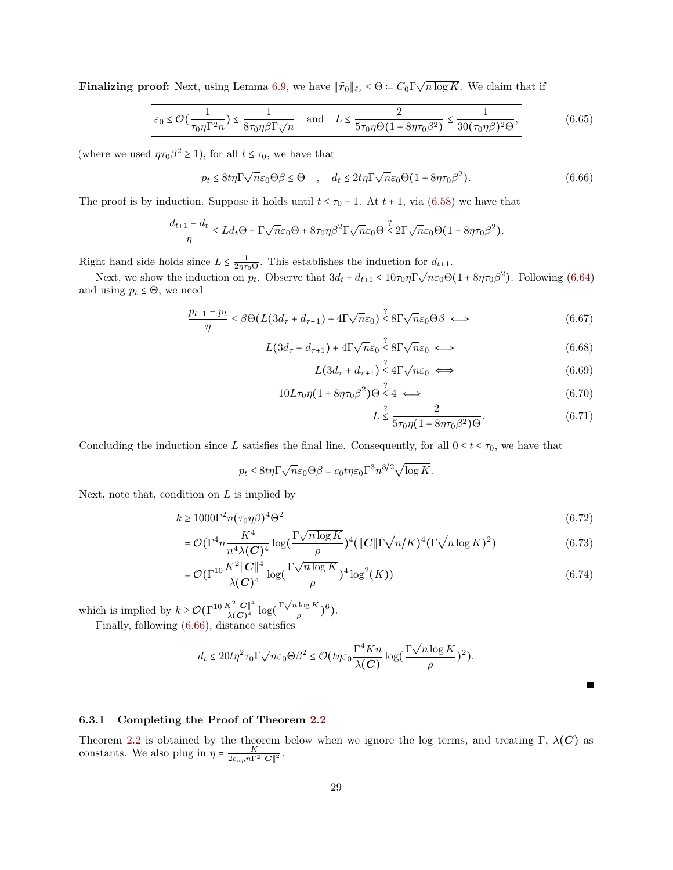**Finalizing proof:** Next, using Lemma [6.9,](#page-21-0) we have  $\|\tilde{\mathbf{r}}_0\|_{\ell_2} \leq \Theta := C_0 \Gamma \sqrt{n \log K}$ . We claim that if

$$
\varepsilon_0 \le \mathcal{O}\left(\frac{1}{\tau_0 \eta \Gamma^2 n}\right) \le \frac{1}{8\tau_0 \eta \beta \Gamma \sqrt{n}} \quad \text{and} \quad L \le \frac{2}{5\tau_0 \eta \Theta \left(1 + 8\eta \tau_0 \beta^2\right)} \le \frac{1}{30(\tau_0 \eta \beta)^2 \Theta},\tag{6.65}
$$

(where we used  $\eta \tau_0 \beta^2 \ge 1$ ), for all  $t \le \tau_0$ , we have that

$$
p_t \le 8t\eta \Gamma \sqrt{n}\varepsilon_0 \Theta \beta \le \Theta \quad , \quad d_t \le 2t\eta \Gamma \sqrt{n}\varepsilon_0 \Theta \left(1 + 8\eta \tau_0 \beta^2\right). \tag{6.66}
$$

The proof is by induction. Suppose it holds until  $t \leq \tau_0 - 1$ . At  $t + 1$ , via [\(6.58\)](#page-27-0) we have that

$$
\frac{d_{t+1} - d_t}{\eta} \le L d_t \Theta + \Gamma \sqrt{n} \varepsilon_0 \Theta + 8\tau_0 \eta \beta^2 \Gamma \sqrt{n} \varepsilon_0 \Theta \stackrel{?}{\le} 2\Gamma \sqrt{n} \varepsilon_0 \Theta \left(1 + 8\eta \tau_0 \beta^2\right).
$$

Right hand side holds since  $L \leq \frac{1}{2\eta\tau_0\Theta}$ . This establishes the induction for  $d_{t+1}$ .

Next, we show the induction on  $p_t$ . Observe that  $3d_t + d_{t+1} \leq 10\tau_0\eta \Gamma \sqrt{n}\epsilon_0 \Theta (1 + 8\eta \tau_0 \beta^2)$ . Following [\(6.64\)](#page-27-1) and using  $p_t \leq \Theta$ , we need

$$
\frac{p_{t+1} - p_t}{\eta} \le \beta \Theta \left( L \left( 3d_\tau + d_{\tau+1} \right) + 4\Gamma \sqrt{n} \varepsilon_0 \right) \stackrel{?}{\le} 8\Gamma \sqrt{n} \varepsilon_0 \Theta \beta \iff (6.67)
$$

$$
L(3d_{\tau} + d_{\tau+1}) + 4\Gamma \sqrt{n}\varepsilon_0 \stackrel{?}{\leq} 8\Gamma \sqrt{n}\varepsilon_0 \iff (6.68)
$$

$$
L(3d_{\tau} + d_{\tau+1}) \overset{?}{\leq} 4\Gamma \sqrt{n}\varepsilon_0 \iff (6.69)
$$

$$
10L\tau_0\eta(1+8\eta\tau_0\beta^2)\Theta\overset{?}{\leq}4\iff\tag{6.70}
$$

<span id="page-28-1"></span>
$$
L \stackrel{?}{\leq} \frac{2}{5\tau_0 \eta (1 + 8\eta \tau_0 \beta^2) \Theta}.
$$
\n(6.71)

Concluding the induction since L satisfies the final line. Consequently, for all  $0 \le t \le \tau_0$ , we have that

$$
p_t \le 8t\eta \Gamma \sqrt{n}\varepsilon_0 \Theta \beta = c_0 t\eta \varepsilon_0 \Gamma^3 n^{3/2} \sqrt{\log K}.
$$

Next, note that, condition on  $L$  is implied by

$$
k \ge 1000\Gamma^2 n(\tau_0 \eta \beta)^4 \Theta^2 \tag{6.72}
$$

$$
= \mathcal{O}(\Gamma^4 n \frac{K^4}{n^4 \lambda (C)^4} \log(\frac{\Gamma \sqrt{n \log K}}{\rho})^4 (\|C\| \Gamma \sqrt{n/K})^4 (\Gamma \sqrt{n \log K})^2)
$$
(6.73)

$$
= \mathcal{O}(\Gamma^{10} \frac{K^2 \|C\|^4}{\lambda (C)^4} \log(\frac{\Gamma \sqrt{n \log K}}{\rho})^4 \log^2(K))
$$
\n(6.74)

which is implied by  $k \geq \mathcal{O}(\Gamma^{10} \frac{K^2 ||C||^4}{\lambda(C)^4})$  $\frac{K^2 \|C\|^4}{\lambda(C)^4} \log\left(\frac{\Gamma \sqrt{n \log K}}{\rho}\right)$  $\frac{\log K}{\rho}$  $)$ <sup>6</sup>). Finally, following [\(6.66\)](#page-28-1), distance satisfies

<span id="page-28-0"></span>
$$
d_t \leq 20 t \eta^2 \tau_0 \Gamma \sqrt{n} \varepsilon_0 \Theta \beta^2 \leq \mathcal{O}\left(t \eta \varepsilon_0 \frac{\Gamma^4 K n}{\lambda(C)} \log\left(\frac{\Gamma \sqrt{n \log K}}{\rho}\right)^2\right).
$$

П

### 6.3.1 Completing the Proof of Theorem [2.2](#page-5-1)

Theorem [2.2](#page-5-1) is obtained by the theorem below when we ignore the log terms, and treating Γ,  $\lambda(C)$  as constants. We also plug in  $\eta = \frac{K}{2c_{up}n\Gamma^2 ||\mathbf{C}||^2}$ .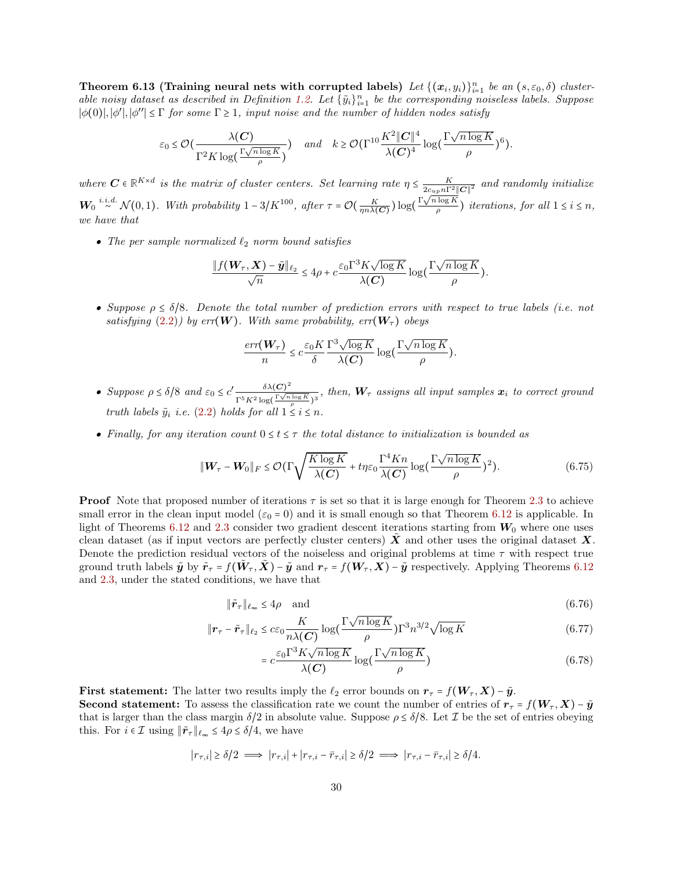Theorem 6.13 (Training neural nets with corrupted labels) Let  $\{(x_i, y_i)\}_{i=1}^n$  be an  $(s, \varepsilon_0, \delta)$  cluster-able noisy dataset as described in Definition [1.2.](#page-4-2) Let  $\{\tilde{y}_i\}_{i=1}^n$  be the corresponding noiseless labels. Suppose  $|\phi(0)|, |\phi'|, |\phi''| \leq \Gamma$  for some  $\Gamma \geq 1$ , input noise and the number of hidden nodes satisfy

$$
\varepsilon_0 \leq \mathcal{O}\left(\frac{\lambda(\boldsymbol{C})}{\Gamma^2 K \log\left(\frac{\Gamma \sqrt{n \log K}}{\rho}\right)}\right) \quad \text{and} \quad k \geq \mathcal{O}\left(\Gamma^{10} \frac{K^2 \|\boldsymbol{C}\|^4}{\lambda(\boldsymbol{C})^4} \log\left(\frac{\Gamma \sqrt{n \log K}}{\rho}\right)^6\right).
$$

where  $C \in \mathbb{R}^{K \times d}$  is the matrix of cluster centers. Set learning rate  $\eta \leq \frac{K}{2c_{up}n\Gamma^2||C||^2}$  and randomly initialize  $W_0 \stackrel{i.i.d.}{\sim} \mathcal{N}(0,1)$ . With probability  $1-3/K^{100}$ , after  $\tau = \mathcal{O}(\frac{K}{\eta n \lambda(C)}) \log(\frac{\Gamma \sqrt{n \log K}}{\rho})$  $\frac{\log n}{\rho}$ ) iterations, for all  $1 \leq i \leq n$ , we have that

• The per sample normalized  $\ell_2$  norm bound satisfies

$$
\frac{\|f(\mathbf{W}_{\tau}, \mathbf{X}) - \tilde{\mathbf{y}}\|_{\ell_2}}{\sqrt{n}} \leq 4\rho + c \frac{\varepsilon_0 \Gamma^3 K \sqrt{\log K}}{\lambda(C)} \log(\frac{\Gamma \sqrt{n \log K}}{\rho}).
$$

• Suppose  $\rho \leq \delta/8$ . Denote the total number of prediction errors with respect to true labels (i.e. not satisfying [\(2.2\)](#page-7-1)) by err(W). With same probability,  $err(\mathbf{W}_{\tau})$  obeys

<span id="page-29-0"></span>
$$
\frac{err(\boldsymbol{W}_{\tau})}{n} \leq c \frac{\varepsilon_0 K}{\delta} \frac{\Gamma^3 \sqrt{\log K}}{\lambda(C)} \log \Big(\frac{\Gamma \sqrt{n \log K}}{\rho}\Big).
$$

- Suppose  $\rho \leq \delta/8$  and  $\varepsilon_0 \leq c' \frac{\delta \lambda(C)^2}{\Gamma^5 K^2 \log(\frac{\Gamma \sqrt{n}}{K})}$  $\frac{\delta A(\mathbf{C})}{\Gamma^5 K^2 \log(\frac{\Gamma \sqrt{n \log K}}{\rho})^3}$ , then,  $\mathbf{W}_{\tau}$  assigns all input samples  $\mathbf{x}_i$  to correct ground truth labels  $\tilde{y}_i$  i.e. [\(2.2\)](#page-7-1) holds for all  $1 \leq i \leq n$ .
- Finally, for any iteration count  $0 \le t \le \tau$  the total distance to initialization is bounded as

$$
\|\mathbf{W}_{\tau} - \mathbf{W}_0\|_F \leq \mathcal{O}(\Gamma \sqrt{\frac{K \log K}{\lambda(C)}} + t\eta \varepsilon_0 \frac{\Gamma^4 K n}{\lambda(C)} \log(\frac{\Gamma \sqrt{n \log K}}{\rho})^2). \tag{6.75}
$$

**Proof** Note that proposed number of iterations  $\tau$  is set so that it is large enough for Theorem [2.3](#page-6-0) to achieve small error in the clean input model  $(\varepsilon_0 = 0)$  and it is small enough so that Theorem [6.12](#page-26-0) is applicable. In light of Theorems [6.12](#page-26-0) and [2.3](#page-6-0) consider two gradient descent iterations starting from  $W_0$  where one uses clean dataset (as if input vectors are perfectly cluster centers)  $\tilde{X}$  and other uses the original dataset X. Denote the prediction residual vectors of the noiseless and original problems at time  $\tau$  with respect true ground truth labels  $\tilde{\mathbf{y}}$  by  $\tilde{\mathbf{r}}_{\tau} = f(\tilde{\mathbf{W}}_{\tau}, \tilde{\mathbf{X}}) - \tilde{\mathbf{y}}$  and  $\mathbf{r}_{\tau} = f(\mathbf{W}_{\tau}, \mathbf{X}) - \tilde{\mathbf{y}}$  respectively. Applying Theorems [6.12](#page-26-0) and [2.3,](#page-6-0) under the stated conditions, we have that

$$
\|\tilde{\boldsymbol{r}}_{\tau}\|_{\ell_{\infty}} \le 4\rho \quad \text{and} \tag{6.76}
$$

$$
\|\boldsymbol{r}_{\tau} - \tilde{\boldsymbol{r}}_{\tau}\|_{\ell_2} \leq c\varepsilon_0 \frac{K}{n\lambda(C)} \log\left(\frac{\Gamma\sqrt{n\log K}}{\rho}\right) \Gamma^3 n^{3/2} \sqrt{\log K} \tag{6.77}
$$

$$
= c \frac{\varepsilon_0 \Gamma^3 K \sqrt{n \log K}}{\lambda(C)} \log(\frac{\Gamma \sqrt{n \log K}}{\rho})
$$
\n(6.78)

First statement: The latter two results imply the  $\ell_2$  error bounds on  $r_\tau = f(\boldsymbol{W}_\tau, \boldsymbol{X}) - \tilde{\boldsymbol{y}}$ . **Second statement:** To assess the classification rate we count the number of entries of  $r_\tau = f(W_\tau, X) - \tilde{y}$ that is larger than the class margin  $\delta/2$  in absolute value. Suppose  $\rho \leq \delta/8$ . Let  $\mathcal I$  be the set of entries obeying this. For  $i \in \mathcal{I}$  using  $\|\tilde{r}_\tau\|_{\ell_\infty} \leq 4\rho \leq \delta/4$ , we have

$$
|r_{\tau,i}| \ge \delta/2 \implies |r_{\tau,i}| + |r_{\tau,i} - \bar{r}_{\tau,i}| \ge \delta/2 \implies |r_{\tau,i} - \bar{r}_{\tau,i}| \ge \delta/4.
$$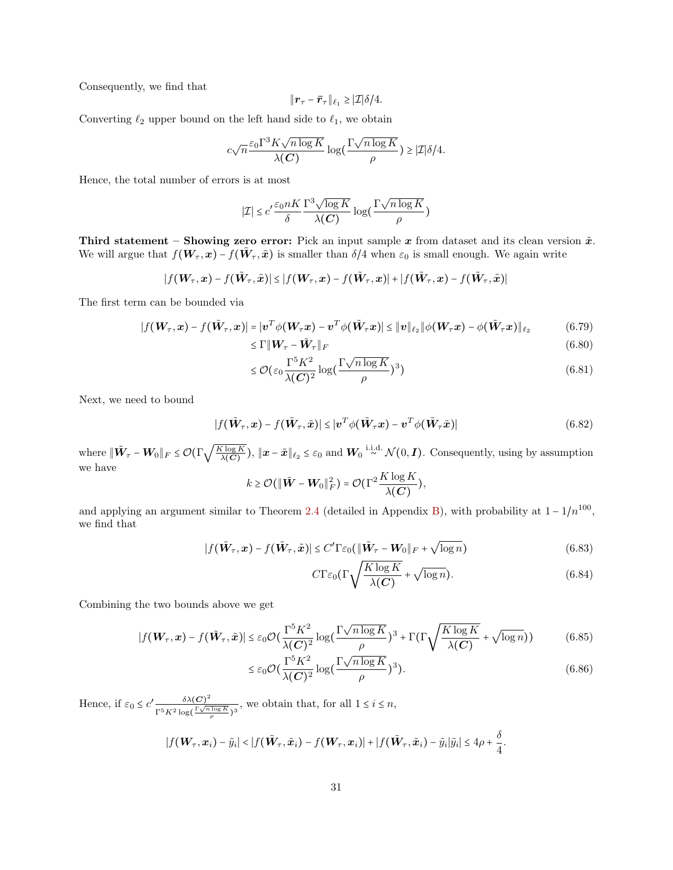Consequently, we find that

$$
\|\boldsymbol{r}_{\tau}-\boldsymbol{\bar{r}}_{\tau}\|_{\ell_1}\geq |\mathcal{I}|\delta/4.
$$

Converting  $\ell_2$  upper bound on the left hand side to  $\ell_1$ , we obtain

$$
c\sqrt{n} \frac{\varepsilon_0 \Gamma^3 K \sqrt{n \log K}}{\lambda(C)} \log\big(\frac{\Gamma \sqrt{n \log K}}{\rho}\big) \geq |\mathcal{I}| \delta/4.
$$

Hence, the total number of errors is at most

$$
|\mathcal{I}| \le c' \frac{\varepsilon_0 nK}{\delta} \frac{\Gamma^3 \sqrt{\log K}}{\lambda(C)} \log \Big(\frac{\Gamma \sqrt{n \log K}}{\rho}\Big)
$$

Third statement – Showing zero error: Pick an input sample  $x$  from dataset and its clean version  $\tilde{x}$ . We will argue that  $f(\bm{W}_{\tau},x) - f(\tilde{\bm{W}}_{\tau},\tilde{x})$  is smaller than  $\delta/4$  when  $\varepsilon_0$  is small enough. We again write

$$
|f(\boldsymbol{W}_{\tau}, \boldsymbol{x}) - f(\tilde{\boldsymbol{W}}_{\tau}, \tilde{\boldsymbol{x}})| \leq |f(\boldsymbol{W}_{\tau}, \boldsymbol{x}) - f(\tilde{\boldsymbol{W}}_{\tau}, \boldsymbol{x})| + |f(\tilde{\boldsymbol{W}}_{\tau}, \boldsymbol{x}) - f(\tilde{\boldsymbol{W}}_{\tau}, \tilde{\boldsymbol{x}})|
$$

The first term can be bounded via

$$
|f(\boldsymbol{W}_{\tau}, \boldsymbol{x}) - f(\tilde{\boldsymbol{W}}_{\tau}, \boldsymbol{x})| = |\boldsymbol{v}^T \phi(\boldsymbol{W}_{\tau} \boldsymbol{x}) - \boldsymbol{v}^T \phi(\tilde{\boldsymbol{W}}_{\tau} \boldsymbol{x})| \leq ||\boldsymbol{v}||_{\ell_2} ||\phi(\boldsymbol{W}_{\tau} \boldsymbol{x}) - \phi(\tilde{\boldsymbol{W}}_{\tau} \boldsymbol{x})||_{\ell_2}
$$
(6.79)  
\$\leq \Gamma || \boldsymbol{W}\_{\tau} - \tilde{\boldsymbol{W}}\_{\tau} ||\_F\$ (6.80)

$$
V_{\tau} - \mathbf{W}_{\tau} \|_{F} \tag{6.80}
$$

$$
\leq \mathcal{O}\left(\varepsilon_0 \frac{\Gamma^5 K^2}{\lambda(C)^2} \log\left(\frac{\Gamma \sqrt{n \log K}}{\rho}\right)^3\right) \tag{6.81}
$$

Next, we need to bound

$$
|f(\tilde{\mathbf{W}}_{\tau}, \mathbf{x}) - f(\tilde{\mathbf{W}}_{\tau}, \tilde{\mathbf{x}})| \leq |\mathbf{v}^T \phi(\tilde{\mathbf{W}}_{\tau} \mathbf{x}) - \mathbf{v}^T \phi(\tilde{\mathbf{W}}_{\tau} \tilde{\mathbf{x}})|
$$
(6.82)

where  $\Vert \tilde{\bm{W}}_{\tau} - \bm{W}_0 \Vert_F \leq \mathcal{O}(\Gamma \sqrt{\frac{K \log K}{\lambda(C)}}$  $\frac{\widehat{\zeta \log K}}{\lambda(C)}$ ,  $\|\boldsymbol{x} - \tilde{\boldsymbol{x}}\|_{\ell_2} \leq \varepsilon_0$  and  $\boldsymbol{W}_0 \stackrel{\text{i.i.d.}}{\sim} \mathcal{N}(0, \boldsymbol{I})$ . Consequently, using by assumption we have

$$
k \geq \mathcal{O}(\|\tilde{\boldsymbol{W}} - \boldsymbol{W}_0\|_F^2) = \mathcal{O}(\Gamma^2 \frac{K \log K}{\lambda(\boldsymbol{C})}),
$$

and applying an argument similar to Theorem [2.4](#page-7-0) (detailed in Appendix [B\)](#page-35-1), with probability at  $1 - 1/n^{100}$ , we find that

$$
|f(\tilde{\boldsymbol{W}}_{\tau}, \boldsymbol{x}) - f(\tilde{\boldsymbol{W}}_{\tau}, \tilde{\boldsymbol{x}})| \le C' \Gamma \varepsilon_0 \left( \|\tilde{\boldsymbol{W}}_{\tau} - \boldsymbol{W}_0\|_F + \sqrt{\log n} \right) \tag{6.83}
$$

$$
C\Gamma\varepsilon_0\left(\Gamma\sqrt{\frac{K\log K}{\lambda(C)}} + \sqrt{\log n}\right). \tag{6.84}
$$

Combining the two bounds above we get

$$
|f(\boldsymbol{W}_{\tau}, \boldsymbol{x}) - f(\tilde{\boldsymbol{W}}_{\tau}, \tilde{\boldsymbol{x}})| \leq \varepsilon_0 \mathcal{O}\left(\frac{\Gamma^5 K^2}{\lambda(\boldsymbol{C})^2} \log\left(\frac{\Gamma \sqrt{n \log K}}{\rho}\right)^3 + \Gamma \left(\Gamma \sqrt{\frac{K \log K}{\lambda(\boldsymbol{C})}} + \sqrt{\log n}\right)\right) \tag{6.85}
$$

$$
\leq \varepsilon_0 \mathcal{O}\left(\frac{\Gamma^5 K^2}{\lambda(C)^2} \log\left(\frac{\Gamma \sqrt{n \log K}}{\rho}\right)^3\right). \tag{6.86}
$$

Hence, if  $\varepsilon_0 \leq c' \frac{\delta \lambda(C)^2}{\Gamma^5 K^2 \log(\frac{\Gamma \sqrt{n}}{2})}$  $\frac{\delta A(\mathbf{C})}{\Gamma^5 K^2 \log(\frac{\Gamma \sqrt{n \log K}}{\rho})^3}$ , we obtain that, for all  $1 \leq i \leq n$ ,

$$
|f(\boldsymbol{W}_{\tau},\boldsymbol{x}_i)-\tilde{y}_i|<|f(\tilde{\boldsymbol{W}}_{\tau},\tilde{\boldsymbol{x}}_i)-f(\boldsymbol{W}_{\tau},\boldsymbol{x}_i)|+|f(\tilde{\boldsymbol{W}}_{\tau},\tilde{\boldsymbol{x}}_i)-\tilde{y}_i|\tilde{y}_i|\leq 4\rho+\frac{\delta}{4}.
$$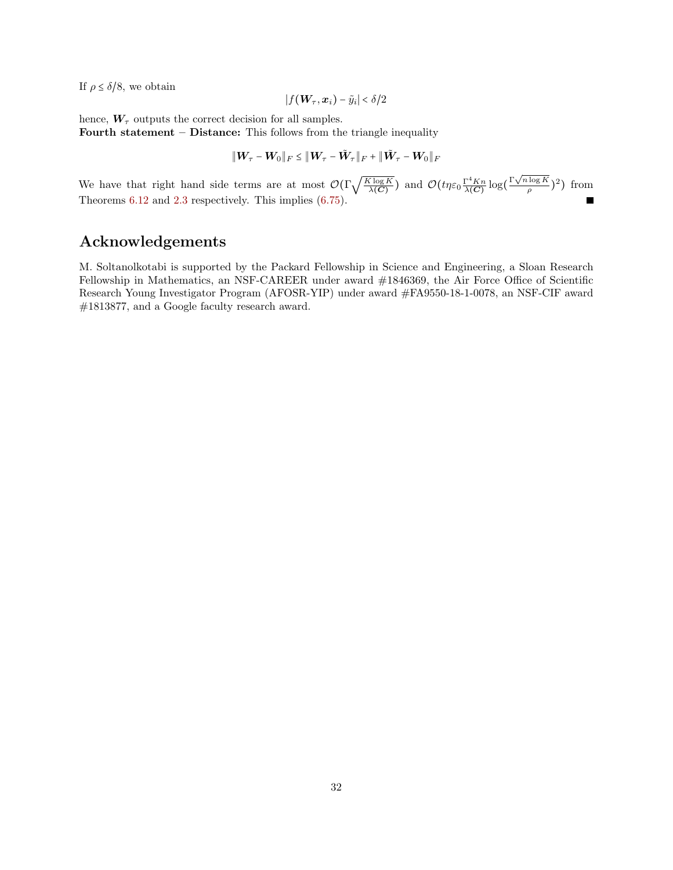If  $\rho \leq \delta/8$ , we obtain

$$
|f(\boldsymbol{W}_{\tau},\boldsymbol{x}_i)-\tilde{y}_i|<\delta/2
$$

hence,  $W_{\tau}$  outputs the correct decision for all samples.

Fourth statement – Distance: This follows from the triangle inequality

$$
\|\boldsymbol{W}_\tau - \boldsymbol{W}_0\|_F \leq \|\boldsymbol{W}_\tau - \tilde{\boldsymbol{W}}_\tau\|_F + \|\tilde{\boldsymbol{W}}_\tau - \boldsymbol{W}_0\|_F
$$

We have that right hand side terms are at most  $\mathcal{O}(\Gamma \sqrt{\frac{K \log K}{\lambda(C)}})$  $\frac{\overline{\chi \log K}}{\lambda(C)}$  and  $\mathcal{O}(t \eta \varepsilon_0 \frac{\Gamma^4 K n}{\lambda(C)}$  $\frac{\Gamma^4 K n}{\lambda(C)} \log \left( \frac{\Gamma \sqrt{n \log K}}{\rho} \right)$  $(\frac{\log K}{\rho})^2$ ) from Theorems [6.12](#page-26-0) and [2.3](#page-6-0) respectively. This implies [\(6.75\)](#page-29-0).

# Acknowledgements

M. Soltanolkotabi is supported by the Packard Fellowship in Science and Engineering, a Sloan Research Fellowship in Mathematics, an NSF-CAREER under award #1846369, the Air Force Office of Scientific Research Young Investigator Program (AFOSR-YIP) under award #FA9550-18-1-0078, an NSF-CIF award #1813877, and a Google faculty research award.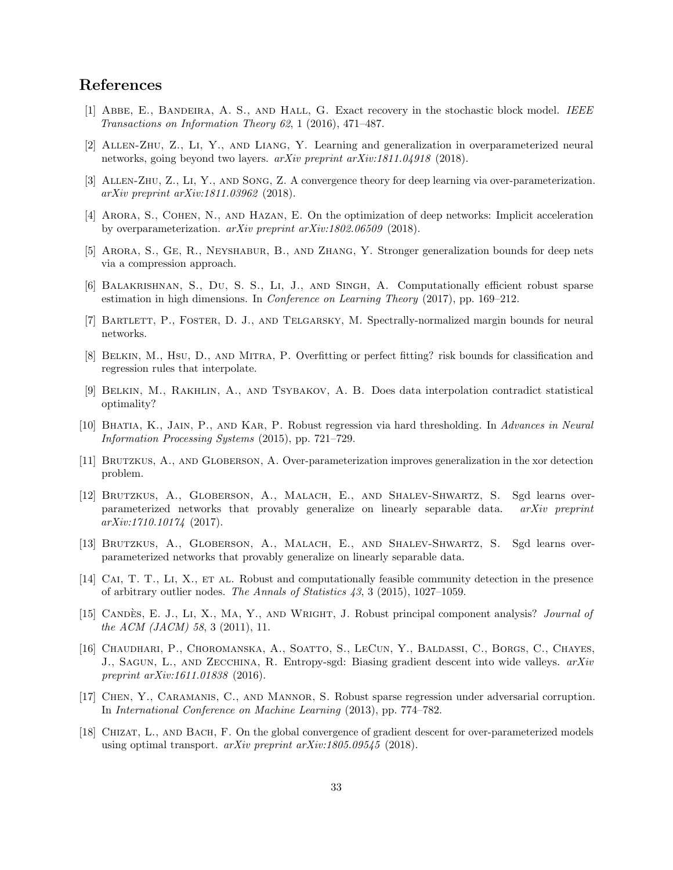# References

- <span id="page-32-1"></span>[1] Abbe, E., Bandeira, A. S., and Hall, G. Exact recovery in the stochastic block model. IEEE Transactions on Information Theory 62, 1 (2016), 471–487.
- <span id="page-32-11"></span>[2] Allen-Zhu, Z., Li, Y., and Liang, Y. Learning and generalization in overparameterized neural networks, going beyond two layers. arXiv preprint arXiv:1811.04918 (2018).
- <span id="page-32-12"></span>[3] Allen-Zhu, Z., Li, Y., and Song, Z. A convergence theory for deep learning via over-parameterization. arXiv preprint arXiv:1811.03962 (2018).
- <span id="page-32-7"></span>[4] Arora, S., Cohen, N., and Hazan, E. On the optimization of deep networks: Implicit acceleration by overparameterization. arXiv preprint arXiv:1802.06509 (2018).
- <span id="page-32-13"></span>[5] Arora, S., Ge, R., Neyshabur, B., and Zhang, Y. Stronger generalization bounds for deep nets via a compression approach.
- <span id="page-32-3"></span>[6] Balakrishnan, S., Du, S. S., Li, J., and Singh, A. Computationally efficient robust sparse estimation in high dimensions. In Conference on Learning Theory (2017), pp. 169–212.
- <span id="page-32-14"></span>[7] Bartlett, P., Foster, D. J., and Telgarsky, M. Spectrally-normalized margin bounds for neural networks.
- [8] Belkin, M., Hsu, D., and Mitra, P. Overfitting or perfect fitting? risk bounds for classification and regression rules that interpolate.
- <span id="page-32-15"></span>[9] Belkin, M., Rakhlin, A., and Tsybakov, A. B. Does data interpolation contradict statistical optimality?
- <span id="page-32-4"></span>[10] Bhatia, K., Jain, P., and Kar, P. Robust regression via hard thresholding. In Advances in Neural Information Processing Systems (2015), pp. 721–729.
- <span id="page-32-8"></span>[11] Brutzkus, A., and Globerson, A. Over-parameterization improves generalization in the xor detection problem.
- <span id="page-32-9"></span>[12] Brutzkus, A., Globerson, A., Malach, E., and Shalev-Shwartz, S. Sgd learns overparameterized networks that provably generalize on linearly separable data. arXiv preprint  $arXiv:1710.10174$  (2017).
- <span id="page-32-16"></span>[13] Brutzkus, A., Globerson, A., Malach, E., and Shalev-Shwartz, S. Sgd learns overparameterized networks that provably generalize on linearly separable data.
- <span id="page-32-2"></span>[14] CAI, T. T., LI, X., ET AL. Robust and computationally feasible community detection in the presence of arbitrary outlier nodes. The Annals of Statistics 43, 3 (2015), 1027–1059.
- <span id="page-32-5"></span>[15] CANDÈS, E. J., Li, X., MA, Y., AND WRIGHT, J. Robust principal component analysis? Journal of the ACM (JACM) 58, 3 (2011), 11.
- <span id="page-32-0"></span>[16] Chaudhari, P., Choromanska, A., Soatto, S., LeCun, Y., Baldassi, C., Borgs, C., Chayes, J., SAGUN, L., AND ZECCHINA, R. Entropy-sgd: Biasing gradient descent into wide valleys. arXiv preprint arXiv:1611.01838 (2016).
- <span id="page-32-6"></span>[17] Chen, Y., Caramanis, C., and Mannor, S. Robust sparse regression under adversarial corruption. In International Conference on Machine Learning (2013), pp. 774–782.
- <span id="page-32-10"></span>[18] Chizat, L., and Bach, F. On the global convergence of gradient descent for over-parameterized models using optimal transport. arXiv preprint arXiv:1805.09545 (2018).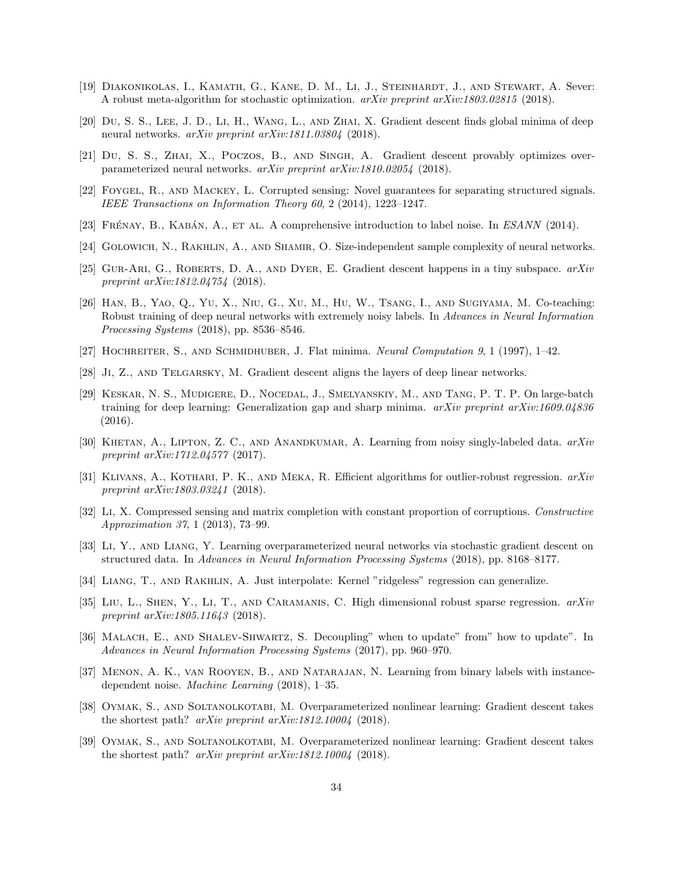- <span id="page-33-8"></span>[19] Diakonikolas, I., Kamath, G., Kane, D. M., Li, J., Steinhardt, J., and Stewart, A. Sever: A robust meta-algorithm for stochastic optimization. arXiv preprint arXiv:1803.02815 (2018).
- <span id="page-33-11"></span>[20] Du, S. S., Lee, J. D., Li, H., Wang, L., and Zhai, X. Gradient descent finds global minima of deep neural networks. arXiv preprint arXiv:1811.03804 (2018).
- <span id="page-33-12"></span>[21] Du, S. S., ZHAI, X., POCZOS, B., AND SINGH, A. Gradient descent provably optimizes overparameterized neural networks. arXiv preprint arXiv:1810.02054 (2018).
- <span id="page-33-5"></span>[22] Foygel, R., and Mackey, L. Corrupted sensing: Novel guarantees for separating structured signals. IEEE Transactions on Information Theory 60, 2 (2014), 1223–1247.
- <span id="page-33-3"></span>[23] FRÉNAY, B., KABÁN, A., ET AL. A comprehensive introduction to label noise. In ESANN (2014).
- <span id="page-33-17"></span>[24] GOLOWICH, N., RAKHLIN, A., AND SHAMIR, O. Size-independent sample complexity of neural networks.
- <span id="page-33-20"></span>[25] GUR-ARI, G., ROBERTS, D. A., AND DYER, E. Gradient descent happens in a tiny subspace.  $arXiv$ preprint arXiv:1812.04754 (2018).
- <span id="page-33-0"></span>[26] Han, B., Yao, Q., Yu, X., Niu, G., Xu, M., Hu, W., Tsang, I., and Sugiyama, M. Co-teaching: Robust training of deep neural networks with extremely noisy labels. In Advances in Neural Information Processing Systems (2018), pp. 8536–8546.
- <span id="page-33-19"></span>[27] HOCHREITER, S., AND SCHMIDHUBER, J. Flat minima. Neural Computation 9, 1 (1997), 1–42.
- <span id="page-33-10"></span>[28] Ji, Z., and Telgarsky, M. Gradient descent aligns the layers of deep linear networks.
- <span id="page-33-16"></span>[29] Keskar, N. S., Mudigere, D., Nocedal, J., Smelyanskiy, M., and Tang, P. T. P. On large-batch training for deep learning: Generalization gap and sharp minima. arXiv preprint arXiv:1609.04836 (2016).
- <span id="page-33-1"></span>[30] KHETAN, A., LIPTON, Z. C., AND ANANDKUMAR, A. Learning from noisy singly-labeled data.  $arXiv$ preprint arXiv:1712.04577 (2017).
- <span id="page-33-9"></span>[31] KLIVANS, A., KOTHARI, P. K., AND MEKA, R. Efficient algorithms for outlier-robust regression.  $arXiv$ preprint arXiv:1803.03241 (2018).
- <span id="page-33-6"></span>[32] Li, X. Compressed sensing and matrix completion with constant proportion of corruptions. Constructive Approximation 37, 1 (2013), 73–99.
- <span id="page-33-13"></span>[33] Li, Y., and Liang, Y. Learning overparameterized neural networks via stochastic gradient descent on structured data. In Advances in Neural Information Processing Systems (2018), pp. 8168–8177.
- <span id="page-33-18"></span>[34] Liang, T., and Rakhlin, A. Just interpolate: Kernel "ridgeless" regression can generalize.
- <span id="page-33-7"></span>[35] LIU, L., SHEN, Y., LI, T., AND CARAMANIS, C. High dimensional robust sparse regression.  $arXiv$ preprint arXiv:1805.11643 (2018).
- <span id="page-33-2"></span>[36] Malach, E., and Shalev-Shwartz, S. Decoupling" when to update" from" how to update". In Advances in Neural Information Processing Systems (2017), pp. 960–970.
- <span id="page-33-4"></span>[37] Menon, A. K., van Rooyen, B., and Natarajan, N. Learning from binary labels with instancedependent noise. Machine Learning (2018), 1–35.
- <span id="page-33-14"></span>[38] Oymak, S., and Soltanolkotabi, M. Overparameterized nonlinear learning: Gradient descent takes the shortest path? arXiv preprint arXiv:1812.10004 (2018).
- <span id="page-33-15"></span>[39] Oymak, S., and Soltanolkotabi, M. Overparameterized nonlinear learning: Gradient descent takes the shortest path? arXiv preprint arXiv:1812.10004 (2018).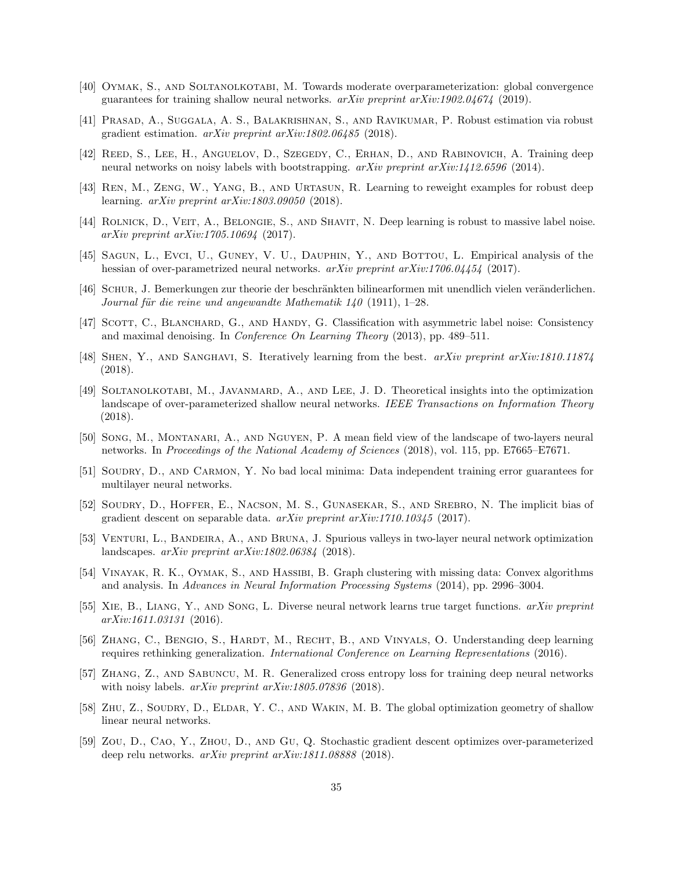- <span id="page-34-15"></span>[40] Oymak, S., and Soltanolkotabi, M. Towards moderate overparameterization: global convergence guarantees for training shallow neural networks.  $arXiv$  preprint  $arXiv:1902.04674$  (2019).
- <span id="page-34-9"></span>[41] Prasad, A., Suggala, A. S., Balakrishnan, S., and Ravikumar, P. Robust estimation via robust gradient estimation. arXiv preprint arXiv:1802.06485 (2018).
- <span id="page-34-3"></span>[42] Reed, S., Lee, H., Anguelov, D., Szegedy, C., Erhan, D., and Rabinovich, A. Training deep neural networks on noisy labels with bootstrapping. arXiv preprint arXiv:1412.6596 (2014).
- <span id="page-34-6"></span>[43] Ren, M., Zeng, W., Yang, B., and Urtasun, R. Learning to reweight examples for robust deep learning. arXiv preprint arXiv:1803.09050 (2018).
- <span id="page-34-2"></span>[44] ROLNICK, D., VEIT, A., BELONGIE, S., AND SHAVIT, N. Deep learning is robust to massive label noise. arXiv preprint arXiv:1705.10694 (2017).
- <span id="page-34-16"></span>[45] SAGUN, L., EVCI, U., GUNEY, V. U., DAUPHIN, Y., AND BOTTOU, L. Empirical analysis of the hessian of over-parametrized neural networks.  $arXiv$  preprint  $arXiv:1706.04454$  (2017).
- <span id="page-34-19"></span>[46] SCHUR, J. Bemerkungen zur theorie der beschränkten bilinearformen mit unendlich vielen veränderlichen. Journal für die reine und angewandte Mathematik  $140$  (1911), 1–28.
- <span id="page-34-4"></span>[47] SCOTT, C., BLANCHARD, G., AND HANDY, G. Classification with asymmetric label noise: Consistency and maximal denoising. In Conference On Learning Theory (2013), pp. 489–511.
- <span id="page-34-7"></span>[48] SHEN, Y., AND SANGHAVI, S. Iteratively learning from the best. arXiv preprint arXiv:1810.11874 (2018).
- <span id="page-34-10"></span>[49] Soltanolkotabi, M., Javanmard, A., and Lee, J. D. Theoretical insights into the optimization landscape of over-parameterized shallow neural networks. IEEE Transactions on Information Theory (2018).
- <span id="page-34-17"></span>[50] Song, M., Montanari, A., and Nguyen, P. A mean field view of the landscape of two-layers neural networks. In Proceedings of the National Academy of Sciences (2018), vol. 115, pp. E7665–E7671.
- <span id="page-34-11"></span>[51] SOUDRY, D., AND CARMON, Y. No bad local minima: Data independent training error guarantees for multilayer neural networks.
- <span id="page-34-1"></span>[52] SOUDRY, D., HOFFER, E., NACSON, M. S., GUNASEKAR, S., AND SREBRO, N. The implicit bias of gradient descent on separable data.  $arXiv$  preprint  $arXiv:1710.10345$  (2017).
- <span id="page-34-12"></span>[53] Venturi, L., Bandeira, A., and Bruna, J. Spurious valleys in two-layer neural network optimization landscapes. arXiv preprint arXiv:1802.06384 (2018).
- <span id="page-34-8"></span>[54] VINAYAK, R. K., OYMAK, S., AND HASSIBI, B. Graph clustering with missing data: Convex algorithms and analysis. In Advances in Neural Information Processing Systems (2014), pp. 2996–3004.
- <span id="page-34-18"></span>[55] Xie, B., Liang, Y., and Song, L. Diverse neural network learns true target functions. arXiv preprint arXiv:1611.03131 (2016).
- <span id="page-34-0"></span>[56] ZHANG, C., BENGIO, S., HARDT, M., RECHT, B., AND VINYALS, O. Understanding deep learning requires rethinking generalization. International Conference on Learning Representations (2016).
- <span id="page-34-5"></span>[57] Zhang, Z., and Sabuncu, M. R. Generalized cross entropy loss for training deep neural networks with noisy labels. *arXiv preprint arXiv:1805.07836* (2018).
- <span id="page-34-13"></span>[58] Zhu, Z., Soudry, D., Eldar, Y. C., and Wakin, M. B. The global optimization geometry of shallow linear neural networks.
- <span id="page-34-14"></span>[59] Zou, D., Cao, Y., Zhou, D., and Gu, Q. Stochastic gradient descent optimizes over-parameterized deep relu networks. arXiv preprint arXiv:1811.08888 (2018).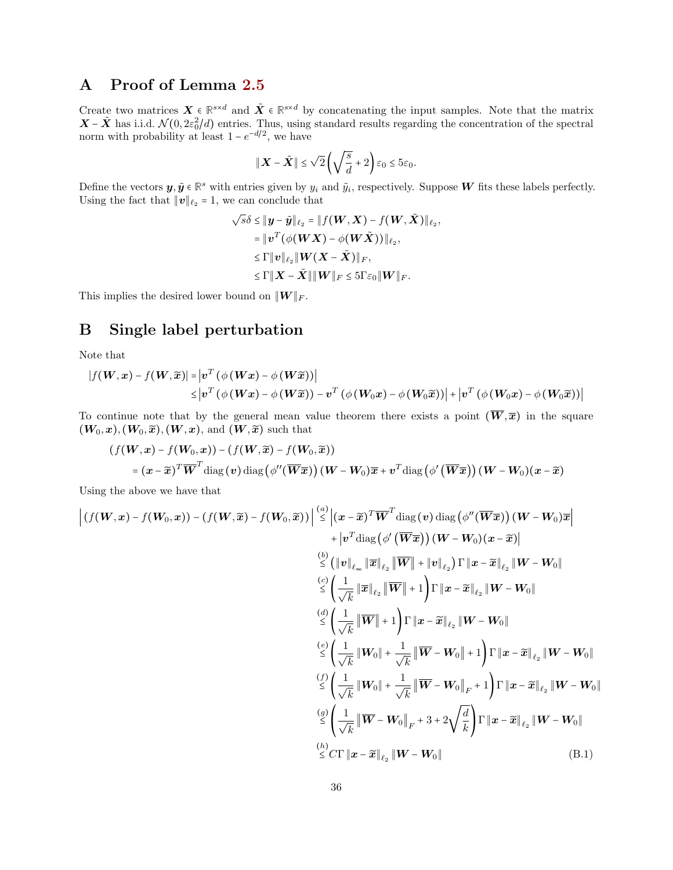# A Proof of Lemma [2.5](#page-7-2)

Create two matrices  $\mathbf{X} \in \mathbb{R}^{s \times d}$  and  $\tilde{\mathbf{X}} \in \mathbb{R}^{s \times d}$  by concatenating the input samples. Note that the matrix  $\mathbf{X} - \tilde{\mathbf{X}}$  has i.i.d.  $\mathcal{N}(0, 2\varepsilon_0^2/d)$  entries. Thus, using standard results regarding the concentration of the spectral norm with probability at least  $1 - e^{-d/2}$ , we have

$$
\|\boldsymbol{X}-\tilde{\boldsymbol{X}}\| \leq \sqrt{2}\left(\sqrt{\frac{s}{d}}+2\right)\varepsilon_0 \leq 5\varepsilon_0.
$$

Define the vectors  $y, \tilde{y} \in \mathbb{R}^s$  with entries given by  $y_i$  and  $\tilde{y}_i$ , respectively. Suppose W fits these labels perfectly. Using the fact that  $||v||_{\ell_2} = 1$ , we can conclude that

$$
\sqrt{s}\delta \leq \|\mathbf{y} - \tilde{\mathbf{y}}\|_{\ell_2} = \|f(\mathbf{W}, \mathbf{X}) - f(\mathbf{W}, \tilde{\mathbf{X}})\|_{\ell_2},
$$
  
\n
$$
= \|\mathbf{v}^T(\phi(\mathbf{W}\mathbf{X}) - \phi(\mathbf{W}\tilde{\mathbf{X}}))\|_{\ell_2},
$$
  
\n
$$
\leq \Gamma \|\mathbf{v}\|_{\ell_2} \|\mathbf{W}(\mathbf{X} - \tilde{\mathbf{X}})\|_F,
$$
  
\n
$$
\leq \Gamma \|\mathbf{X} - \tilde{\mathbf{X}}\| \|\mathbf{W}\|_F \leq 5\Gamma\varepsilon_0 \|\mathbf{W}\|_F.
$$

This implies the desired lower bound on  $||W||_F$ .

### <span id="page-35-1"></span>B Single label perturbation

Note that

$$
\begin{aligned} |f(\boldsymbol{W},\boldsymbol{x})-f(\boldsymbol{W},\widetilde{\boldsymbol{x}})|&= \left|\boldsymbol{v}^T\left(\phi\left(\boldsymbol{W}\boldsymbol{x}\right)-\phi\left(\boldsymbol{W}\widetilde{\boldsymbol{x}}\right)\right)\right|\\ &\leq \left|\boldsymbol{v}^T\left(\phi\left(\boldsymbol{W}\boldsymbol{x}\right)-\phi\left(\boldsymbol{W}\widetilde{\boldsymbol{x}}\right)\right)-\boldsymbol{v}^T\left(\phi\left(\boldsymbol{W}_0\boldsymbol{x}\right)-\phi\left(\boldsymbol{W}_0\widetilde{\boldsymbol{x}}\right)\right)\right|+\left|\boldsymbol{v}^T\left(\phi\left(\boldsymbol{W}_0\boldsymbol{x}\right)-\phi\left(\boldsymbol{W}_0\widetilde{\boldsymbol{x}}\right)\right)\right| \end{aligned}
$$

To continue note that by the general mean value theorem there exists a point  $(\overline{W}, \overline{x})$  in the square  $(W_0, x), (W_0, \widetilde{x}), (W, x),$  and  $(W, \widetilde{x})$  such that

$$
(f(\boldsymbol{W}, \boldsymbol{x}) - f(\boldsymbol{W}_0, \boldsymbol{x})) - (f(\boldsymbol{W}, \widetilde{\boldsymbol{x}}) - f(\boldsymbol{W}_0, \widetilde{\boldsymbol{x}}))
$$
  
=  $(\boldsymbol{x} - \widetilde{\boldsymbol{x}})^T \overline{\boldsymbol{W}}^T \text{diag}(\boldsymbol{v}) \text{diag}(\phi''(\overline{\boldsymbol{W}} \overline{\boldsymbol{x}})) (\boldsymbol{W} - \boldsymbol{W}_0) \overline{\boldsymbol{x}} + \boldsymbol{v}^T \text{diag}(\phi'(\overline{\boldsymbol{W}} \overline{\boldsymbol{x}})) (\boldsymbol{W} - \boldsymbol{W}_0) (\boldsymbol{x} - \widetilde{\boldsymbol{x}})$ 

Using the above we have that

<span id="page-35-0"></span>
$$
\left| (f(\boldsymbol{W}, \boldsymbol{x}) - f(\boldsymbol{W}_0, \boldsymbol{x})) - (f(\boldsymbol{W}, \widetilde{\boldsymbol{x}}) - f(\boldsymbol{W}_0, \widetilde{\boldsymbol{x}})) \right| \stackrel{(a)}{\leq} \left| (\boldsymbol{x} - \widetilde{\boldsymbol{x}})^T \overline{\boldsymbol{W}}^T \operatorname{diag} (\boldsymbol{v}) \operatorname{diag} (\phi'(\overline{\boldsymbol{W}} \overline{\boldsymbol{x}})) (\boldsymbol{W} - \boldsymbol{W}_0) \overline{\boldsymbol{x}} \right|
$$
\n
$$
+ |\boldsymbol{v}^T \operatorname{diag} (\phi'(\overline{\boldsymbol{W}} \overline{\boldsymbol{x}})) (\boldsymbol{W} - \boldsymbol{W}_0) (\boldsymbol{x} - \widetilde{\boldsymbol{x}}) |
$$
\n
$$
\stackrel{(b)}{\leq} (||\boldsymbol{v}||_{\ell_{\infty}} ||\overline{\boldsymbol{w}}|| + ||\boldsymbol{v}||_{\ell_2}) \Gamma ||\boldsymbol{x} - \widetilde{\boldsymbol{x}}||_{\ell_2} ||\boldsymbol{W} - \boldsymbol{W}_0||
$$
\n
$$
\stackrel{(c)}{\leq} \left( \frac{1}{\sqrt{k}} ||\overline{\boldsymbol{w}}|| + 1 \right) \Gamma ||\boldsymbol{x} - \widetilde{\boldsymbol{x}}||_{\ell_2} ||\boldsymbol{W} - \boldsymbol{W}_0||
$$
\n
$$
\stackrel{(d)}{\leq} \left( \frac{1}{\sqrt{k}} ||\overline{\boldsymbol{w}}|| + 1 \right) \Gamma ||\boldsymbol{x} - \widetilde{\boldsymbol{x}}||_{\ell_2} ||\boldsymbol{W} - \boldsymbol{W}_0||
$$
\n
$$
\stackrel{(e)}{\leq} \left( \frac{1}{\sqrt{k}} ||\overline{\boldsymbol{w}}|| + \frac{1}{\sqrt{k}} ||\overline{\boldsymbol{W}} - \boldsymbol{W}_0|| + 1 \right) \Gamma ||\boldsymbol{x} - \widetilde{\boldsymbol{x}}||_{\ell_2} ||\boldsymbol{W} - \boldsymbol{W}_0||
$$
\n
$$
\stackrel{(f)}{\leq} \left( \frac{1}{\sqrt{k}} ||\overline{\boldsymbol{W}}|| + \frac{1}{\sqrt{k}} ||\overline{\boldsymbol{W}} - \boldsymbol{W}_0||_{F} + 1 \right) \Gamma ||\boldsymbol{x} - \widetilde{\boldsymbol{x}}||_{\ell_2
$$